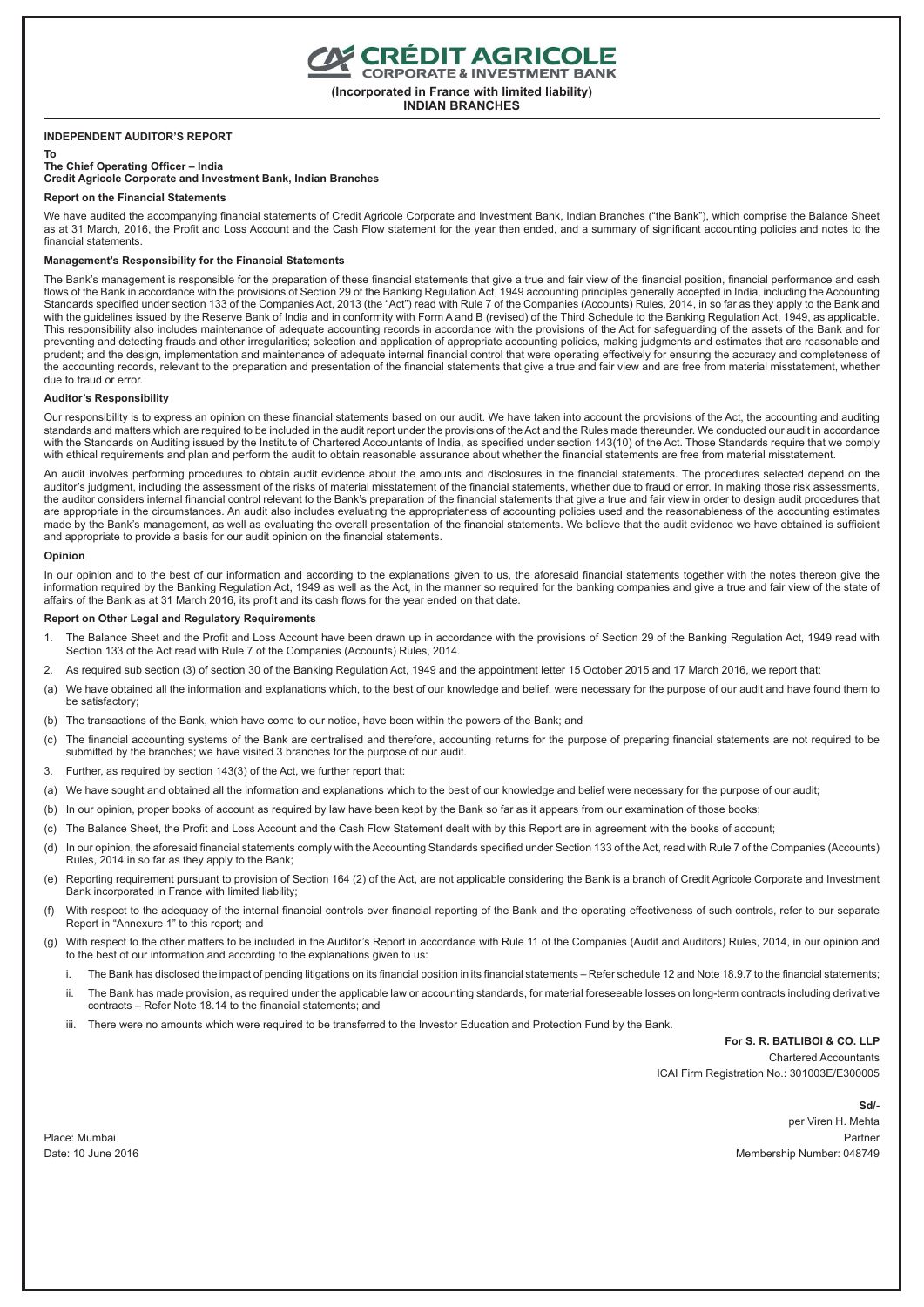**(Incorporated in France with limited liability)**

**INDIAN BRANCHES**

## **INDEPENDENT AUDITOR'S REPORT**

#### **To**

**The Chief Operating Officer – India Credit Agricole Corporate and Investment Bank, Indian Branches**

#### **Report on the Financial Statements**

We have audited the accompanying financial statements of Credit Agricole Corporate and Investment Bank, Indian Branches ("the Bank"), which comprise the Balance Sheet as at 31 March, 2016, the Profit and Loss Account and the Cash Flow statement for the year then ended, and a summary of significant accounting policies and notes to the financial statements.

### **Management's Responsibility for the Financial Statements**

The Bank's management is responsible for the preparation of these financial statements that give a true and fair view of the financial position, financial performance and cash flows of the Bank in accordance with the provisions of Section 29 of the Banking Regulation Act, 1949 accounting principles generally accepted in India, including the Accounting Standards specified under section 133 of the Companies Act, 2013 (the "Act") read with Rule 7 of the Companies (Accounts) Rules, 2014, in so far as they apply to the Bank and with the guidelines issued by the Reserve Bank of India and in conformity with Form A and B (revised) of the Third Schedule to the Banking Regulation Act, 1949, as applicable. This responsibility also includes maintenance of adequate accounting records in accordance with the provisions of the Act for safeguarding of the assets of the Bank and for preventing and detecting frauds and other irregularities; selection and application of appropriate accounting policies, making judgments and estimates that are reasonable and prudent; and the design, implementation and maintenance of adequate internal financial control that were operating effectively for ensuring the accuracy and completeness of the accounting records, relevant to the preparation and presentation of the financial statements that give a true and fair view and are free from material misstatement, whether due to fraud or error.

### **Auditor's Responsibility**

Our responsibility is to express an opinion on these financial statements based on our audit. We have taken into account the provisions of the Act, the accounting and auditing standards and matters which are required to be included in the audit report under the provisions of the Act and the Rules made thereunder. We conducted our audit in accordance with the Standards on Auditing issued by the Institute of Chartered Accountants of India, as specified under section 143(10) of the Act. Those Standards require that we comply with ethical requirements and plan and perform the audit to obtain reasonable assurance about whether the financial statements are free from material misstatement.

An audit involves performing procedures to obtain audit evidence about the amounts and disclosures in the financial statements. The procedures selected depend on the auditor's judgment, including the assessment of the risks of material misstatement of the financial statements, whether due to fraud or error. In making those risk assessments, the auditor considers internal financial control relevant to the Bank's preparation of the financial statements that give a true and fair view in order to design audit procedures that are appropriate in the circumstances. An audit also includes evaluating the appropriateness of accounting policies used and the reasonableness of the accounting estimates made by the Bank's management, as well as evaluating the overall presentation of the financial statements. We believe that the audit evidence we have obtained is sufficient and appropriate to provide a basis for our audit opinion on the financial statements.

#### **Opinion**

In our opinion and to the best of our information and according to the explanations given to us, the aforesaid financial statements together with the notes thereon give the information required by the Banking Regulation Act, 1949 as well as the Act, in the manner so required for the banking companies and give a true and fair view of the state of affairs of the Bank as at 31 March 2016, its profit and its cash flows for the year ended on that date.

### **Report on Other Legal and Regulatory Requirements**

- 1. The Balance Sheet and the Profit and Loss Account have been drawn up in accordance with the provisions of Section 29 of the Banking Regulation Act, 1949 read with Section 133 of the Act read with Rule 7 of the Companies (Accounts) Rules, 2014.
- 2. As required sub section (3) of section 30 of the Banking Regulation Act, 1949 and the appointment letter 15 October 2015 and 17 March 2016, we report that:
- (a) We have obtained all the information and explanations which, to the best of our knowledge and belief, were necessary for the purpose of our audit and have found them to be satisfactory;
- (b) The transactions of the Bank, which have come to our notice, have been within the powers of the Bank; and
- (c) The financial accounting systems of the Bank are centralised and therefore, accounting returns for the purpose of preparing financial statements are not required to be submitted by the branches; we have visited 3 branches for the purpose of our audit.
- 3. Further, as required by section 143(3) of the Act, we further report that:
- (a) We have sought and obtained all the information and explanations which to the best of our knowledge and belief were necessary for the purpose of our audit;
- (b) In our opinion, proper books of account as required by law have been kept by the Bank so far as it appears from our examination of those books;
- (c) The Balance Sheet, the Profit and Loss Account and the Cash Flow Statement dealt with by this Report are in agreement with the books of account;
- (d) In our opinion, the aforesaid financial statements comply with the Accounting Standards specified under Section 133 of the Act, read with Rule 7 of the Companies (Accounts) Rules, 2014 in so far as they apply to the Bank;
- (e) Reporting requirement pursuant to provision of Section 164 (2) of the Act, are not applicable considering the Bank is a branch of Credit Agricole Corporate and Investment Bank incorporated in France with limited liability;
- (f) With respect to the adequacy of the internal financial controls over financial reporting of the Bank and the operating effectiveness of such controls, refer to our separate Report in "Annexure 1" to this report; and
- (g) With respect to the other matters to be included in the Auditor's Report in accordance with Rule 11 of the Companies (Audit and Auditors) Rules, 2014, in our opinion and to the best of our information and according to the explanations given to us:
	- i. The Bank has disclosed the impact of pending litigations on its financial position in its financial statements Refer schedule 12 and Note 18.9.7 to the financial statements; ii. The Bank has made provision, as required under the applicable law or accounting standards, for material foreseeable losses on long-term contracts including derivative
	- contracts Refer Note 18.14 to the financial statements; and
	- iii. There were no amounts which were required to be transferred to the Investor Education and Protection Fund by the Bank.

## **For S. R. BATLIBOI & CO. LLP**

Chartered Accountants ICAI Firm Registration No.: 301003E/E300005

 **Sd/** per Viren H. Mehta Place: Mumbai Partner Date: 10 June 2016 Membership Number: 048749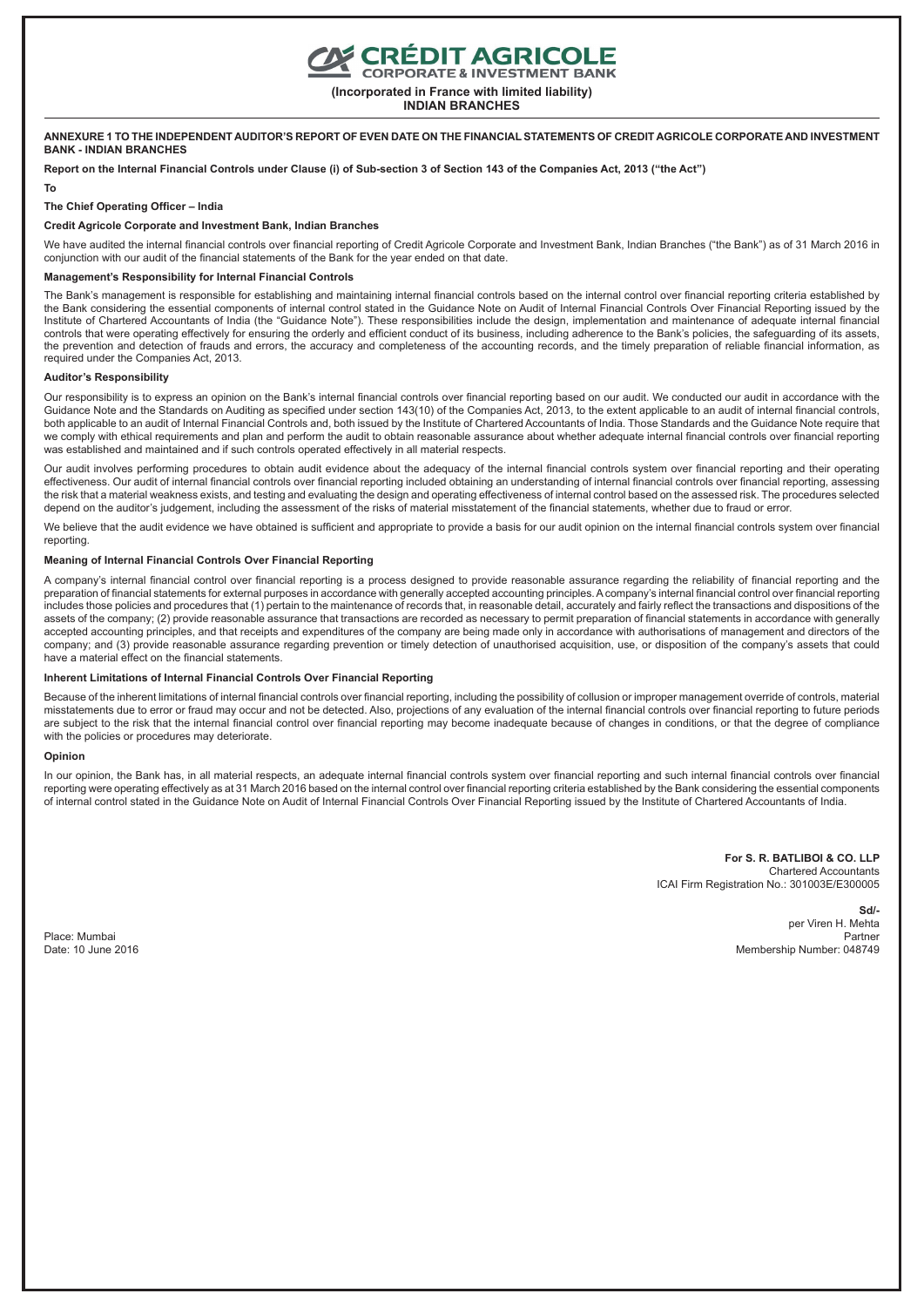## **CRÉDIT AGRICOLE**<br>CORPORATE & INVESTMENT BANK

**(Incorporated in France with limited liability)**

**INDIAN BRANCHES**

#### **ANNEXURE 1 TO THE INDEPENDENT AUDITOR'S REPORT OF EVEN DATE ON THE FINANCIAL STATEMENTS OF CREDIT AGRICOLE CORPORATE AND INVESTMENT BANK - INDIAN BRANCHES**

**Report on the Internal Financial Controls under Clause (i) of Sub-section 3 of Section 143 of the Companies Act, 2013 ("the Act")**

#### **To**

### **The Chief Operating Officer – India**

#### **Credit Agricole Corporate and Investment Bank, Indian Branches**

We have audited the internal financial controls over financial reporting of Credit Agricole Corporate and Investment Bank, Indian Branches ("the Bank") as of 31 March 2016 in conjunction with our audit of the financial statements of the Bank for the year ended on that date.

#### **Management's Responsibility for Internal Financial Controls**

The Bank's management is responsible for establishing and maintaining internal financial controls based on the internal control over financial reporting criteria established by the Bank considering the essential components of internal control stated in the Guidance Note on Audit of Internal Financial Controls Over Financial Reporting issued by the Institute of Chartered Accountants of India (the "Guidance Note"). These responsibilities include the design, implementation and maintenance of adequate internal financial controls that were operating effectively for ensuring the orderly and efficient conduct of its business, including adherence to the Bank's policies, the safeguarding of its assets, the prevention and detection of frauds and errors, the accuracy and completeness of the accounting records, and the timely preparation of reliable financial information, as required under the Companies Act, 2013.

#### **Auditor's Responsibility**

Our responsibility is to express an opinion on the Bank's internal financial controls over financial reporting based on our audit. We conducted our audit in accordance with the Guidance Note and the Standards on Auditing as specified under section 143(10) of the Companies Act, 2013, to the extent applicable to an audit of internal financial controls, both applicable to an audit of Internal Financial Controls and, both issued by the Institute of Chartered Accountants of India. Those Standards and the Guidance Note require that we comply with ethical requirements and plan and perform the audit to obtain reasonable assurance about whether adequate internal financial controls over financial reporting was established and maintained and if such controls operated effectively in all material respects.

Our audit involves performing procedures to obtain audit evidence about the adequacy of the internal financial controls system over financial reporting and their operating effectiveness. Our audit of internal financial controls over financial reporting included obtaining an understanding of internal financial controls over financial reporting, assessing the risk that a material weakness exists, and testing and evaluating the design and operating effectiveness of internal control based on the assessed risk. The procedures selected depend on the auditor's judgement, including the assessment of the risks of material misstatement of the financial statements, whether due to fraud or error.

We believe that the audit evidence we have obtained is sufficient and appropriate to provide a basis for our audit opinion on the internal financial controls system over financial reporting

#### **Meaning of Internal Financial Controls Over Financial Reporting**

A company's internal financial control over financial reporting is a process designed to provide reasonable assurance regarding the reliability of financial reporting and the preparation of financial statements for external purposes in accordance with generally accepted accounting principles. A company's internal financial control over financial reporting includes those policies and procedures that (1) pertain to the maintenance of records that, in reasonable detail, accurately and fairly reflect the transactions and dispositions of the assets of the company; (2) provide reasonable assurance that transactions are recorded as necessary to permit preparation of financial statements in accordance with generally accepted accounting principles, and that receipts and expenditures of the company are being made only in accordance with authorisations of management and directors of the company; and (3) provide reasonable assurance regarding prevention or timely detection of unauthorised acquisition, use, or disposition of the company's assets that could have a material effect on the financial statements.

#### **Inherent Limitations of Internal Financial Controls Over Financial Reporting**

Because of the inherent limitations of internal financial controls over financial reporting, including the possibility of collusion or improper management override of controls, material misstatements due to error or fraud may occur and not be detected. Also, projections of any evaluation of the internal financial controls over financial reporting to future periods are subject to the risk that the internal financial control over financial reporting may become inadequate because of changes in conditions, or that the degree of compliance with the policies or procedures may deteriorate.

#### **Opinion**

In our opinion, the Bank has, in all material respects, an adequate internal financial controls system over financial reporting and such internal financial controls over financial reporting were operating effectively as at 31 March 2016 based on the internal control over financial reporting criteria established by the Bank considering the essential components of internal control stated in the Guidance Note on Audit of Internal Financial Controls Over Financial Reporting issued by the Institute of Chartered Accountants of India.

> **For S. R. BATLIBOI & CO. LLP** Chartered Accountants ICAI Firm Registration No.: 301003E/E300005

**Sd/** per Viren H. Mehta Place: Mumbai Partner Date: 10 June 2016 Membership Number: 048749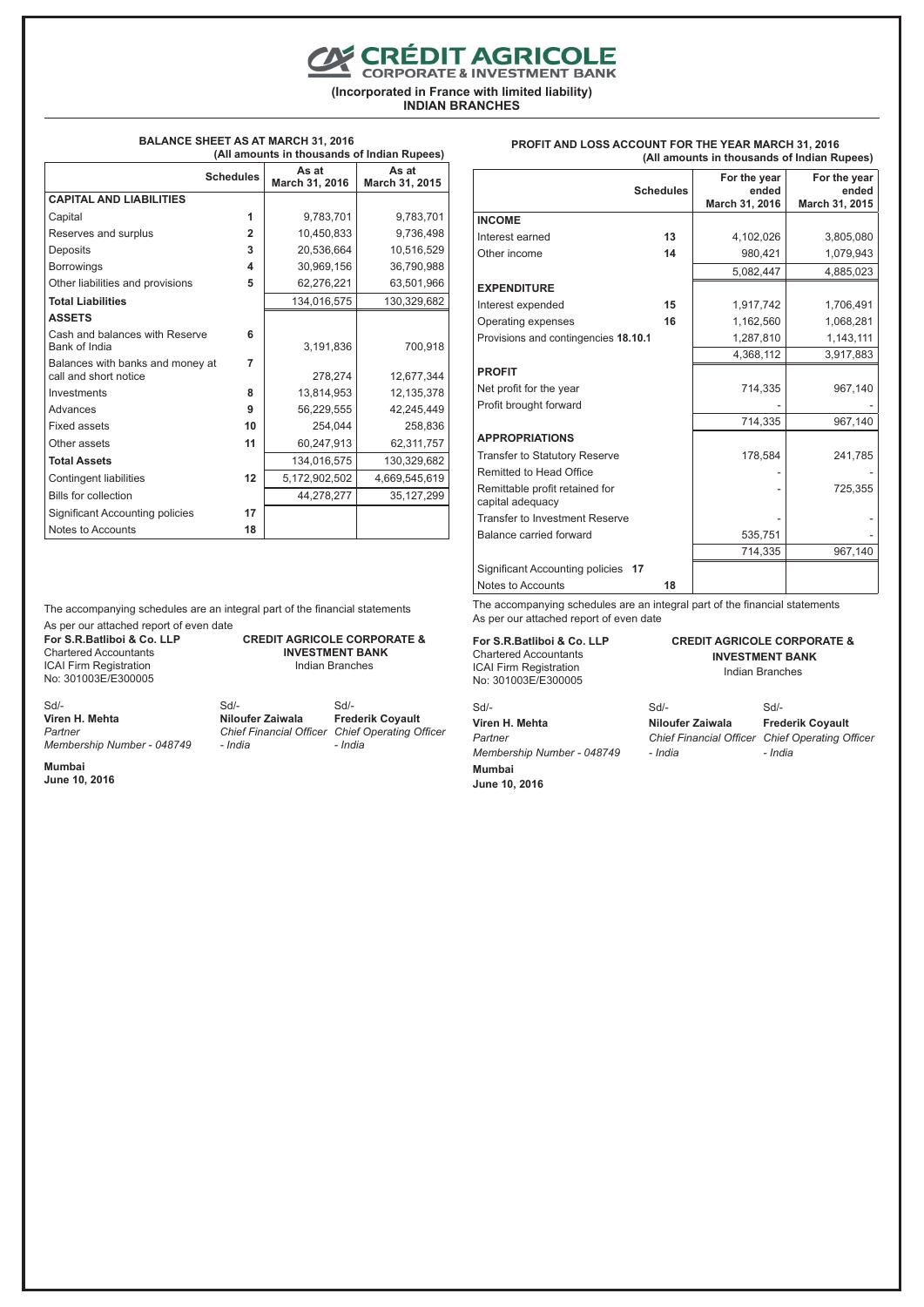**EXPEDIT AGRICOLE** 

**(Incorporated in France with limited liability)**

**INDIAN BRANCHES**

#### **BALANCE SHEET AS AT MARCH 31, 2016 (All amounts in thousands of Indian Rupees)**

|                                                           | (All alliounts in thousands of mulan Rupees) |                         |                         |  |
|-----------------------------------------------------------|----------------------------------------------|-------------------------|-------------------------|--|
| <b>Schedules</b>                                          |                                              | As at<br>March 31, 2016 | As at<br>March 31, 2015 |  |
| <b>CAPITAL AND LIABILITIES</b>                            |                                              |                         |                         |  |
| Capital                                                   | 1                                            | 9,783,701               | 9,783,701               |  |
| Reserves and surplus                                      | $\overline{2}$                               | 10,450,833              | 9,736,498               |  |
| Deposits                                                  | 3                                            | 20,536,664              | 10,516,529              |  |
| <b>Borrowings</b>                                         | 4                                            | 30,969,156              | 36,790,988              |  |
| Other liabilities and provisions                          | 5                                            | 62,276,221              | 63,501,966              |  |
| <b>Total Liabilities</b>                                  |                                              | 134,016,575             | 130,329,682             |  |
| <b>ASSETS</b>                                             |                                              |                         |                         |  |
| Cash and balances with Reserve<br>Bank of India           | 6                                            | 3,191,836               | 700,918                 |  |
| Balances with banks and money at<br>call and short notice | 7                                            | 278,274                 | 12,677,344              |  |
| Investments                                               | 8                                            | 13,814,953              | 12,135,378              |  |
| Advances                                                  | 9                                            | 56,229,555              | 42,245,449              |  |
| <b>Fixed assets</b>                                       | 10                                           | 254.044                 | 258,836                 |  |
| Other assets                                              | 11                                           | 60.247.913              | 62,311,757              |  |
| <b>Total Assets</b>                                       |                                              | 134.016.575             | 130,329,682             |  |
| Contingent liabilities                                    | 12                                           | 5,172,902,502           | 4,669,545,619           |  |
| <b>Bills for collection</b>                               |                                              | 44,278,277              | 35, 127, 299            |  |
| <b>Significant Accounting policies</b>                    | 17                                           |                         |                         |  |
| Notes to Accounts                                         | 18                                           |                         |                         |  |

**Schedules For the year ended March 31, 2016 For the year ended March 31, 2015 INCOME** Interest earned **13** 4,102,026 3,805,080 Other income **14** 980,421 1,079,943 5,082,447 4,885,023 **EXPENDITURE** Interest expended **15** 1,917,742 1,706,491 Operating expenses **16** 1,162,560 1,068,281 Provisions and contingencies **18.10.1** 1,287,810 1,143,111 4,368,112 3,917,883 **PROFIT** Net profit for the year  $\vert$  714,335 967,140 Profit brought forward 714,335 967,140 **APPROPRIATIONS** Transfer to Statutory Reserve 178,584 241,785 Remitted to Head Office Remittable profit retained for capital adequacy - 725,355 Transfer to Investment Reserve Balance carried forward 535,751 714,335 967,140 Significant Accounting policies **17** Notes to Accounts **18**

The accompanying schedules are an integral part of the financial statements As per our attached report of even date

**For S.R.Batliboi & Co. LLP** Chartered Accountants ICAI Firm Registration No: 301003E/E300005

## **CREDIT AGRICOLE CORPORATE & INVESTMENT BANK**

Indian Branches

| $Sd$ -                     | Sd                    |
|----------------------------|-----------------------|
| Viren H. Mehta             | <b>Niloufer Zaiw</b>  |
| Partner                    | <b>Chief Financia</b> |
| Membership Number - 048749 | - India               |
| Mumbai                     |                       |
| June 10, 2016              |                       |

rala *Chief Financial Officer Chief Operating Officer*  Sd/- **Frederik Coyault** *- India*

The accompanying schedules are an integral part of the financial statements As per our attached report of even date

**For S.R.Batliboi & Co. LLP** Chartered Accountants ICAI Firm Registration No: 301003E/E300005

Sd/- **Niloufer Zaiwala**

*Chief Financial Officer Chief Operating Officer*  Sd/- **Frederik Coyault**

**CREDIT AGRICOLE CORPORATE & INVESTMENT BANK** Indian Branches

**Mumbai June 10, 2016**

Sd/- **Viren H. Mehta** *Partner*

*Membership Number - 048749 - India* *- India*

**PROFIT AND LOSS ACCOUNT FOR THE YEAR MARCH 31, 2016 (All amounts in thousands of Indian Rupees)**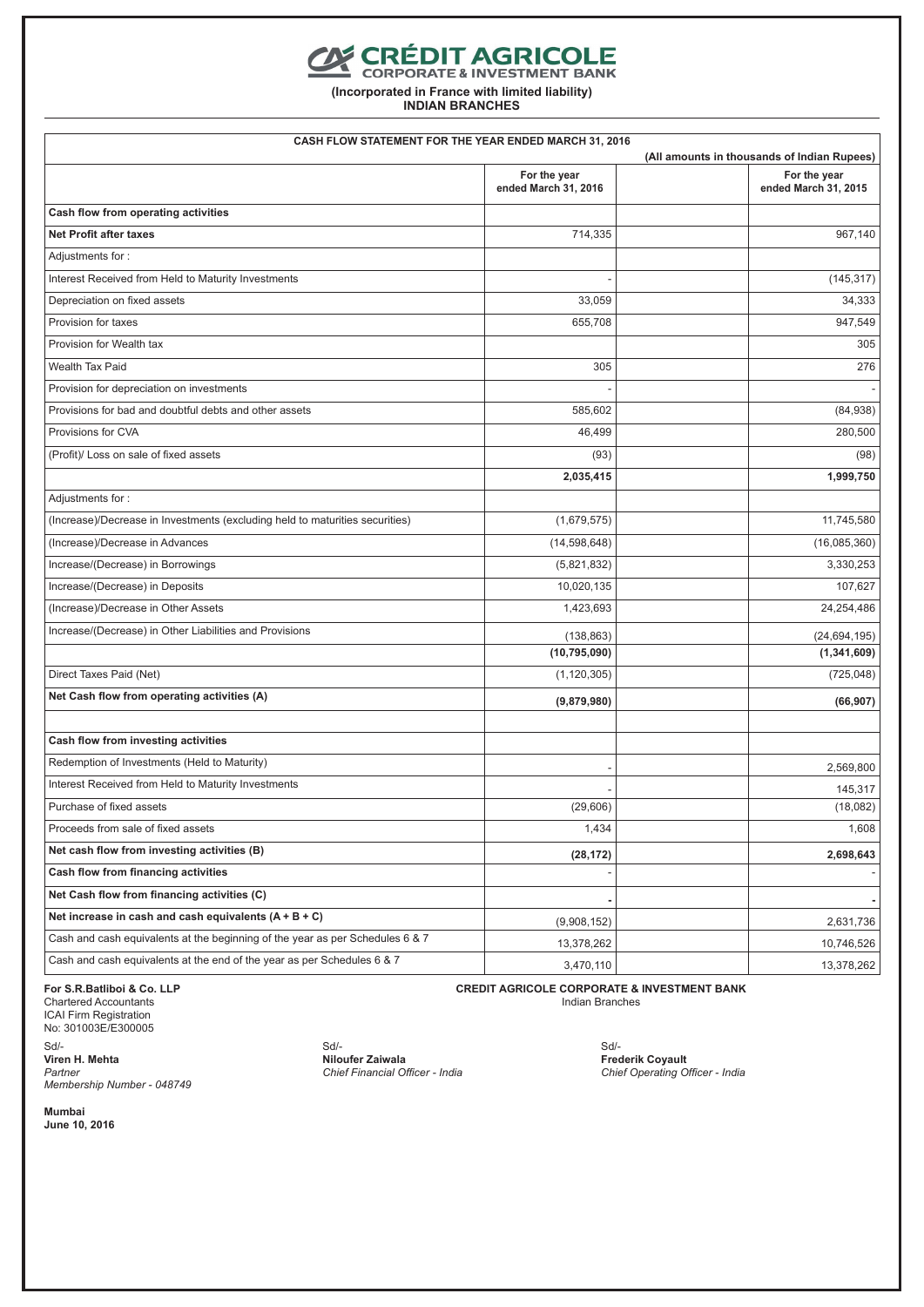## **CONTENT AGRICOLE**

**(Incorporated in France with limited liability)**

**INDIAN BRANCHES**

| CASH FLOW STATEMENT FOR THE YEAR ENDED MARCH 31, 2016                         |                                      | (All amounts in thousands of Indian Rupees) |
|-------------------------------------------------------------------------------|--------------------------------------|---------------------------------------------|
|                                                                               | For the year<br>ended March 31, 2016 | For the year<br>ended March 31, 2015        |
| Cash flow from operating activities                                           |                                      |                                             |
| <b>Net Profit after taxes</b>                                                 | 714,335                              | 967,140                                     |
| Adjustments for:                                                              |                                      |                                             |
| Interest Received from Held to Maturity Investments                           |                                      | (145, 317)                                  |
| Depreciation on fixed assets                                                  | 33,059                               | 34,333                                      |
| Provision for taxes                                                           | 655,708                              | 947,549                                     |
| Provision for Wealth tax                                                      |                                      | 305                                         |
| <b>Wealth Tax Paid</b>                                                        | 305                                  | 276                                         |
| Provision for depreciation on investments                                     |                                      |                                             |
| Provisions for bad and doubtful debts and other assets                        | 585,602                              | (84,938)                                    |
| Provisions for CVA                                                            | 46,499                               | 280,500                                     |
| (Profit)/ Loss on sale of fixed assets                                        | (93)                                 | (98)                                        |
|                                                                               | 2,035,415                            | 1,999,750                                   |
| Adjustments for:                                                              |                                      |                                             |
| (Increase)/Decrease in Investments (excluding held to maturities securities)  | (1,679,575)                          | 11,745,580                                  |
| (Increase)/Decrease in Advances                                               | (14, 598, 648)                       | (16,085,360)                                |
| Increase/(Decrease) in Borrowings                                             | (5,821,832)                          | 3,330,253                                   |
| Increase/(Decrease) in Deposits                                               | 10,020,135                           | 107,627                                     |
| (Increase)/Decrease in Other Assets                                           | 1,423,693                            | 24,254,486                                  |
| Increase/(Decrease) in Other Liabilities and Provisions                       | (138, 863)                           | (24, 694, 195)                              |
|                                                                               | (10, 795, 090)                       | (1, 341, 609)                               |
| Direct Taxes Paid (Net)                                                       | (1, 120, 305)                        | (725, 048)                                  |
| Net Cash flow from operating activities (A)                                   | (9,879,980)                          | (66, 907)                                   |
| Cash flow from investing activities                                           |                                      |                                             |
| Redemption of Investments (Held to Maturity)                                  |                                      | 2,569,800                                   |
| Interest Received from Held to Maturity Investments                           |                                      | 145,317                                     |
| Purchase of fixed assets                                                      | (29, 606)                            | (18,082)                                    |
| Proceeds from sale of fixed assets                                            | 1,434                                | 1,608                                       |
| Net cash flow from investing activities (B)                                   | (28, 172)                            | 2,698,643                                   |
| Cash flow from financing activities                                           |                                      |                                             |
| Net Cash flow from financing activities (C)                                   |                                      |                                             |
| Net increase in cash and cash equivalents $(A + B + C)$                       | (9,908,152)                          | 2,631,736                                   |
| Cash and cash equivalents at the beginning of the year as per Schedules 6 & 7 | 13,378,262                           | 10,746,526                                  |
| Cash and cash equivalents at the end of the year as per Schedules 6 & 7       | 3,470,110                            | 13,378,262                                  |

**For S.R.Batliboi & Co. LLP** Chartered Accountants ICAI Firm Registration No: 301003E/E300005 Sd/- **Viren H. Mehta** *Partner Membership Number - 048749*

Sd/- **Niloufer Zaiwala** *Chief Financial Officer - India*

**CREDIT AGRICOLE CORPORATE & INVESTMENT BANK** Indian Branches

> Sd/- **Frederik Coyault** *Chief Operating Officer - India*

**Mumbai June 10, 2016**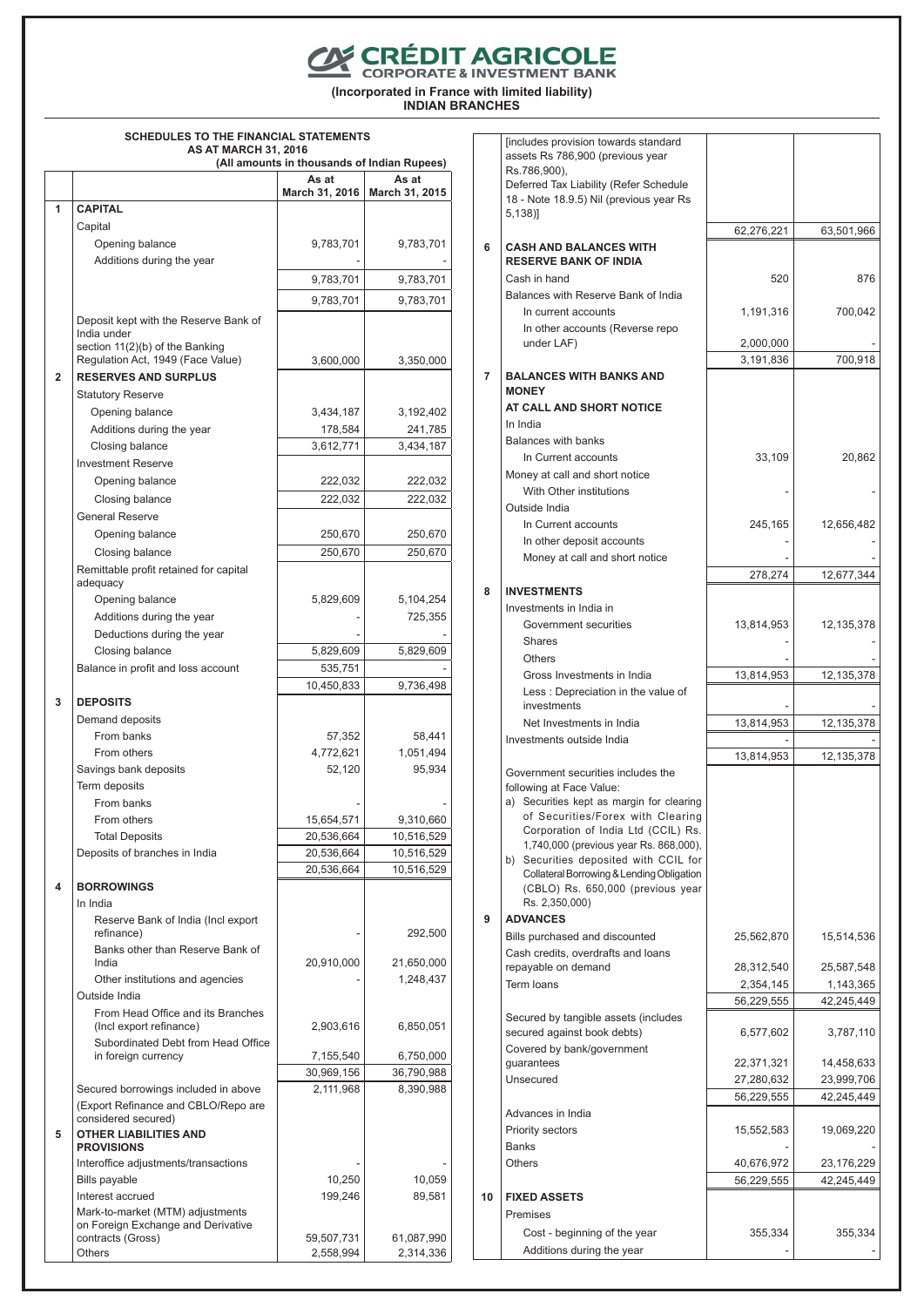**CONTENT AGRICOLE** 

**(Incorporated in France with limited liability) INDIAN BRANCHES**

## **SCHEDULES TO THE FINANCIAL STATEMENTS AS AT MARCH 31, 2016**

|                |                                                           | (All amounts in thousands of Indian Rupees) |                         |
|----------------|-----------------------------------------------------------|---------------------------------------------|-------------------------|
|                |                                                           | As at                                       | As at                   |
|                |                                                           | March 31, 2016                              | March 31, 2015          |
| 1              | <b>CAPITAL</b>                                            |                                             |                         |
|                | Capital                                                   |                                             |                         |
|                | Opening balance                                           | 9,783,701                                   | 9,783,701               |
|                | Additions during the year                                 |                                             |                         |
|                |                                                           | 9,783,701                                   | 9,783,701               |
|                |                                                           | 9,783,701                                   | 9,783,701               |
|                | Deposit kept with the Reserve Bank of                     |                                             |                         |
|                | India under                                               |                                             |                         |
|                | section 11(2)(b) of the Banking                           |                                             |                         |
|                | Regulation Act, 1949 (Face Value)                         | 3,600,000                                   | 3,350,000               |
| $\overline{2}$ | <b>RESERVES AND SURPLUS</b>                               |                                             |                         |
|                | <b>Statutory Reserve</b>                                  |                                             |                         |
|                | Opening balance                                           | 3,434,187                                   | 3,192,402               |
|                | Additions during the year                                 | 178,584                                     | 241,785                 |
|                | Closing balance                                           | 3,612,771                                   | 3,434,187               |
|                | <b>Investment Reserve</b>                                 |                                             |                         |
|                | Opening balance                                           | 222,032                                     | 222,032                 |
|                | Closing balance                                           | 222,032                                     | 222,032                 |
|                | <b>General Reserve</b>                                    |                                             |                         |
|                | Opening balance                                           | 250,670                                     | 250,670                 |
|                | Closing balance                                           | 250,670                                     | 250,670                 |
|                | Remittable profit retained for capital                    |                                             |                         |
|                | adequacy                                                  |                                             |                         |
|                | Opening balance                                           | 5,829,609                                   | 5,104,254               |
|                | Additions during the year                                 |                                             | 725,355                 |
|                | Deductions during the year                                |                                             |                         |
|                | Closing balance                                           | 5,829,609                                   | 5,829,609               |
|                | Balance in profit and loss account                        | 535,751                                     |                         |
|                |                                                           | 10,450,833                                  | 9,736,498               |
| 3              | <b>DEPOSITS</b>                                           |                                             |                         |
|                | Demand deposits                                           |                                             |                         |
|                | From banks                                                | 57,352                                      | 58,441                  |
|                | From others                                               | 4,772,621                                   | 1,051,494               |
|                | Savings bank deposits                                     | 52,120                                      | 95,934                  |
|                | Term deposits                                             |                                             |                         |
|                | From banks                                                |                                             |                         |
|                | From others                                               | 15,654,571                                  | 9,310,660               |
|                | <b>Total Deposits</b>                                     | 20,536,664                                  | 10,516,529              |
|                | Deposits of branches in India                             | 20,536,664                                  | 10,516,529              |
|                |                                                           | 20,536,664                                  | 10,516,529              |
| 4              | <b>BORROWINGS</b>                                         |                                             |                         |
|                | In India                                                  |                                             |                         |
|                | Reserve Bank of India (Incl export                        |                                             |                         |
|                | refinance)                                                |                                             | 292,500                 |
|                | Banks other than Reserve Bank of                          |                                             |                         |
|                | India                                                     | 20,910,000                                  | 21,650,000              |
|                | Other institutions and agencies                           |                                             | 1,248,437               |
|                | Outside India                                             |                                             |                         |
|                | From Head Office and its Branches                         |                                             |                         |
|                | (Incl export refinance)                                   | 2,903,616                                   | 6,850,051               |
|                | Subordinated Debt from Head Office<br>in foreign currency | 7,155,540                                   | 6,750,000               |
|                |                                                           | 30,969,156                                  |                         |
|                | Secured borrowings included in above                      | 2,111,968                                   | 36,790,988<br>8,390,988 |
|                | (Export Refinance and CBLO/Repo are                       |                                             |                         |
|                | considered secured)                                       |                                             |                         |
| 5              | <b>OTHER LIABILITIES AND</b>                              |                                             |                         |
|                | <b>PROVISIONS</b>                                         |                                             |                         |
|                | Interoffice adjustments/transactions                      |                                             |                         |
|                | <b>Bills payable</b>                                      | 10,250                                      | 10,059                  |
|                | Interest accrued                                          | 199,246                                     | 89,581                  |
|                | Mark-to-market (MTM) adjustments                          |                                             |                         |
|                | on Foreign Exchange and Derivative<br>contracts (Gross)   | 59,507,731                                  | 61,087,990              |
|                | <b>Others</b>                                             | 2,558,994                                   | 2,314,336               |
|                |                                                           |                                             |                         |

|                | fincludes provision towards standard                                          |                          |                          |
|----------------|-------------------------------------------------------------------------------|--------------------------|--------------------------|
|                | assets Rs 786,900 (previous year<br>Rs.786,900),                              |                          |                          |
|                | Deferred Tax Liability (Refer Schedule                                        |                          |                          |
|                | 18 - Note 18.9.5) Nil (previous year Rs                                       |                          |                          |
|                | $5,138$ ]                                                                     |                          |                          |
|                |                                                                               | 62,276,221               | 63,501,966               |
| 6              | <b>CASH AND BALANCES WITH</b>                                                 |                          |                          |
|                | <b>RESERVE BANK OF INDIA</b>                                                  |                          |                          |
|                | Cash in hand<br>Balances with Reserve Bank of India                           | 520                      | 876                      |
|                | In current accounts                                                           | 1,191,316                | 700,042                  |
|                | In other accounts (Reverse repo                                               |                          |                          |
|                | under LAF)                                                                    | 2,000,000                |                          |
|                |                                                                               | 3,191,836                | 700,918                  |
| $\overline{7}$ | <b>BALANCES WITH BANKS AND</b>                                                |                          |                          |
|                | <b>MONEY</b>                                                                  |                          |                          |
|                | AT CALL AND SHORT NOTICE                                                      |                          |                          |
|                | In India                                                                      |                          |                          |
|                | <b>Balances with banks</b>                                                    |                          |                          |
|                | In Current accounts                                                           | 33,109                   | 20,862                   |
|                | Money at call and short notice                                                |                          |                          |
|                | With Other institutions                                                       |                          |                          |
|                | Outside India<br>In Current accounts                                          | 245,165                  | 12,656,482               |
|                | In other deposit accounts                                                     |                          |                          |
|                | Money at call and short notice                                                |                          |                          |
|                |                                                                               | 278,274                  | 12,677,344               |
| 8              | <b>INVESTMENTS</b>                                                            |                          |                          |
|                | Investments in India in                                                       |                          |                          |
|                | Government securities                                                         | 13,814,953               | 12,135,378               |
|                | <b>Shares</b>                                                                 |                          |                          |
|                | <b>Others</b>                                                                 |                          |                          |
|                | Gross Investments in India                                                    | 13,814,953               | 12,135,378               |
|                | Less: Depreciation in the value of                                            |                          |                          |
|                | investments                                                                   |                          |                          |
|                | Net Investments in India<br>Investments outside India                         | 13,814,953               | 12,135,378               |
|                |                                                                               | 13,814,953               | 12,135,378               |
|                | Government securities includes the                                            |                          |                          |
|                | following at Face Value:                                                      |                          |                          |
|                | a) Securities kept as margin for clearing                                     |                          |                          |
|                | of Securities/Forex with Clearing                                             |                          |                          |
|                | Corporation of India Ltd (CCIL) Rs.<br>1,740,000 (previous year Rs. 868,000), |                          |                          |
|                | b) Securities deposited with CCIL for                                         |                          |                          |
|                | Collateral Borrowing & Lending Obligation                                     |                          |                          |
|                | (CBLO) Rs. 650,000 (previous year                                             |                          |                          |
| 9              | Rs. 2,350,000)<br><b>ADVANCES</b>                                             |                          |                          |
|                | Bills purchased and discounted                                                | 25,562,870               | 15,514,536               |
|                | Cash credits, overdrafts and loans                                            |                          |                          |
|                | repayable on demand                                                           | 28,312,540               | 25,587,548               |
|                | Term loans                                                                    | 2,354,145                | 1,143,365                |
|                |                                                                               | 56,229,555               | 42,245,449               |
|                | Secured by tangible assets (includes                                          |                          |                          |
|                | secured against book debts)                                                   | 6,577,602                | 3,787,110                |
|                | Covered by bank/government                                                    |                          |                          |
|                | guarantees                                                                    | 22,371,321               | 14,458,633               |
|                | Unsecured                                                                     | 27,280,632<br>56,229,555 | 23,999,706<br>42,245,449 |
|                | Advances in India                                                             |                          |                          |
|                | <b>Priority sectors</b>                                                       | 15,552,583               | 19,069,220               |
|                | <b>Banks</b>                                                                  |                          |                          |
|                | Others                                                                        | 40,676,972               | 23,176,229               |
|                |                                                                               | 56,229,555               | 42,245,449               |
| 10             | <b>FIXED ASSETS</b>                                                           |                          |                          |
|                | Premises                                                                      |                          |                          |
|                | Cost - beginning of the year                                                  | 355,334                  | 355,334                  |
|                | Additions during the year                                                     |                          |                          |
|                |                                                                               |                          |                          |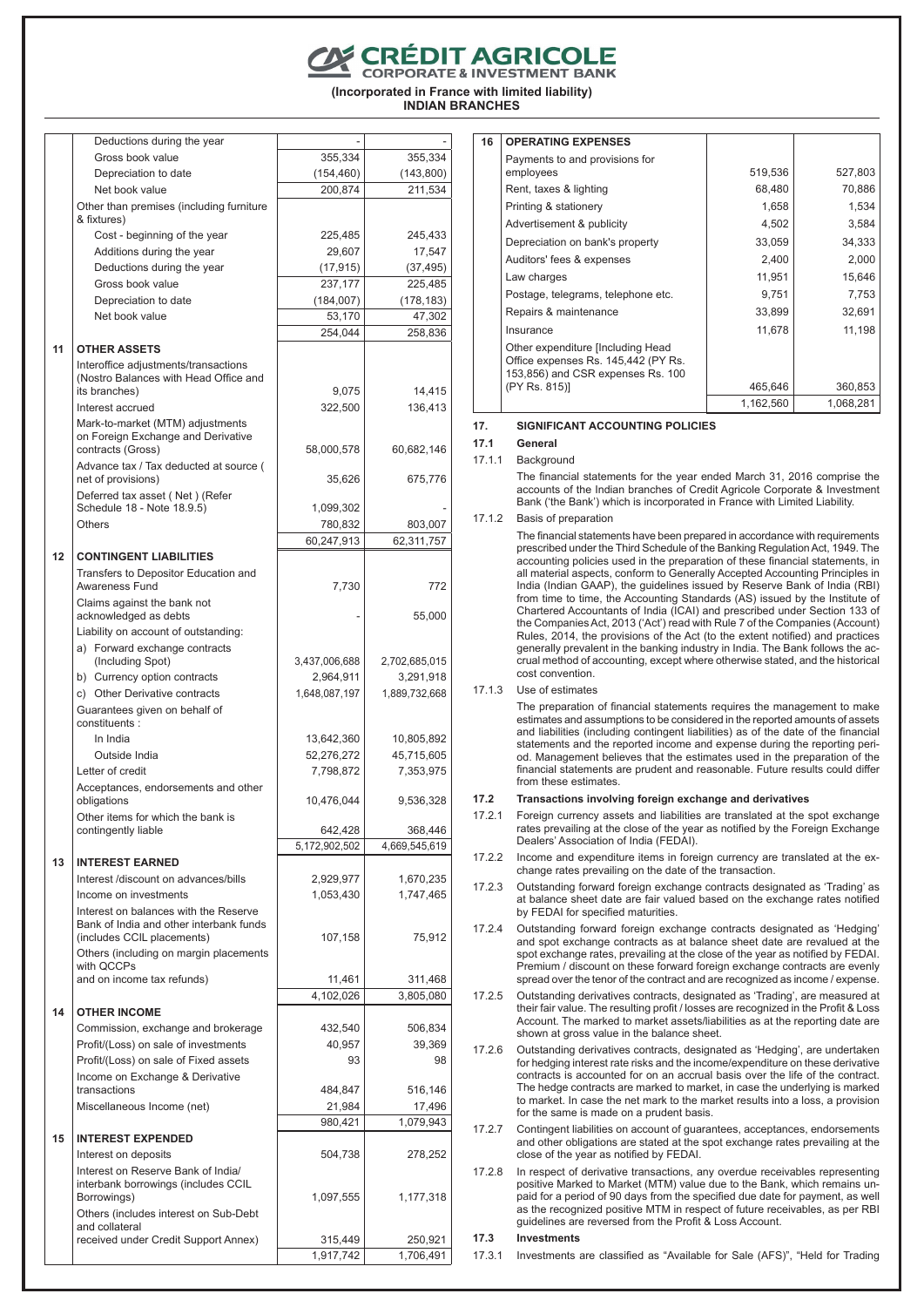**CRÉDIT AGRICOLE**<br>CORPORATE & INVESTMENT BANK

**(Incorporated in France with limited liability) INDIAN BRANCHES**

| Deductions during the year                                                                                |                      |                      |
|-----------------------------------------------------------------------------------------------------------|----------------------|----------------------|
| Gross book value                                                                                          | 355,334              | 355,334              |
| Depreciation to date                                                                                      | (154, 460)           | (143, 800)           |
| Net book value<br>Other than premises (including furniture<br>& fixtures)                                 | 200,874              | 211,534              |
| Cost - beginning of the year                                                                              | 225,485              | 245,433              |
| Additions during the year                                                                                 | 29,607               | 17,547               |
| Deductions during the year                                                                                | (17, 915)            | (37, 495)            |
| Gross book value                                                                                          | 237,177              | 225,485              |
| Depreciation to date                                                                                      | (184,007)            | (178, 183)           |
| Net book value                                                                                            | 53,170               | 47,302               |
|                                                                                                           | 254,044              | 258,836              |
| 11<br><b>OTHER ASSETS</b><br>Interoffice adjustments/transactions                                         |                      |                      |
| (Nostro Balances with Head Office and<br>its branches)                                                    | 9,075                | 14,415               |
| Interest accrued                                                                                          | 322,500              | 136,413              |
| Mark-to-market (MTM) adjustments<br>on Foreign Exchange and Derivative                                    |                      |                      |
| contracts (Gross)<br>Advance tax / Tax deducted at source (                                               | 58,000,578           | 60,682,146           |
| net of provisions)<br>Deferred tax asset (Net) (Refer                                                     | 35,626               | 675,776              |
| Schedule 18 - Note 18.9.5)                                                                                | 1,099,302            |                      |
| Others                                                                                                    | 780,832              | 803,007              |
|                                                                                                           | 60,247,913           | 62,311,757           |
| 12<br><b>CONTINGENT LIABILITIES</b><br>Transfers to Depositor Education and                               |                      |                      |
| Awareness Fund<br>Claims against the bank not                                                             | 7,730                | 772                  |
| acknowledged as debts<br>Liability on account of outstanding:                                             |                      | 55,000               |
| a) Forward exchange contracts<br>(Including Spot)                                                         | 3,437,006,688        | 2,702,685,015        |
| b) Currency option contracts                                                                              | 2,964,911            | 3,291,918            |
| c) Other Derivative contracts                                                                             | 1,648,087,197        | 1,889,732,668        |
| Guarantees given on behalf of<br>constituents:                                                            |                      |                      |
| In India                                                                                                  | 13,642,360           | 10,805,892           |
| Outside India                                                                                             | 52,276,272           | 45,715,605           |
| Letter of credit                                                                                          | 7,798,872            | 7,353,975            |
| Acceptances, endorsements and other<br>obligations                                                        | 10,476,044           | 9,536,328            |
| Other items for which the bank is<br>contingently liable                                                  | 642,428              | 368,446              |
|                                                                                                           | 5,172,902,502        | 4,669,545,619        |
| 13<br><b>INTEREST EARNED</b>                                                                              |                      |                      |
| Interest /discount on advances/bills                                                                      | 2,929,977            | 1,670,235            |
| Income on investments<br>Interest on balances with the Reserve<br>Bank of India and other interbank funds | 1,053,430            | 1,747,465            |
| (includes CCIL placements)<br>Others (including on margin placements                                      | 107,158              | 75,912               |
| with OCCPs                                                                                                |                      |                      |
| and on income tax refunds)                                                                                | 11,461               | 311,468              |
|                                                                                                           | 4,102,026            | 3,805,080            |
| <b>OTHER INCOME</b>                                                                                       |                      |                      |
| Commission, exchange and brokerage                                                                        | 432,540              | 506,834              |
| Profit/(Loss) on sale of investments<br>Profit/(Loss) on sale of Fixed assets                             | 40,957<br>93         | 39,369<br>98         |
| Income on Exchange & Derivative<br>transactions                                                           | 484,847              | 516,146              |
| Miscellaneous Income (net)                                                                                | 21,984               | 17,496               |
|                                                                                                           | 980,421              | 1,079,943            |
| <b>INTEREST EXPENDED</b>                                                                                  |                      |                      |
| Interest on deposits<br>Interest on Reserve Bank of India/<br>interbank borrowings (includes CCIL         | 504,738              | 278,252              |
| Borrowings)<br>Others (includes interest on Sub-Debt                                                      | 1,097,555            | 1,177,318            |
| and collateral                                                                                            |                      |                      |
| received under Credit Support Annex)                                                                      | 315,449<br>1.917.742 | 250,921<br>1.706.491 |
|                                                                                                           |                      |                      |

| 16 | <b>OPERATING EXPENSES</b>                                                                                     |           |           |
|----|---------------------------------------------------------------------------------------------------------------|-----------|-----------|
|    | Payments to and provisions for<br>employees                                                                   | 519,536   | 527,803   |
|    | Rent, taxes & lighting                                                                                        | 68,480    | 70,886    |
|    | Printing & stationery                                                                                         | 1,658     | 1,534     |
|    | Advertisement & publicity                                                                                     | 4,502     | 3,584     |
|    | Depreciation on bank's property                                                                               | 33,059    | 34,333    |
|    | Auditors' fees & expenses                                                                                     | 2,400     | 2,000     |
|    | Law charges                                                                                                   | 11,951    | 15,646    |
|    | Postage, telegrams, telephone etc.                                                                            | 9,751     | 7,753     |
|    | Repairs & maintenance                                                                                         | 33,899    | 32,691    |
|    | Insurance                                                                                                     | 11,678    | 11,198    |
|    | Other expenditure [Including Head<br>Office expenses Rs. 145,442 (PY Rs.<br>153,856) and CSR expenses Rs. 100 |           |           |
|    | (PY Rs. 815)]                                                                                                 | 465,646   | 360,853   |
|    |                                                                                                               | 1,162,560 | 1,068,281 |

#### **17. SIGNIFICANT ACCOUNTING POLICIES**

## **17.1 General**

17.1.1 Background

The financial statements for the year ended March 31, 2016 comprise the accounts of the Indian branches of Credit Agricole Corporate & Investment Bank ('the Bank') which is incorporated in France with Limited Liability.

17.1.2 Basis of preparation

The financial statements have been prepared in accordance with requirements prescribed under the Third Schedule of the Banking Regulation Act, 1949. The accounting policies used in the preparation of these financial statements, in all material aspects, conform to Generally Accepted Accounting Principles in India (Indian GAAP), the guidelines issued by Reserve Bank of India (RBI) from time to time, the Accounting Standards (AS) issued by the Institute of Chartered Accountants of India (ICAI) and prescribed under Section 133 of the Companies Act, 2013 ('Act') read with Rule 7 of the Companies (Account) Rules, 2014, the provisions of the Act (to the extent notified) and practices generally prevalent in the banking industry in India. The Bank follows the accrual method of accounting, except where otherwise stated, and the historical cost convention.

17.1.3 Use of estimates

The preparation of financial statements requires the management to make estimates and assumptions to be considered in the reported amounts of assets and liabilities (including contingent liabilities) as of the date of the financial statements and the reported income and expense during the reporting period. Management believes that the estimates used in the preparation of the financial statements are prudent and reasonable. Future results could differ from these estimates.

## **17.2 Transactions involving foreign exchange and derivatives**

- 17.2.1 Foreign currency assets and liabilities are translated at the spot exchange rates prevailing at the close of the year as notified by the Foreign Exchange Dealers' Association of India (FEDAI).
- 17.2.2 Income and expenditure items in foreign currency are translated at the exchange rates prevailing on the date of the transaction.
- 17.2.3 Outstanding forward foreign exchange contracts designated as 'Trading' as at balance sheet date are fair valued based on the exchange rates notified by FEDAI for specified maturities.
- 17.2.4 Outstanding forward foreign exchange contracts designated as 'Hedging' and spot exchange contracts as at balance sheet date are revalued at the spot exchange rates, prevailing at the close of the year as notified by FEDAI. Premium / discount on these forward foreign exchange contracts are evenly spread over the tenor of the contract and are recognized as income / expense.
- 17.2.5 Outstanding derivatives contracts, designated as 'Trading', are measured at their fair value. The resulting profit / losses are recognized in the Profit & Loss Account. The marked to market assets/liabilities as at the reporting date are shown at gross value in the balance sheet.
- 17.2.6 Outstanding derivatives contracts, designated as 'Hedging', are undertaken for hedging interest rate risks and the income/expenditure on these derivative contracts is accounted for on an accrual basis over the life of the contract. The hedge contracts are marked to market, in case the underlying is marked to market. In case the net mark to the market results into a loss, a provision for the same is made on a prudent basis.
- 17.2.7 Contingent liabilities on account of guarantees, acceptances, endorsements and other obligations are stated at the spot exchange rates prevailing at the close of the year as notified by FEDAI.
- 17.2.8 In respect of derivative transactions, any overdue receivables representing positive Marked to Market (MTM) value due to the Bank, which remains unpaid for a period of 90 days from the specified due date for payment, as well as the recognized positive MTM in respect of future receivables, as per RBI guidelines are reversed from the Profit & Loss Account.

## **17.3 Investments**

17.3.1 Investments are classified as "Available for Sale (AFS)", "Held for Trading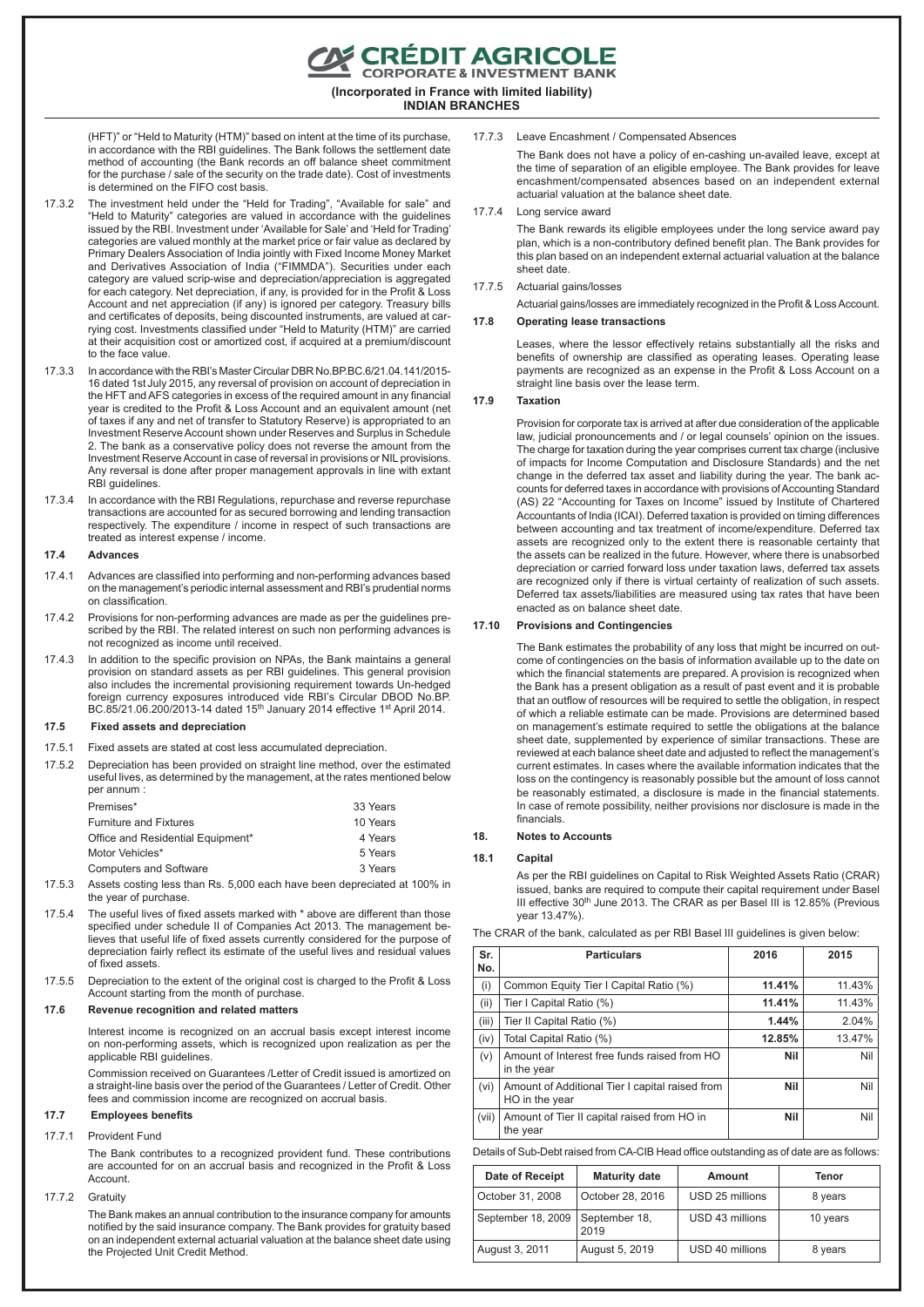E CRÉDIT AGRICOLE<br>CORPORATE & INVESTMENT BANK

**(Incorporated in France with limited liability)**

**INDIAN BRANCHES**

(HFT)" or "Held to Maturity (HTM)" based on intent at the time of its purchase, in accordance with the RBI guidelines. The Bank follows the settlement date method of accounting (the Bank records an off balance sheet commitment for the purchase / sale of the security on the trade date). Cost of investments is determined on the FIFO cost basis.

- 17.3.2 The investment held under the "Held for Trading", "Available for sale" and "Held to Maturity" categories are valued in accordance with the guidelines issued by the RBI. Investment under 'Available for Sale' and 'Held for Trading' categories are valued monthly at the market price or fair value as declared by Primary Dealers Association of India jointly with Fixed Income Money Market and Derivatives Association of India ("FIMMDA"). Securities under each category are valued scrip-wise and depreciation/appreciation is aggregated for each category. Net depreciation, if any, is provided for in the Profit & Loss Account and net appreciation (if any) is ignored per category. Treasury bills and certificates of deposits, being discounted instruments, are valued at carrying cost. Investments classified under "Held to Maturity (HTM)" are carried at their acquisition cost or amortized cost, if acquired at a premium/discount to the face value.
- 17.3.3 In accordance with the RBI's Master Circular DBR No.BP.BC.6/21.04.141/2015- 16 dated 1st July 2015, any reversal of provision on account of depreciation in the HFT and AFS categories in excess of the required amount in any financial year is credited to the Profit & Loss Account and an equivalent amount (net of taxes if any and net of transfer to Statutory Reserve) is appropriated to an Investment Reserve Account shown under Reserves and Surplus in Schedule 2. The bank as a conservative policy does not reverse the amount from the Investment Reserve Account in case of reversal in provisions or NIL provisions. Any reversal is done after proper management approvals in line with extant RBI guidelines.
- 17.3.4 In accordance with the RBI Regulations, repurchase and reverse repurchase transactions are accounted for as secured borrowing and lending transaction respectively. The expenditure / income in respect of such transactions are treated as interest expense / income.

### **17.4 Advances**

- 17.4.1 Advances are classified into performing and non-performing advances based on the management's periodic internal assessment and RBI's prudential norms on classification.
- 17.4.2 Provisions for non-performing advances are made as per the guidelines prescribed by the RBI. The related interest on such non performing advances is not recognized as income until received.
- 17.4.3 In addition to the specific provision on NPAs, the Bank maintains a general provision on standard assets as per RBI guidelines. This general provision also includes the incremental provisioning requirement towards Un-hedged foreign currency exposures introduced vide RBI's Circular DBOD No.BP. BC.85/21.06.200/2013-14 dated 15<sup>th</sup> January 2014 effective 1<sup>st</sup> April 2014.

### **17.5 Fixed assets and depreciation**

- 17.5.1 Fixed assets are stated at cost less accumulated depreciation.
- 17.5.2 Depreciation has been provided on straight line method, over the estimated useful lives, as determined by the management, at the rates mentioned below per annum :

| Premises*                         | 33 Years |
|-----------------------------------|----------|
| <b>Furniture and Fixtures</b>     | 10 Years |
| Office and Residential Equipment* | 4 Years  |
| Motor Vehicles*                   | 5 Years  |
| <b>Computers and Software</b>     | 3 Years  |

- 17.5.3 Assets costing less than Rs. 5,000 each have been depreciated at 100% in the year of purchase.
- 17.5.4 The useful lives of fixed assets marked with \* above are different than those specified under schedule II of Companies Act 2013. The management believes that useful life of fixed assets currently considered for the purpose of depreciation fairly reflect its estimate of the useful lives and residual values of fixed assets.
- 17.5.5 Depreciation to the extent of the original cost is charged to the Profit & Loss Account starting from the month of purchase.

#### **17.6 Revenue recognition and related matters**

Interest income is recognized on an accrual basis except interest income on non-performing assets, which is recognized upon realization as per the applicable RBI guidelines.

Commission received on Guarantees /Letter of Credit issued is amortized on a straight-line basis over the period of the Guarantees / Letter of Credit. Other fees and commission income are recognized on accrual basis.

## **17.7 Employees benefits**

17.7.1 Provident Fund

The Bank contributes to a recognized provident fund. These contributions are accounted for on an accrual basis and recognized in the Profit & Loss Account.

## 17.7.2 Gratuity

The Bank makes an annual contribution to the insurance company for amounts notified by the said insurance company. The Bank provides for gratuity based on an independent external actuarial valuation at the balance sheet date using the Projected Unit Credit Method.

## 17.7.3 Leave Encashment / Compensated Absences

The Bank does not have a policy of en-cashing un-availed leave, except at the time of separation of an eligible employee. The Bank provides for leave encashment/compensated absences based on an independent external actuarial valuation at the balance sheet date.

#### 17.7.4 Long service award

The Bank rewards its eligible employees under the long service award pay plan, which is a non-contributory defined benefit plan. The Bank provides for this plan based on an independent external actuarial valuation at the balance sheet date

#### 17.7.5 Actuarial gains/losses

Actuarial gains/losses are immediately recognized in the Profit & Loss Account.

#### **17.8 Operating lease transactions**

Leases, where the lessor effectively retains substantially all the risks and benefits of ownership are classified as operating leases. Operating lease payments are recognized as an expense in the Profit & Loss Account on a straight line basis over the lease term.

#### **17.9 Taxation**

Provision for corporate tax is arrived at after due consideration of the applicable law, judicial pronouncements and / or legal counsels' opinion on the issues. The charge for taxation during the year comprises current tax charge (inclusive of impacts for Income Computation and Disclosure Standards) and the net change in the deferred tax asset and liability during the year. The bank accounts for deferred taxes in accordance with provisions of Accounting Standard (AS) 22 "Accounting for Taxes on Income" issued by Institute of Chartered Accountants of India (ICAI). Deferred taxation is provided on timing differences between accounting and tax treatment of income/expenditure. Deferred tax assets are recognized only to the extent there is reasonable certainty that the assets can be realized in the future. However, where there is unabsorbed depreciation or carried forward loss under taxation laws, deferred tax assets are recognized only if there is virtual certainty of realization of such assets. Deferred tax assets/liabilities are measured using tax rates that have been enacted as on balance sheet date.

#### **17.10 Provisions and Contingencies**

The Bank estimates the probability of any loss that might be incurred on outcome of contingencies on the basis of information available up to the date on which the financial statements are prepared. A provision is recognized when the Bank has a present obligation as a result of past event and it is probable that an outflow of resources will be required to settle the obligation, in respect of which a reliable estimate can be made. Provisions are determined based on management's estimate required to settle the obligations at the balance sheet date, supplemented by experience of similar transactions. These are reviewed at each balance sheet date and adjusted to reflect the management's current estimates. In cases where the available information indicates that the loss on the contingency is reasonably possible but the amount of loss cannot be reasonably estimated, a disclosure is made in the financial statements. In case of remote possibility, neither provisions nor disclosure is made in the financials.

#### **18. Notes to Accounts**

#### **18.1 Capital**

As per the RBI guidelines on Capital to Risk Weighted Assets Ratio (CRAR) issued, banks are required to compute their capital requirement under Basel III effective 30<sup>th</sup> June 2013. The CRAR as per Basel III is 12.85% (Previous year 13.47%).

The CRAR of the bank, calculated as per RBI Basel III guidelines is given below:

| Sr.<br>No. | <b>Particulars</b>                                                | 2016   | 2015   |
|------------|-------------------------------------------------------------------|--------|--------|
| (i)        | Common Equity Tier I Capital Ratio (%)                            | 11.41% | 11.43% |
| (ii)       | Tier I Capital Ratio (%)                                          | 11.41% | 11.43% |
| (iii)      | Tier II Capital Ratio (%)                                         | 1.44%  | 2.04%  |
| (iv)       | Total Capital Ratio (%)                                           | 12.85% | 13.47% |
| (v)        | Amount of Interest free funds raised from HO<br>in the year       | Nil    | Nil    |
| (vi)       | Amount of Additional Tier I capital raised from<br>HO in the year | Nil    | Nil    |
| (vii)      | Amount of Tier II capital raised from HO in<br>the year           | Nil    | Nil    |

Details of Sub-Debt raised from CA-CIB Head office outstanding as of date are as follows:

| Date of Receipt    | <b>Maturity date</b>  | Amount          | Tenor    |
|--------------------|-----------------------|-----------------|----------|
| October 31, 2008   | October 28, 2016      | USD 25 millions | 8 years  |
| September 18, 2009 | September 18,<br>2019 | USD 43 millions | 10 years |
| August 3, 2011     | August 5, 2019        | USD 40 millions | 8 years  |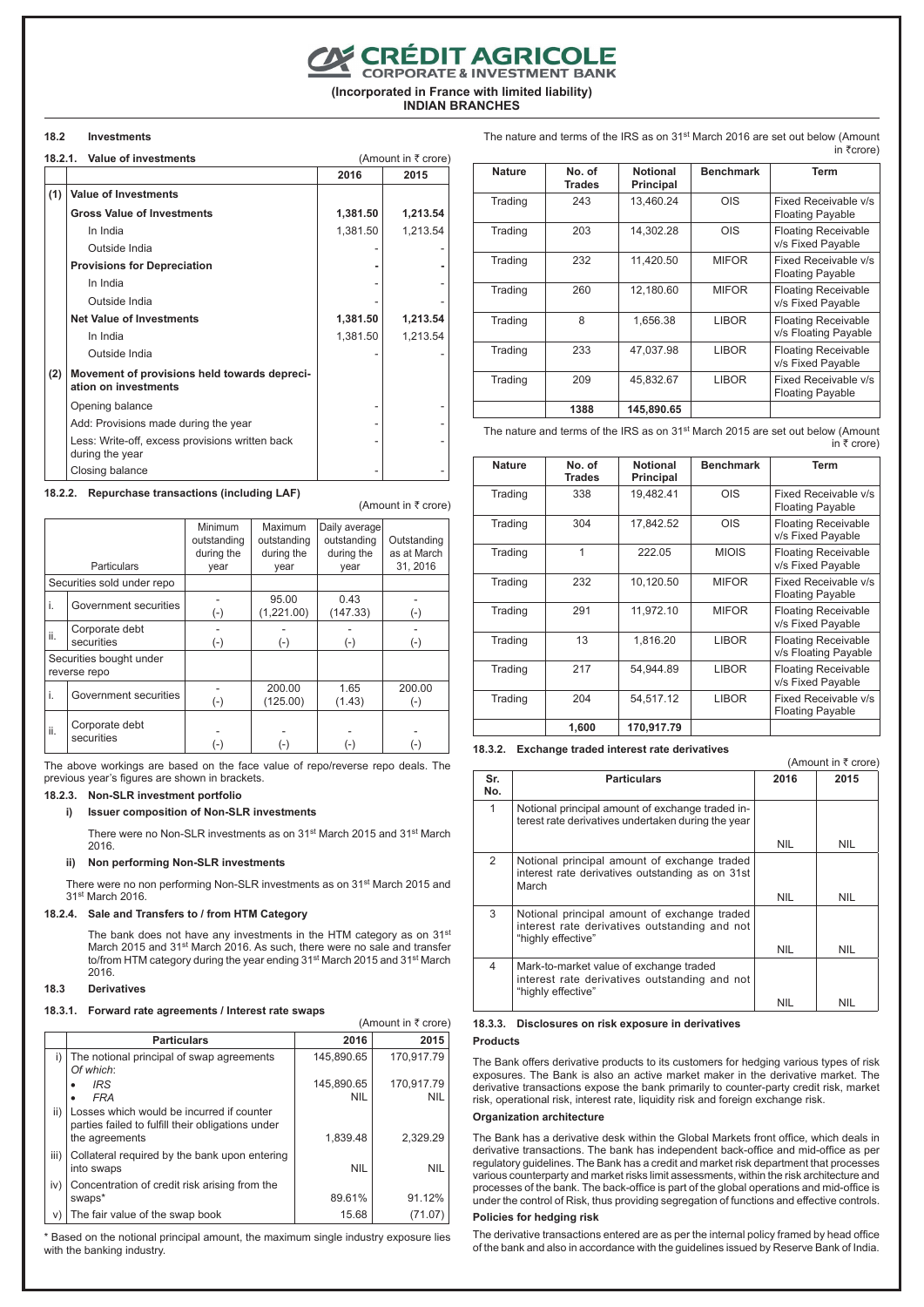## **CON CRÉDIT AGRICOLE**

**(Incorporated in France with limited liability)**

**INDIAN BRANCHES**

## **18.2 Investments**

|     | 18.2.1. Value of investments                                         |          | (Amount in ₹ crore) |
|-----|----------------------------------------------------------------------|----------|---------------------|
|     |                                                                      | 2016     | 2015                |
| (1) | <b>Value of Investments</b>                                          |          |                     |
|     | <b>Gross Value of Investments</b>                                    | 1,381.50 | 1,213.54            |
|     | In India                                                             | 1,381.50 | 1,213.54            |
|     | Outside India                                                        |          |                     |
|     | <b>Provisions for Depreciation</b>                                   |          |                     |
|     | In India                                                             |          |                     |
|     | Outside India                                                        |          |                     |
|     | <b>Net Value of Investments</b>                                      | 1,381.50 | 1,213.54            |
|     | In India                                                             | 1,381.50 | 1,213.54            |
|     | Outside India                                                        |          |                     |
| (2) | Movement of provisions held towards depreci-<br>ation on investments |          |                     |
|     | Opening balance                                                      |          |                     |
|     | Add: Provisions made during the year                                 |          |                     |
|     | Less: Write-off, excess provisions written back<br>during the year   |          |                     |
|     | Closing balance                                                      |          |                     |

## **18.2.2. Repurchase transactions (including LAF)**

(Amount in  $\bar{\tau}$  crore)

|                                         | <b>Particulars</b>           | Minimum<br>outstanding<br>during the<br>year | Maximum<br>outstanding<br>during the<br>year | Daily average<br>outstanding<br>during the<br>year | Outstanding<br>as at March<br>31, 2016 |
|-----------------------------------------|------------------------------|----------------------------------------------|----------------------------------------------|----------------------------------------------------|----------------------------------------|
|                                         | Securities sold under repo   |                                              |                                              |                                                    |                                        |
| i.                                      | Government securities        | $(\textnormal{-})$                           | 95.00<br>(1,221.00)                          | 0.43<br>(147.33)                                   | $(-)$                                  |
| ii.                                     | Corporate debt<br>securities | $(-)$                                        | $(-)$                                        | $(-)$                                              | $(-)$                                  |
| Securities bought under<br>reverse repo |                              |                                              |                                              |                                                    |                                        |
| i.                                      | Government securities        | $(-)$                                        | 200.00<br>(125.00)                           | 1.65<br>(1.43)                                     | 200.00<br>$(-)$                        |
| ii.                                     | Corporate debt<br>securities | $\left( -\right)$                            | (-)                                          | $\left( -\right)$                                  | (-)                                    |

The above workings are based on the face value of repo/reverse repo deals. The previous year's figures are shown in brackets.

## **18.2.3. Non-SLR investment portfolio**

## **i) Issuer composition of Non-SLR investments**

There were no Non-SLR investments as on 31st March 2015 and 31st March 2016.

#### **ii) Non performing Non-SLR investments**

There were no non performing Non-SLR investments as on 31st March 2015 and 31st March 2016.

## **18.2.4. Sale and Transfers to / from HTM Category**

The bank does not have any investments in the HTM category as on 31<sup>st</sup> March 2015 and 31<sup>st</sup> March 2016. As such, there were no sale and transfer to/from HTM category during the year ending 31<sup>st</sup> March 2015 and 31<sup>st</sup> March 2016.

#### **18.3 Derivatives**

#### **18.3.1. Forward rate agreements / Interest rate swaps**

|      |                                                                                                                  |                          | (Amount in ₹ crore)      |
|------|------------------------------------------------------------------------------------------------------------------|--------------------------|--------------------------|
|      | <b>Particulars</b>                                                                                               | 2016                     | 2015                     |
| i)   | The notional principal of swap agreements<br>Of which:                                                           | 145,890.65               | 170.917.79               |
|      | <b>IRS</b><br><b>FRA</b>                                                                                         | 145.890.65<br><b>NIL</b> | 170.917.79<br><b>NIL</b> |
| ii)  | Losses which would be incurred if counter<br>parties failed to fulfill their obligations under<br>the agreements | 1.839.48                 | 2.329.29                 |
| iii) | Collateral required by the bank upon entering<br>into swaps                                                      | <b>NIL</b>               | <b>NIL</b>               |
| iv)  | Concentration of credit risk arising from the<br>swaps*                                                          | 89.61%                   | 91.12%                   |
| V)   | The fair value of the swap book                                                                                  | 15.68                    | (71.07                   |

\* Based on the notional principal amount, the maximum single industry exposure lies with the banking industry.

| <b>Nature</b> | No. of<br><b>Trades</b> | <b>Notional</b><br><b>Principal</b> | <b>Benchmark</b> | <b>Term</b>                                        |
|---------------|-------------------------|-------------------------------------|------------------|----------------------------------------------------|
| Trading       | 243                     | 13.460.24                           | OIS              | Fixed Receivable v/s<br><b>Floating Payable</b>    |
| Trading       | 203                     | 14.302.28                           | OIS              | <b>Floating Receivable</b><br>v/s Fixed Payable    |
| Trading       | 232                     | 11,420.50                           | <b>MIFOR</b>     | Fixed Receivable v/s<br><b>Floating Payable</b>    |
| Trading       | 260                     | 12,180.60                           | <b>MIFOR</b>     | <b>Floating Receivable</b><br>v/s Fixed Payable    |
| Trading       | 8                       | 1,656.38                            | <b>LIBOR</b>     | <b>Floating Receivable</b><br>v/s Floating Payable |
| Trading       | 233                     | 47.037.98                           | <b>LIBOR</b>     | <b>Floating Receivable</b><br>v/s Fixed Payable    |
| Trading       | 209                     | 45.832.67                           | <b>LIBOR</b>     | Fixed Receivable v/s<br><b>Floating Payable</b>    |
|               | 1388                    | 145.890.65                          |                  |                                                    |

The nature and terms of the IRS as on 31<sup>st</sup> March 2016 are set out below (Amount

in  $\overline{\tau}$ crore)

 $(Amount in *7* or *or*)$ 

The nature and terms of the IRS as on 31<sup>st</sup> March 2015 are set out below (Amount ...  $\frac{1}{x}$  crore)

| <b>Nature</b> | No. of<br><b>Trades</b> | <b>Notional</b><br><b>Principal</b> | <b>Benchmark</b> | <b>Term</b>                                        |
|---------------|-------------------------|-------------------------------------|------------------|----------------------------------------------------|
| Trading       | 338                     | 19.482.41                           | OIS              | Fixed Receivable v/s<br><b>Floating Payable</b>    |
| Trading       | 304                     | 17.842.52                           | OIS              | <b>Floating Receivable</b><br>v/s Fixed Payable    |
| Trading       | 1                       | 222.05                              | <b>MIOIS</b>     | <b>Floating Receivable</b><br>v/s Fixed Payable    |
| Trading       | 232                     | 10,120.50                           | <b>MIFOR</b>     | Fixed Receivable v/s<br><b>Floating Payable</b>    |
| Trading       | 291                     | 11,972.10                           | <b>MIFOR</b>     | <b>Floating Receivable</b><br>v/s Fixed Payable    |
| Trading       | 13                      | 1,816.20                            | <b>LIBOR</b>     | <b>Floating Receivable</b><br>v/s Floating Payable |
| Trading       | 217                     | 54.944.89                           | <b>LIBOR</b>     | <b>Floating Receivable</b><br>v/s Fixed Payable    |
| Trading       | 204                     | 54.517.12                           | <b>LIBOR</b>     | Fixed Receivable v/s<br><b>Floating Payable</b>    |
|               | 1,600                   | 170,917.79                          |                  |                                                    |

**18.3.2. Exchange traded interest rate derivatives**

| Sr.<br>No. | <b>Particulars</b>                                                                                                  | 2016       | 2015       |
|------------|---------------------------------------------------------------------------------------------------------------------|------------|------------|
| 1          | Notional principal amount of exchange traded in-<br>terest rate derivatives undertaken during the year              |            |            |
|            |                                                                                                                     | <b>NIL</b> | <b>NIL</b> |
| 2          | Notional principal amount of exchange traded<br>interest rate derivatives outstanding as on 31st<br>March           |            |            |
|            |                                                                                                                     | <b>NIL</b> | <b>NIL</b> |
| 3          | Notional principal amount of exchange traded<br>interest rate derivatives outstanding and not<br>"highly effective" |            |            |
|            |                                                                                                                     | <b>NIL</b> | <b>NIL</b> |
| 4          | Mark-to-market value of exchange traded<br>interest rate derivatives outstanding and not<br>"highly effective"      |            |            |
|            |                                                                                                                     | nil        | nil        |

#### **18.3.3. Disclosures on risk exposure in derivatives**

#### **Products**

The Bank offers derivative products to its customers for hedging various types of risk exposures. The Bank is also an active market maker in the derivative market. The derivative transactions expose the bank primarily to counter-party credit risk, market risk, operational risk, interest rate, liquidity risk and foreign exchange risk.

#### **Organization architecture**

The Bank has a derivative desk within the Global Markets front office, which deals in derivative transactions. The bank has independent back-office and mid-office as per regulatory guidelines. The Bank has a credit and market risk department that processes various counterparty and market risks limit assessments, within the risk architecture and processes of the bank. The back-office is part of the global operations and mid-office is under the control of Risk, thus providing segregation of functions and effective controls.

#### **Policies for hedging risk**

The derivative transactions entered are as per the internal policy framed by head office of the bank and also in accordance with the guidelines issued by Reserve Bank of India.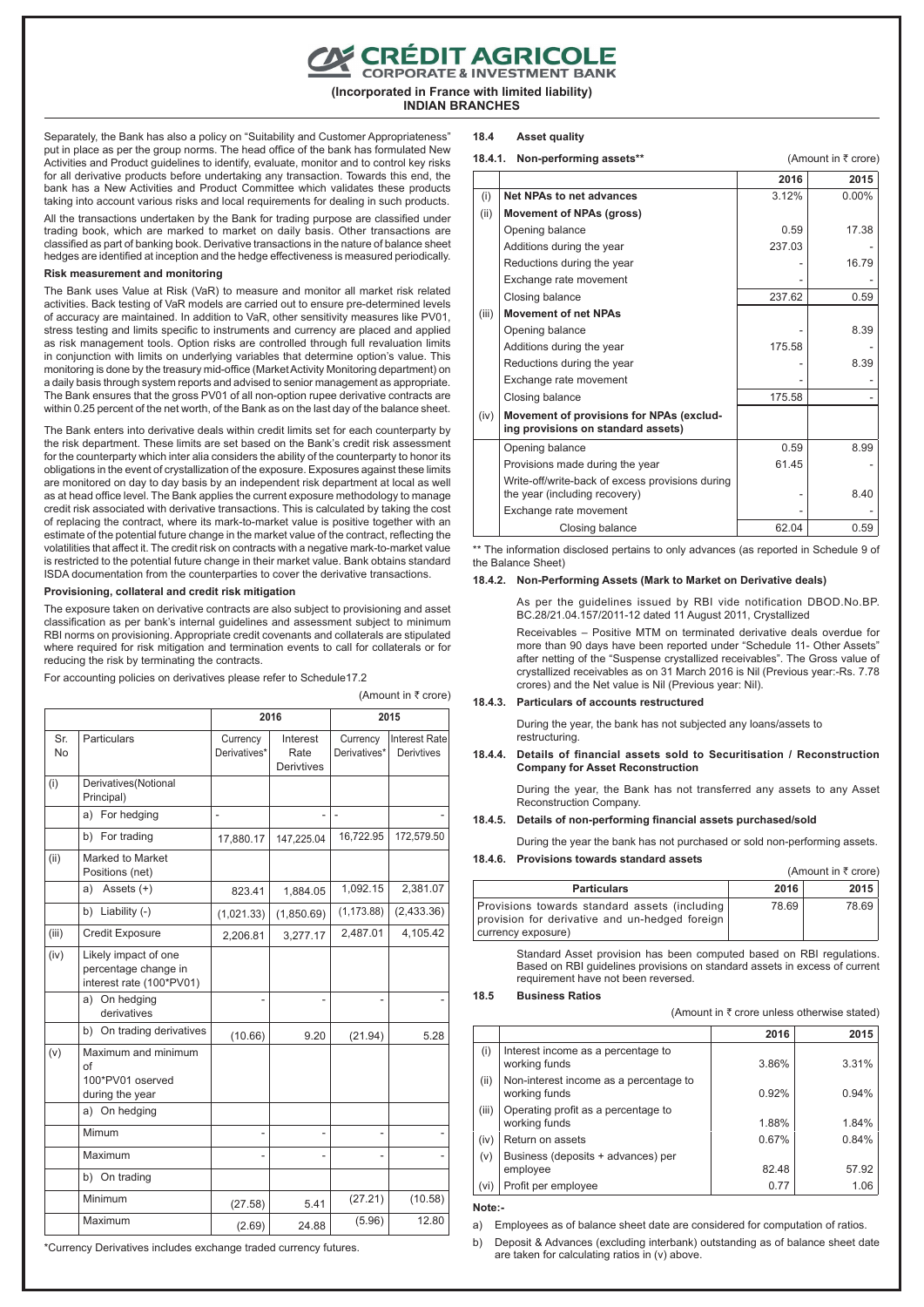## CRÉDIT AGRICOLE

**(Incorporated in France with limited liability) INDIAN BRANCHES**

Separately, the Bank has also a policy on "Suitability and Customer Appropriateness" put in place as per the group norms. The head office of the bank has formulated New Activities and Product guidelines to identify, evaluate, monitor and to control key risks for all derivative products before undertaking any transaction. Towards this end, the bank has a New Activities and Product Committee which validates these products taking into account various risks and local requirements for dealing in such products.

All the transactions undertaken by the Bank for trading purpose are classified under trading book, which are marked to market on daily basis. Other transactions are classified as part of banking book. Derivative transactions in the nature of balance sheet hedges are identified at inception and the hedge effectiveness is measured periodically.

## **Risk measurement and monitoring**

The Bank uses Value at Risk (VaR) to measure and monitor all market risk related activities. Back testing of VaR models are carried out to ensure pre-determined levels of accuracy are maintained. In addition to VaR, other sensitivity measures like PV01, stress testing and limits specific to instruments and currency are placed and applied as risk management tools. Option risks are controlled through full revaluation limits in conjunction with limits on underlying variables that determine option's value. This monitoring is done by the treasury mid-office (Market Activity Monitoring department) on a daily basis through system reports and advised to senior management as appropriate. The Bank ensures that the gross PV01 of all non-option rupee derivative contracts are within 0.25 percent of the net worth, of the Bank as on the last day of the balance sheet.

The Bank enters into derivative deals within credit limits set for each counterparty by the risk department. These limits are set based on the Bank's credit risk assessment for the counterparty which inter alia considers the ability of the counterparty to honor its obligations in the event of crystallization of the exposure. Exposures against these limits are monitored on day to day basis by an independent risk department at local as well as at head office level. The Bank applies the current exposure methodology to manage credit risk associated with derivative transactions. This is calculated by taking the cost of replacing the contract, where its mark-to-market value is positive together with an estimate of the potential future change in the market value of the contract, reflecting the volatilities that affect it. The credit risk on contracts with a negative mark-to-market value is restricted to the potential future change in their market value. Bank obtains standard ISDA documentation from the counterparties to cover the derivative transactions.

#### **Provisioning, collateral and credit risk mitigation**

The exposure taken on derivative contracts are also subject to provisioning and asset classification as per bank's internal guidelines and assessment subject to minimum RBI norms on provisioning. Appropriate credit covenants and collaterals are stipulated where required for risk mitigation and termination events to call for collaterals or for reducing the risk by terminating the contracts.

(Amount in ₹ crore)

For accounting policies on derivatives please refer to Schedule17.2

|                  |                                                                          |                          | 2016                                  | 2015                     |                                           |  |
|------------------|--------------------------------------------------------------------------|--------------------------|---------------------------------------|--------------------------|-------------------------------------------|--|
| Sr.<br><b>No</b> | Particulars                                                              | Currency<br>Derivatives* | Interest<br>Rate<br><b>Derivtives</b> | Currency<br>Derivatives* | <b>Interest Rate</b><br><b>Derivtives</b> |  |
| (i)              | Derivatives (Notional<br>Principal)                                      |                          |                                       |                          |                                           |  |
|                  | a) For hedging                                                           | L,                       |                                       | $\overline{\phantom{a}}$ |                                           |  |
|                  | b) For trading                                                           | 17,880.17                | 147,225.04                            | 16,722.95                | 172,579.50                                |  |
| (ii)             | Marked to Market<br>Positions (net)                                      |                          |                                       |                          |                                           |  |
|                  | Assets $(+)$<br>a)                                                       | 823.41                   | 1.884.05                              | 1,092.15                 | 2,381.07                                  |  |
|                  | b) Liability (-)                                                         | (1,021.33)               | (1,850.69)                            | (1, 173.88)              | (2,433.36)                                |  |
| (iii)            | Credit Exposure                                                          | 2,206.81                 | 3,277.17                              | 2,487.01                 | 4,105.42                                  |  |
| (iv)             | Likely impact of one<br>percentage change in<br>interest rate (100*PV01) |                          |                                       |                          |                                           |  |
|                  | a) On hedging<br>derivatives                                             |                          |                                       |                          |                                           |  |
|                  | b) On trading derivatives                                                | (10.66)                  | 9.20                                  | (21.94)                  | 5.28                                      |  |
| (v)              | Maximum and minimum<br>Ωf<br>100*PV01 oserved<br>during the year         |                          |                                       |                          |                                           |  |
|                  | a) On hedging                                                            |                          |                                       |                          |                                           |  |
|                  | Mimum                                                                    | -                        | $\overline{a}$                        |                          |                                           |  |
|                  | Maximum                                                                  |                          |                                       |                          |                                           |  |
|                  | b) On trading                                                            |                          |                                       |                          |                                           |  |
|                  | Minimum                                                                  | (27.58)                  | 5.41                                  | (27.21)                  | (10.58)                                   |  |
|                  | Maximum                                                                  | (2.69)                   | 24.88                                 | (5.96)                   | 12.80                                     |  |

\*Currency Derivatives includes exchange traded currency futures.

#### **18.4 Asset quality**

#### **18.4.1.** Non-performing assets<sup>\*\*</sup> (Amount in ₹ crore)

|       |                                                                                   | 2016   | 2015     |
|-------|-----------------------------------------------------------------------------------|--------|----------|
| (i)   | Net NPAs to net advances                                                          | 3.12%  | $0.00\%$ |
| (ii)  | <b>Movement of NPAs (gross)</b>                                                   |        |          |
|       | Opening balance                                                                   | 0.59   | 17.38    |
|       | Additions during the year                                                         | 237.03 |          |
|       | Reductions during the year                                                        |        | 16.79    |
|       | Exchange rate movement                                                            |        |          |
|       | Closing balance                                                                   | 237.62 | 0.59     |
| (iii) | <b>Movement of net NPAs</b>                                                       |        |          |
|       | Opening balance                                                                   |        | 8.39     |
|       | Additions during the year                                                         | 175.58 |          |
|       | Reductions during the year                                                        |        | 8.39     |
|       | Exchange rate movement                                                            |        |          |
|       | Closing balance                                                                   | 175.58 |          |
| (iv)  | Movement of provisions for NPAs (exclud-<br>ing provisions on standard assets)    |        |          |
|       | Opening balance                                                                   | 0.59   | 8.99     |
|       | Provisions made during the year                                                   | 61.45  |          |
|       | Write-off/write-back of excess provisions during<br>the year (including recovery) |        | 8.40     |
|       | Exchange rate movement                                                            |        |          |
|       | Closing balance                                                                   | 62.04  | 0.59     |
|       |                                                                                   |        |          |

\*\* The information disclosed pertains to only advances (as reported in Schedule 9 of the Balance Sheet)

#### **18.4.2. Non-Performing Assets (Mark to Market on Derivative deals)**

As per the guidelines issued by RBI vide notification DBOD.No.BP. BC.28/21.04.157/2011-12 dated 11 August 2011, Crystallized

Receivables – Positive MTM on terminated derivative deals overdue for more than 90 days have been reported under "Schedule 11- Other Assets" after netting of the "Suspense crystallized receivables". The Gross value of crystallized receivables as on 31 March 2016 is Nil (Previous year:-Rs. 7.78 crores) and the Net value is Nil (Previous year: Nil).

## **18.4.3. Particulars of accounts restructured**

During the year, the bank has not subjected any loans/assets to restructuring.

**18.4.4. Details of financial assets sold to Securitisation / Reconstruction Company for Asset Reconstruction**

During the year, the Bank has not transferred any assets to any Asset Reconstruction Company.

#### **18.4.5. Details of non-performing financial assets purchased/sold**

During the year the bank has not purchased or sold non-performing assets.

#### **18.4.6. Provisions towards standard assets**

|                                                                                                                       |       | (Amount in $\bar{\tau}$ crore) |
|-----------------------------------------------------------------------------------------------------------------------|-------|--------------------------------|
| <b>Particulars</b>                                                                                                    | 2016  | 2015                           |
| Provisions towards standard assets (including<br>provision for derivative and un-hedged foreign<br>currency exposure) | 78.69 | 78.69                          |

Standard Asset provision has been computed based on RBI regulations. Based on RBI guidelines provisions on standard assets in excess of current requirement have not been reversed.

#### **18.5 Business Ratios**

(Amount in  $\bar{\tau}$  crore unless otherwise stated)

|       |                                                         | 2016  | 2015  |
|-------|---------------------------------------------------------|-------|-------|
| (i)   | Interest income as a percentage to<br>working funds     | 3.86% | 3.31% |
| (ii)  | Non-interest income as a percentage to<br>working funds | 0.92% | 0.94% |
| (iii) | Operating profit as a percentage to<br>working funds    | 1.88% | 1.84% |
| (iv)  | Return on assets                                        | 0.67% | 0.84% |
| (v)   | Business (deposits + advances) per<br>employee          | 82.48 | 57.92 |
| (vi)  | Profit per employee                                     | 0.77  | 1.06  |

#### **Note:-**

a) Employees as of balance sheet date are considered for computation of ratios.

b) Deposit & Advances (excluding interbank) outstanding as of balance sheet date are taken for calculating ratios in (v) above.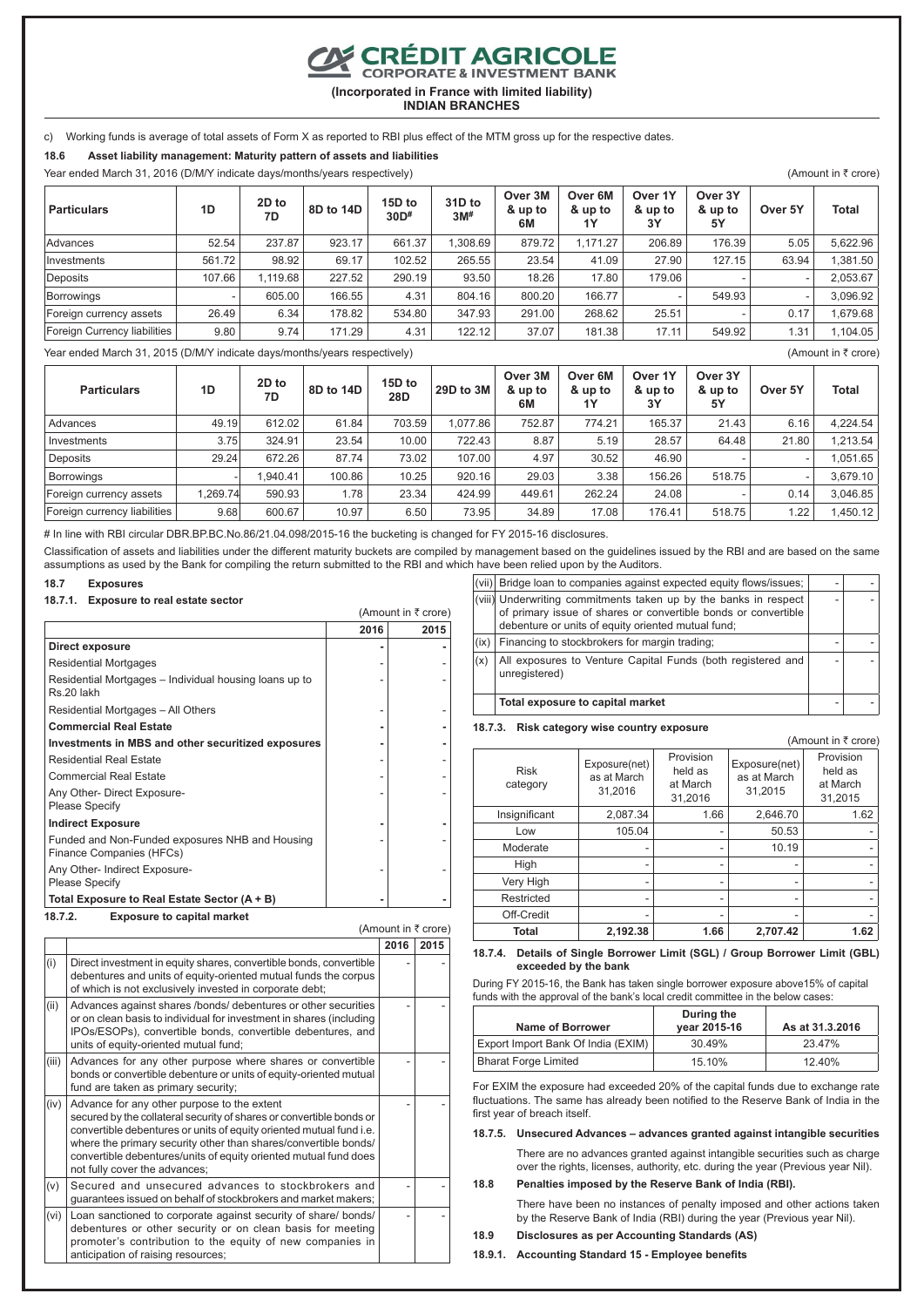**EXPEDIT AGRICOLE** 

**(Incorporated in France with limited liability)**

**INDIAN BRANCHES**

c) Working funds is average of total assets of Form X as reported to RBI plus effect of the MTM gross up for the respective dates.

**18.6 Asset liability management: Maturity pattern of assets and liabilities**

Year ended March 31, 2016 (D/M/Y indicate days/months/years respectively) (Amount in  $\bar{\tau}$  crore)

| <b>Particulars</b>           | 1D     | 2D to<br>7D | 8D to 14D | 15D to<br>30D# | 31D to<br>3M <sup>#</sup> | Over 3M<br>& up to<br>6M | Over 6M<br>& up to<br>1Υ | Over 1Y<br>& up to<br>3Υ | Over 3Y<br>& up to<br>5Y | Over 5Y | Total    |
|------------------------------|--------|-------------|-----------|----------------|---------------------------|--------------------------|--------------------------|--------------------------|--------------------------|---------|----------|
| Advances                     | 52.54  | 237.87      | 923.17    | 661.37         | .308.69                   | 879.72                   | 1.171.27                 | 206.89                   | 176.39                   | 5.05    | 5.622.96 |
| Investments                  | 561.72 | 98.92       | 69.17     | 102.52         | 265.55                    | 23.54                    | 41.09                    | 27.90                    | 127.15                   | 63.94   | 1,381.50 |
| Deposits                     | 107.66 | .119.68     | 227.52    | 290.19         | 93.50                     | 18.26                    | 17.80                    | 179.06                   |                          | -       | 2,053.67 |
| Borrowings                   |        | 605.00      | 166.55    | 4.31           | 804.16                    | 800.20                   | 166.77                   |                          | 549.93                   | ٠       | 3,096.92 |
| Foreign currency assets      | 26.49  | 6.34        | 178.82    | 534.80         | 347.93                    | 291.00                   | 268.62                   | 25.51                    |                          | 0.17    | 1.679.68 |
| Foreign Currency liabilities | 9.80   | 9.74        | 171.29    | 4.31           | 122.12                    | 37.07                    | 181.38                   | 17.11                    | 549.92                   | 1.31    | 1,104.05 |

Year ended March 31, 2015 (D/M/Y indicate days/months/years respectively) (Years and the state of the state of the state of the state of the state of the state of the state of the state of the state of the state of the sta

**Particulars 1D 2D to 7D 8D to 14D 15D to 28D 29D to 3M Over 3M & up to 6M Over 6M & up to 1Y Over 1Y & up to 3Y Over 3Y & up to 5Y Over 5Y Total** Advances | 49.19 | 612.02 | 61.84 | 703.59 | 1,077.86 | 752.87 | 774.21 | 165.37 | 21.43 | 6.16 | 4,224.54 Investments 3.75 324.91 23.54 10.00 722.43 8.87 5.19 28.57 64.48 21.80 1,213.54 Deposits 29.24 672.26 87.74 73.02 107.00 4.97 30.52 46.90 - - 1,051.65 Borrowings -| 1,940.41 | 100.86 | 10.25 | 920.16 | 29.03 | 3.38 | 156.26 | 518.75 | - | 3,679.10 Foreign currency assets 1,269.74 590.93 1.78 23.34 424.99 449.61 262.24 24.08 - 0.14 3,046.85 Foreign currency liabilities | 9.68 600.67 10.97 6.50 73.95 34.89 17.08 176.41 518.75 1.22 1.450.12

# In line with RBI circular DBR.BP.BC.No.86/21.04.098/2015-16 the bucketing is changed for FY 2015-16 disclosures.

Classification of assets and liabilities under the different maturity buckets are compiled by management based on the guidelines issued by the RBI and are based on the same assumptions as used by the Bank for compiling the return submitted to the RBI and which have been relied upon by the Auditors.

 $(Amount in *7* or *one*)$ 

(Amount in  $\bar{\tau}$  crore) **2016 2015**

- -

- -

- -

- -

- -

- -

## **18.7 Exposures**

#### **18.7.1. Exposure to real estate sector**

|                                                                             | 2016 | 2015 |
|-----------------------------------------------------------------------------|------|------|
| Direct exposure                                                             |      |      |
| <b>Residential Mortgages</b>                                                |      |      |
| Residential Mortgages – Individual housing loans up to<br>Rs.20 lakh        |      |      |
| Residential Mortgages - All Others                                          |      |      |
| <b>Commercial Real Estate</b>                                               |      |      |
| Investments in MBS and other securitized exposures                          |      |      |
| <b>Residential Real Estate</b>                                              |      |      |
| <b>Commercial Real Estate</b>                                               |      |      |
| Any Other- Direct Exposure-<br><b>Please Specify</b>                        |      |      |
| <b>Indirect Exposure</b>                                                    |      |      |
| Funded and Non-Funded exposures NHB and Housing<br>Finance Companies (HFCs) |      |      |
| Any Other- Indirect Exposure-<br><b>Please Specify</b>                      |      |      |
| Total Exposure to Real Estate Sector (A + B)                                |      |      |
| 18.7.2.<br><b>Exposure to capital market</b>                                |      |      |

 $(i)$  Direct investment in equity shares, convertible bonds, convertible debentures and units of equity-oriented mutual funds the corpus of which is not exclusively invested in corporate debt;

 $\vert$ (ii)  $\vert$  Advances against shares /bonds/ debentures or other securities or on clean basis to individual for investment in shares (including IPOs/ESOPs), convertible bonds, convertible debentures, and

(iii) Advances for any other purpose where shares or convertible bonds or convertible debenture or units of equity-oriented mutual

 $(v)$  Secured and unsecured advances to stockbrokers and guarantees issued on behalf of stockbrokers and market makers;

(vi) Loan sanctioned to corporate against security of share/ bonds/ debentures or other security or on clean basis for meeting promoter's contribution to the equity of new companies in

secured by the collateral security of shares or convertible bonds or convertible debentures or units of equity oriented mutual fund i.e. where the primary security other than shares/convertible bonds/ convertible debentures/units of equity oriented mutual fund does

units of equity-oriented mutual fund;

fund are taken as primary security;

not fully cover the advances;

anticipation of raising resources;

 $\vert$ (iv)  $\vert$  Advance for any other purpose to the extent

| (vii) | Bridge loan to companies against expected equity flows/issues;                                                                                                                           |  |
|-------|------------------------------------------------------------------------------------------------------------------------------------------------------------------------------------------|--|
|       | (viii) Underwriting commitments taken up by the banks in respect<br>of primary issue of shares or convertible bonds or convertible<br>debenture or units of equity oriented mutual fund; |  |
| (ix)  | Financing to stockbrokers for margin trading;                                                                                                                                            |  |
| (x)   | All exposures to Venture Capital Funds (both registered and<br>unregistered)                                                                                                             |  |
|       | Total exposure to capital market                                                                                                                                                         |  |

#### **18.7.3. Risk category wise country exposure**

| (Amount in ₹ crore)     |                                         |                                             |                                         |                                             |  |  |
|-------------------------|-----------------------------------------|---------------------------------------------|-----------------------------------------|---------------------------------------------|--|--|
| <b>Risk</b><br>category | Exposure(net)<br>as at March<br>31.2016 | Provision<br>held as<br>at March<br>31,2016 | Exposure(net)<br>as at March<br>31.2015 | Provision<br>held as<br>at March<br>31,2015 |  |  |
| Insignificant           | 2,087.34                                | 1.66                                        | 2,646.70                                | 1.62                                        |  |  |
| Low                     | 105.04                                  |                                             | 50.53                                   |                                             |  |  |
| Moderate                |                                         |                                             | 10.19                                   |                                             |  |  |
| High                    |                                         | ۰                                           |                                         |                                             |  |  |
| Very High               |                                         |                                             |                                         |                                             |  |  |
| Restricted              | ۰                                       | ۰                                           | ۰                                       |                                             |  |  |
| Off-Credit              | ۰                                       | ۰                                           | -                                       |                                             |  |  |
| Total                   | 2,192.38                                | 1.66                                        | 2.707.42                                | 1.62                                        |  |  |

### **18.7.4. Details of Single Borrower Limit (SGL) / Group Borrower Limit (GBL) exceeded by the bank**

During FY 2015-16, the Bank has taken single borrower exposure above15% of capital funds with the approval of the bank's local credit committee in the below cases:

| <b>Name of Borrower</b>            | During the<br>year 2015-16 | As at 31.3.2016 |
|------------------------------------|----------------------------|-----------------|
| Export Import Bank Of India (EXIM) | 30.49%                     | 23.47%          |
| <b>Bharat Forge Limited</b>        | 15.10%                     | 12.40%          |

For EXIM the exposure had exceeded 20% of the capital funds due to exchange rate fluctuations. The same has already been notified to the Reserve Bank of India in the first year of breach itself.

**18.7.5. Unsecured Advances – advances granted against intangible securities**

There are no advances granted against intangible securities such as charge over the rights, licenses, authority, etc. during the year (Previous year Nil).

## **18.8 Penalties imposed by the Reserve Bank of India (RBI).**

There have been no instances of penalty imposed and other actions taken by the Reserve Bank of India (RBI) during the year (Previous year Nil).

**18.9 Disclosures as per Accounting Standards (AS)**

**18.9.1. Accounting Standard 15 - Employee benefits**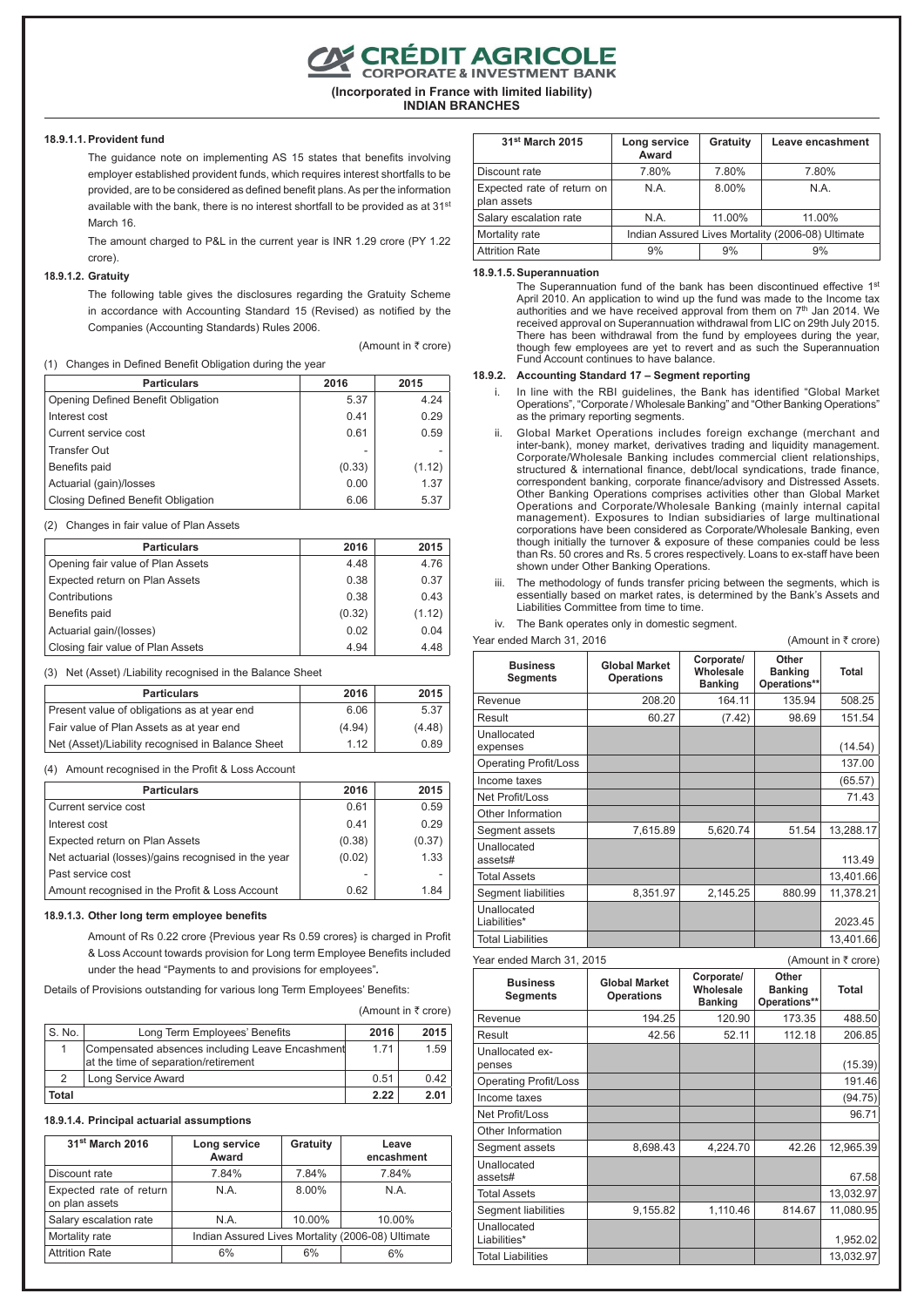**CRÉDIT AGRICOLE**<br>CORPORATE & INVESTMENT BANK

**(Incorporated in France with limited liability)**

**INDIAN BRANCHES**

#### **18.9.1.1.Provident fund**

The guidance note on implementing AS 15 states that benefits involving employer established provident funds, which requires interest shortfalls to be provided, are to be considered as defined benefit plans. As per the information available with the bank, there is no interest shortfall to be provided as at 31<sup>st</sup> March 16.

The amount charged to P&L in the current year is INR 1.29 crore (PY 1.22 crore).

## **18.9.1.2. Gratuity**

The following table gives the disclosures regarding the Gratuity Scheme in accordance with Accounting Standard 15 (Revised) as notified by the Companies (Accounting Standards) Rules 2006.

(Amount in  $\bar{\tau}$  crore)

#### (1) Changes in Defined Benefit Obligation during the year

| <b>Particulars</b>                 | 2016   | 2015   |
|------------------------------------|--------|--------|
| Opening Defined Benefit Obligation | 5.37   | 4.24   |
| Interest cost                      | 0.41   | 0.29   |
| Current service cost               | 0.61   | 0.59   |
| <b>Transfer Out</b>                |        |        |
| Benefits paid                      | (0.33) | (1.12) |
| Actuarial (gain)/losses            | 0.00   | 1.37   |
| Closing Defined Benefit Obligation | 6.06   | 5.37   |

(2) Changes in fair value of Plan Assets

| <b>Particulars</b>                | 2016   | 2015   |
|-----------------------------------|--------|--------|
| Opening fair value of Plan Assets | 4.48   | 4.76   |
| Expected return on Plan Assets    | 0.38   | 0.37   |
| Contributions                     | 0.38   | 0.43   |
| Benefits paid                     | (0.32) | (1.12) |
| Actuarial gain/(losses)           | 0.02   | 0.04   |
| Closing fair value of Plan Assets | 4.94   | 4.48   |

(3) Net (Asset) /Liability recognised in the Balance Sheet

| <b>Particulars</b>                                | 2016   | 2015   |
|---------------------------------------------------|--------|--------|
| Present value of obligations as at year end       | 6.06   | 5.37   |
| Fair value of Plan Assets as at year end          | (4.94) | (4.48) |
| Net (Asset)/Liability recognised in Balance Sheet | 1 1 2  | 0.89   |

(4) Amount recognised in the Profit & Loss Account

| <b>Particulars</b>                                  | 2016   | 2015   |
|-----------------------------------------------------|--------|--------|
| Current service cost                                | 0.61   | 0.59   |
| Interest cost                                       | 0.41   | 0.29   |
| Expected return on Plan Assets                      | (0.38) | (0.37) |
| Net actuarial (losses)/gains recognised in the year | (0.02) | 1.33   |
| Past service cost                                   |        |        |
| Amount recognised in the Profit & Loss Account      | 0.62   | 1.84   |

#### **18.9.1.3. Other long term employee benefits**

Amount of Rs 0.22 crore {Previous year Rs 0.59 crores} is charged in Profit & Loss Account towards provision for Long term Employee Benefits included under the head "Payments to and provisions for employees"*.*

Details of Provisions outstanding for various long Term Employees' Benefits:

| (Amount in ₹ crore) |  |  |
|---------------------|--|--|
|                     |  |  |

Unallocated

Unallocated<br>Liabilities\*

| S. No. | Long Term Employees' Benefits                                                           | 2016 | 2015 |
|--------|-----------------------------------------------------------------------------------------|------|------|
|        | Compensated absences including Leave Encashment<br>at the time of separation/retirement | 1 71 | 1.59 |
|        | Long Service Award                                                                      | 0.51 | 0.42 |
| Total  |                                                                                         | 2.22 | 2.01 |

#### **18.9.1.4. Principal actuarial assumptions**

| 31 <sup>st</sup> March 2016               | Long service<br>Award                             | Gratuity | Leave<br>encashment |
|-------------------------------------------|---------------------------------------------------|----------|---------------------|
| Discount rate                             | 7.84%                                             | 7.84%    | 7.84%               |
| Expected rate of return<br>on plan assets | N.A.                                              | 8.00%    | N.A.                |
| Salary escalation rate                    | N.A.                                              | 10.00%   | 10.00%              |
| Mortality rate                            | Indian Assured Lives Mortality (2006-08) Ultimate |          |                     |
| <b>Attrition Rate</b>                     | 6%                                                | 6%       | 6%                  |

| 31 <sup>st</sup> March 2015               | Long service<br>Award                             | Gratuity | Leave encashment |
|-------------------------------------------|---------------------------------------------------|----------|------------------|
| Discount rate                             | 7.80%                                             | 7.80%    | 7.80%            |
| Expected rate of return on<br>plan assets | N A                                               | 8.00%    | N A              |
| Salary escalation rate                    | N.A.                                              | 11.00%   | 11.00%           |
| Mortality rate                            | Indian Assured Lives Mortality (2006-08) Ultimate |          |                  |
| <b>Attrition Rate</b>                     | 9%                                                | 9%       | 9%               |

#### **18.9.1.5.Superannuation**

The Superannuation fund of the bank has been discontinued effective 1st April 2010. An application to wind up the fund was made to the Income tax<br>authorities and we have received approval from them on 7<sup>th</sup> Jan 2014. We<br>received approval on Superannuation withdrawal from LIC on 29th July 2015. There has been withdrawal from the fund by employees during the year, though few employees are yet to revert and as such the Superannuation Fund Account continues to have balance.

#### **18.9.2. Accounting Standard 17 – Segment reporting**

In line with the RBI guidelines, the Bank has identified "Global Market Operations", "Corporate / Wholesale Banking" and "Other Banking Operations" as the primary reporting segments.

- ii. Global Market Operations includes foreign exchange (merchant and inter-bank), money market, derivatives trading and liquidity management. Corporate/Wholesale Banking includes commercial client relationships, structured & international finance, debt/local syndications, trade finance, correspondent banking, corporate finance/advisory and Distressed Assets. Other Banking Operations comprises activities other than Global Market Operations and Corporate/Wholesale Banking (mainly internal capital management). Exposures to Indian subsidiaries of large multinational corporations have been considered as Corporate/Wholesale Banking, even though initially the turnover & exposure of these companies could be less than Rs. 50 crores and Rs. 5 crores respectively. Loans to ex-staff have been shown under Other Banking Operations.
- iii. The methodology of funds transfer pricing between the segments, which is essentially based on market rates, is determined by the Bank's Assets and Liabilities Committee from time to time.

iv. The Bank operates only in domestic segment.  $\frac{1}{2}$  and March 31, 2016 (Amount in  $\bar{z}$  crore)

| <b>IGAL GHUGU MAIGH JI, ZU ID</b>  |                                           |                                           |                                         | $($ Allioulit III $\tau$ Grore) |
|------------------------------------|-------------------------------------------|-------------------------------------------|-----------------------------------------|---------------------------------|
| <b>Business</b><br><b>Segments</b> | <b>Global Market</b><br><b>Operations</b> | Corporate/<br>Wholesale<br><b>Banking</b> | Other<br><b>Banking</b><br>Operations** | Total                           |
| Revenue                            | 208.20                                    | 164.11                                    | 135.94                                  | 508.25                          |
| Result                             | 60.27                                     | (7.42)                                    | 98.69                                   | 151.54                          |
| Unallocated<br>expenses            |                                           |                                           |                                         | (14.54)                         |
| Operating Profit/Loss              |                                           |                                           |                                         | 137.00                          |
| Income taxes                       |                                           |                                           |                                         | (65.57)                         |
| Net Profit/Loss                    |                                           |                                           |                                         | 71.43                           |
| Other Information                  |                                           |                                           |                                         |                                 |
| Segment assets                     | 7,615.89                                  | 5,620.74                                  | 51.54                                   | 13,288.17                       |
| Unallocated<br>assets#             |                                           |                                           |                                         | 113.49                          |
| <b>Total Assets</b>                |                                           |                                           |                                         | 13,401.66                       |
| Segment liabilities                | 8,351.97                                  | 2,145.25                                  | 880.99                                  | 11.378.21                       |
| Unallocated<br>Liabilities*        |                                           |                                           |                                         | 2023.45                         |
| <b>Total Liabilities</b>           |                                           |                                           |                                         | 13.401.66                       |
| Year ended March 31, 2015          |                                           |                                           |                                         | (Amount in ₹ crore)             |
| <b>Business</b><br><b>Segments</b> | <b>Global Market</b><br><b>Operations</b> | Corporate/<br>Wholesale<br><b>Banking</b> | Other<br><b>Banking</b><br>Operations** | Total                           |
| Revenue                            | 194.25                                    | 120.90                                    | 173.35                                  | 488.50                          |
| Result                             | 42.56                                     | 52.11                                     | 112.18                                  | 206.85                          |
| Unallocated ex-<br>penses          |                                           |                                           |                                         | (15.39)                         |
| <b>Operating Profit/Loss</b>       |                                           |                                           |                                         | 191.46                          |
| Income taxes                       |                                           |                                           |                                         | (94.75)                         |
| Net Profit/Loss                    |                                           |                                           |                                         | 96.71                           |
| Other Information                  |                                           |                                           |                                         |                                 |

Segment assets 8,698.43 4,224.70 42.26 12,965.39

assets# 67.58 Total Assets **13,032.97** Segment liabilities | 9,155.82 | 1,110.46 814.67 | 11,080.95

Liabilities\* 1,952.02 Total Liabilities 13,032.97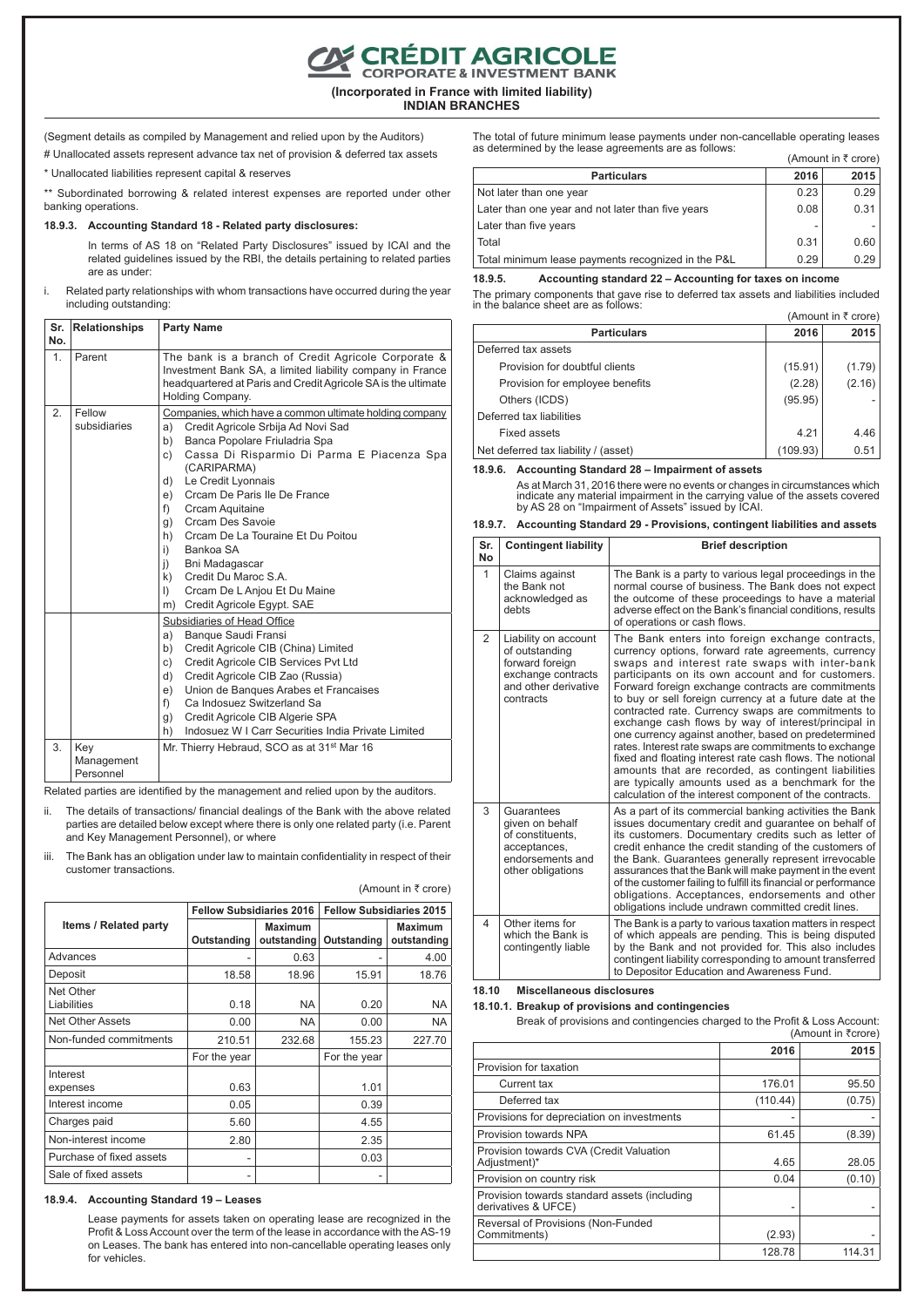**CON CRÉDIT AGRICOLE** 

**(Incorporated in France with limited liability) INDIAN BRANCHES**

(Segment details as compiled by Management and relied upon by the Auditors) # Unallocated assets represent advance tax net of provision & deferred tax assets

\* Unallocated liabilities represent capital & reserves

\* Subordinated borrowing & related interest expenses are reported under other banking operations.

#### **18.9.3. Accounting Standard 18 - Related party disclosures:**

In terms of AS 18 on "Related Party Disclosures" issued by ICAI and the related guidelines issued by the RBI, the details pertaining to related parties are as under:

i. Related party relationships with whom transactions have occurred during the year including outstanding:

| Sr.<br>No.     | <b>Relationships</b>           | <b>Party Name</b>                                                                                                                                                                                                                                                                                                                                                                                                                                                                                                                                                |  |  |
|----------------|--------------------------------|------------------------------------------------------------------------------------------------------------------------------------------------------------------------------------------------------------------------------------------------------------------------------------------------------------------------------------------------------------------------------------------------------------------------------------------------------------------------------------------------------------------------------------------------------------------|--|--|
| 1 <sub>1</sub> | Parent                         | The bank is a branch of Credit Agricole Corporate &<br>Investment Bank SA, a limited liability company in France<br>headquartered at Paris and Credit Agricole SA is the ultimate<br>Holding Company.                                                                                                                                                                                                                                                                                                                                                            |  |  |
| 2.             | Fellow<br>subsidiaries         | Companies, which have a common ultimate holding company<br>Credit Agricole Srbija Ad Novi Sad<br>a)<br>Banca Popolare Friuladria Spa<br>b)<br>Cassa Di Risparmio Di Parma E Piacenza Spa<br>C)<br>(CARIPARMA)<br>Le Credit Lyonnais<br>d)<br>Crcam De Paris Ile De France<br>e)<br>f)<br>Crcam Aquitaine<br>Crcam Des Savoie<br>g)<br>Cream De La Touraine Et Du Poitou<br>h)<br>i)<br>Bankoa SA<br>$\overline{1}$<br>Bni Madagascar<br>Credit Du Maroc S.A.<br>$\mathsf{k}$<br>Crcam De L Anjou Et Du Maine<br>$\mathsf{D}$<br>Credit Agricole Egypt. SAE<br>m) |  |  |
|                |                                | Subsidiaries of Head Office<br>Banque Saudi Fransi<br>a)<br>Credit Agricole CIB (China) Limited<br>b)<br>Credit Agricole CIB Services Pvt Ltd<br>C)<br>d)<br>Credit Agricole CIB Zao (Russia)<br>Union de Banques Arabes et Francaises<br>e)<br>Ca Indosuez Switzerland Sa<br>f)<br>Credit Agricole CIB Algerie SPA<br>g)<br>Indosuez W I Carr Securities India Private Limited<br>h)                                                                                                                                                                            |  |  |
| 3.             | Key<br>Management<br>Personnel | Mr. Thierry Hebraud, SCO as at 31 <sup>st</sup> Mar 16                                                                                                                                                                                                                                                                                                                                                                                                                                                                                                           |  |  |

Related parties are identified by the management and relied upon by the auditors.

- ii. The details of transactions/ financial dealings of the Bank with the above related parties are detailed below except where there is only one related party (i.e. Parent and Key Management Personnel), or where
- iii. The Bank has an obligation under law to maintain confidentiality in respect of their customer transactions.

|                              | <b>Fellow Subsidiaries 2016</b> |                               | <b>Fellow Subsidiaries 2015</b> |                               |  |
|------------------------------|---------------------------------|-------------------------------|---------------------------------|-------------------------------|--|
| <b>Items / Related party</b> | Outstanding                     | <b>Maximum</b><br>outstanding | Outstanding                     | <b>Maximum</b><br>outstanding |  |
| Advances                     |                                 | 0.63                          |                                 | 4.00                          |  |
| Deposit                      | 18.58                           | 18.96                         | 15.91                           | 18.76                         |  |
| Net Other<br>Liabilities     | 0.18                            | <b>NA</b>                     | 0.20                            | <b>NA</b>                     |  |
| <b>Net Other Assets</b>      | 0.00                            | <b>NA</b>                     | 0.00                            | <b>NA</b>                     |  |
| Non-funded commitments       | 210.51                          | 232.68                        | 155.23                          | 227.70                        |  |
|                              | For the year                    |                               | For the year                    |                               |  |
| Interest<br>expenses         | 0.63                            |                               | 1.01                            |                               |  |
| Interest income              | 0.05                            |                               | 0.39                            |                               |  |
| Charges paid                 | 5.60                            |                               | 4.55                            |                               |  |
| Non-interest income          | 2.80                            |                               | 2.35                            |                               |  |
| Purchase of fixed assets     |                                 |                               | 0.03                            |                               |  |
| Sale of fixed assets         |                                 |                               |                                 |                               |  |

#### (Amount in  $\bar{\tau}$  crore)

#### **18.9.4. Accounting Standard 19 – Leases**

Lease payments for assets taken on operating lease are recognized in the Profit & Loss Account over the term of the lease in accordance with the AS-19 on Leases. The bank has entered into non-cancellable operating leases only for vehicles.

The total of future minimum lease payments under non-cancellable operating leases as determined by the lease agreements are as follows: (Amount in  $\bar{\tau}$  crore)

| <b>Particulars</b>                                 | 2016 | 2015 |
|----------------------------------------------------|------|------|
| Not later than one year                            | 0.23 | 0.29 |
| Later than one year and not later than five years  | 0.08 | 0.31 |
| Later than five years                              |      |      |
| Total                                              | 0.31 | 0.60 |
| Total minimum lease payments recognized in the P&L | 0.29 | 0.29 |

#### **18.9.5. Accounting standard 22 – Accounting for taxes on income**

The primary components that gave rise to deferred tax assets and liabilities included in the balance sheet are as follows:  $(Amount in *F* cr)$ 

| 17111041111111110101                 |          |        |  |
|--------------------------------------|----------|--------|--|
| <b>Particulars</b>                   | 2016     | 2015   |  |
| Deferred tax assets                  |          |        |  |
| Provision for doubtful clients       | (15.91)  | (1.79) |  |
| Provision for employee benefits      | (2.28)   | (2.16) |  |
| Others (ICDS)                        | (95.95)  |        |  |
| Deferred tax liabilities             |          |        |  |
| Fixed assets                         | 4.21     | 4.46   |  |
| Net deferred tax liability / (asset) | (109.93) | 0.51   |  |

#### **18.9.6. Accounting Standard 28 – Impairment of assets**

As at March 31, 2016 there were no events or changes in circumstances which indicate any material impairment in the carrying value of the assets covered by AS 28 on "Impairment of Assets" issued by ICAI.

|  | 18.9.7. Accounting Standard 29 - Provisions, contingent liabilities and assets |  |  |  |  |  |  |  |
|--|--------------------------------------------------------------------------------|--|--|--|--|--|--|--|
|--|--------------------------------------------------------------------------------|--|--|--|--|--|--|--|

| Sr.<br><b>No</b> | <b>Contingent liability</b>                                                                                          | <b>Brief description</b>                                                                                                                                                                                                                                                                                                                                                                                                                                                                                                                                                                                                                                                                                                                                                                            |
|------------------|----------------------------------------------------------------------------------------------------------------------|-----------------------------------------------------------------------------------------------------------------------------------------------------------------------------------------------------------------------------------------------------------------------------------------------------------------------------------------------------------------------------------------------------------------------------------------------------------------------------------------------------------------------------------------------------------------------------------------------------------------------------------------------------------------------------------------------------------------------------------------------------------------------------------------------------|
| $\mathbf{1}$     | Claims against<br>the Bank not<br>acknowledged as<br>debts                                                           | The Bank is a party to various legal proceedings in the<br>normal course of business. The Bank does not expect<br>the outcome of these proceedings to have a material<br>adverse effect on the Bank's financial conditions, results<br>of operations or cash flows.                                                                                                                                                                                                                                                                                                                                                                                                                                                                                                                                 |
| $\mathcal{P}$    | Liability on account<br>of outstanding<br>forward foreign<br>exchange contracts<br>and other derivative<br>contracts | The Bank enters into foreign exchange contracts,<br>currency options, forward rate agreements, currency<br>swaps and interest rate swaps with inter-bank<br>participants on its own account and for customers.<br>Forward foreign exchange contracts are commitments<br>to buy or sell foreign currency at a future date at the<br>contracted rate. Currency swaps are commitments to<br>exchange cash flows by way of interest/principal in<br>one currency against another, based on predetermined<br>rates. Interest rate swaps are commitments to exchange<br>fixed and floating interest rate cash flows. The notional<br>amounts that are recorded, as contingent liabilities<br>are typically amounts used as a benchmark for the<br>calculation of the interest component of the contracts. |
| 3                | Guarantees<br>given on behalf<br>of constituents.<br>acceptances,<br>endorsements and<br>other obligations           | As a part of its commercial banking activities the Bank<br>issues documentary credit and guarantee on behalf of<br>its customers. Documentary credits such as letter of<br>credit enhance the credit standing of the customers of<br>the Bank. Guarantees generally represent irrevocable<br>assurances that the Bank will make payment in the event<br>of the customer failing to fulfill its financial or performance<br>obligations. Acceptances, endorsements and other<br>obligations include undrawn committed credit lines.                                                                                                                                                                                                                                                                  |
| 4                | Other items for<br>which the Bank is<br>contingently liable                                                          | The Bank is a party to various taxation matters in respect<br>of which appeals are pending. This is being disputed<br>by the Bank and not provided for. This also includes<br>contingent liability corresponding to amount transferred<br>to Depositor Education and Awareness Fund.                                                                                                                                                                                                                                                                                                                                                                                                                                                                                                                |

#### **18.10 Miscellaneous disclosures**

**18.10.1. Breakup of provisions and contingencies**

Break of provisions and contingencies charged to the Profit & Loss Account:

|                                                                     |          | (Amount in ₹crore) |
|---------------------------------------------------------------------|----------|--------------------|
|                                                                     | 2016     | 2015               |
| Provision for taxation                                              |          |                    |
| Current tax                                                         | 176.01   | 95.50              |
| Deferred tax                                                        | (110.44) | (0.75)             |
| Provisions for depreciation on investments                          |          |                    |
| Provision towards NPA                                               | 61.45    | (8.39)             |
| Provision towards CVA (Credit Valuation<br>Adjustment)*             | 4.65     | 28.05              |
| Provision on country risk                                           | 0.04     | (0.10)             |
| Provision towards standard assets (including<br>derivatives & UFCE) |          |                    |
| Reversal of Provisions (Non-Funded<br>Commitments)                  | (2.93)   |                    |
|                                                                     | 128.78   | 114.31             |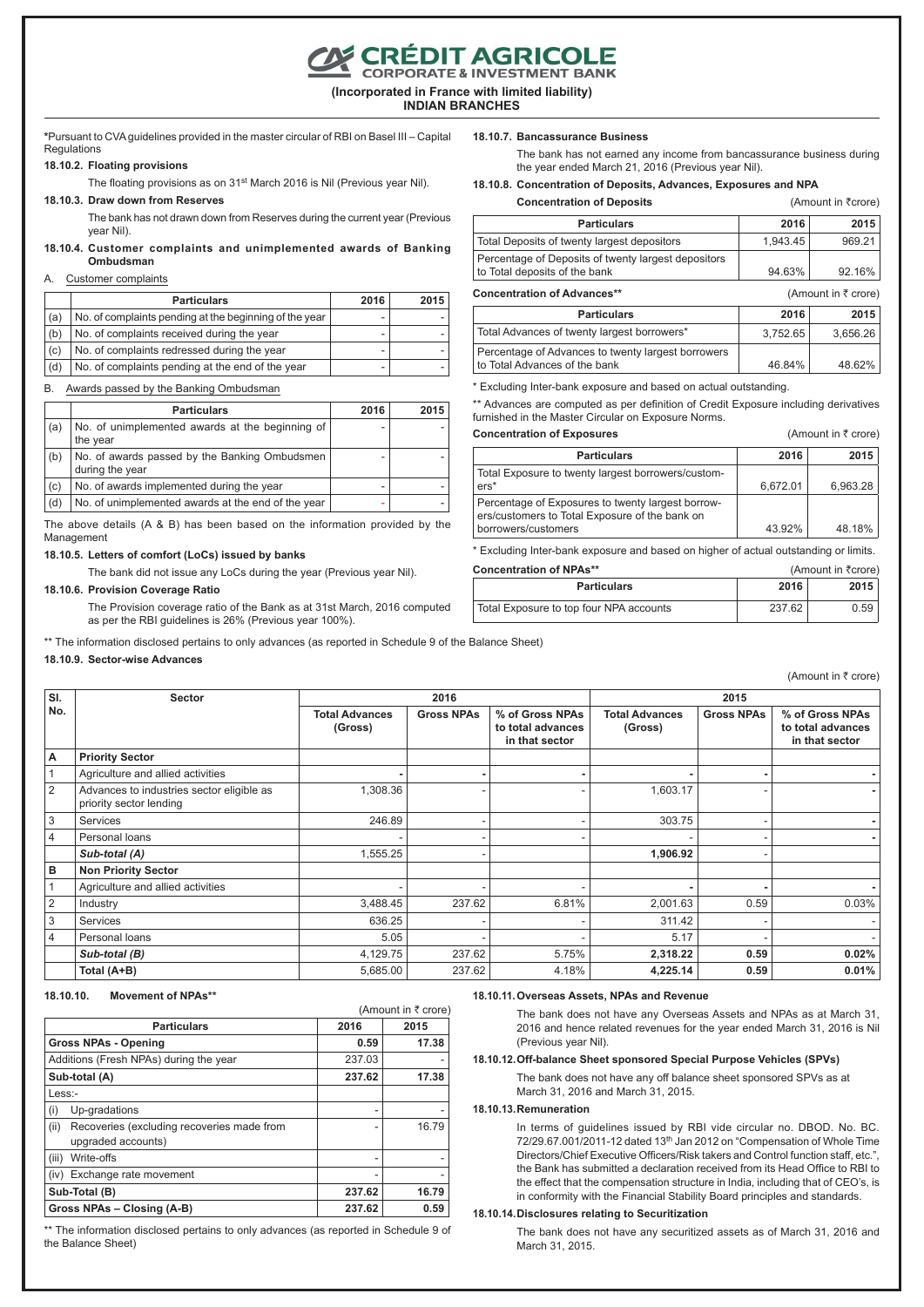**CRÉDIT AGRICOLE**<br>CORPORATE & INVESTMENT BANK

**(Incorporated in France with limited liability) INDIAN BRANCHES**

**\***Pursuant to CVA guidelines provided in the master circular of RBI on Basel III – Capital **Regulations** 

#### **18.10.2. Floating provisions**

The floating provisions as on 31<sup>st</sup> March 2016 is Nil (Previous year Nil).

#### **18.10.3. Draw down from Reserves**

The bank has not drawn down from Reserves during the current year (Previous year Nil).

## **18.10.4. Customer complaints and unimplemented awards of Banking Ombudsman**

## A. Customer complaints

|     | <b>Particulars</b>                                     |   | 2015 |
|-----|--------------------------------------------------------|---|------|
| (a) | No. of complaints pending at the beginning of the year | ۰ |      |
| (b) | No. of complaints received during the year             |   |      |
| (c) | No. of complaints redressed during the year            |   |      |
| (d) | No. of complaints pending at the end of the year       |   |      |

B. Awards passed by the Banking Ombudsman

|     | <b>Particulars</b>                                               | 2016 | 2015 |
|-----|------------------------------------------------------------------|------|------|
| (a) | No. of unimplemented awards at the beginning of<br>the year      |      |      |
| (b) | No. of awards passed by the Banking Ombudsmen<br>during the year |      |      |
| (c) | No. of awards implemented during the year                        | ۰    |      |
| (d) | No. of unimplemented awards at the end of the year               |      |      |

The above details (A & B) has been based on the information provided by the Management

#### **18.10.5. Letters of comfort (LoCs) issued by banks**

The bank did not issue any LoCs during the year (Previous year Nil).

## **18.10.6. Provision Coverage Ratio**

The Provision coverage ratio of the Bank as at 31st March, 2016 computed as per the RBI guidelines is 26% (Previous year 100%).

\*\* The information disclosed pertains to only advances (as reported in Schedule 9 of the Balance Sheet)

## **18.10.9. Sector-wise Advances**

**18.10.7. Bancassurance Business**

The bank has not earned any income from bancassurance business during the year ended March 21, 2016 (Previous year Nil).

**18.10.8. Concentration of Deposits, Advances, Exposures and NPA Concentration of Deposits** (Amount in `crore)

| <b>Particulars</b>                                  | 2016     | 2015      |
|-----------------------------------------------------|----------|-----------|
| Total Deposits of twenty largest depositors         | 1.943.45 | 969.21    |
| Percentage of Deposits of twenty largest depositors |          |           |
| to Total deposits of the bank                       | 94.63%   | $92.16\%$ |

| <b>Concentration of Advances**</b>                                                  |          | (Amount in $\bar{z}$ crore) |
|-------------------------------------------------------------------------------------|----------|-----------------------------|
| <b>Particulars</b>                                                                  | 2016     | 2015                        |
| Total Advances of twenty largest borrowers*                                         | 3.752.65 | 3.656.26                    |
| Percentage of Advances to twenty largest borrowers<br>to Total Advances of the bank | 46.84%   | 48.62%                      |

\* Excluding Inter-bank exposure and based on actual outstanding.

\*\* Advances are computed as per definition of Credit Exposure including derivatives furnished in the Master Circular on Exposure Norms.

| <b>Concentration of Exposures</b>                                                                   |          | (Amount in ₹ crore) |
|-----------------------------------------------------------------------------------------------------|----------|---------------------|
| <b>Particulars</b>                                                                                  | 2016     | 2015                |
| Total Exposure to twenty largest borrowers/custom-<br>$ers*$                                        | 6.672.01 | 6,963.28            |
| Percentage of Exposures to twenty largest borrow-<br>ers/customers to Total Exposure of the bank on |          |                     |
| borrowers/customers                                                                                 | 43.92%   | 48.18%              |

\* Excluding Inter-bank exposure and based on higher of actual outstanding or limits.

| <b>Concentration of NPAs**</b>          |        | (Amount in ₹crore) |  |  |
|-----------------------------------------|--------|--------------------|--|--|
| <b>Particulars</b>                      | 2016   | 2015               |  |  |
| Total Exposure to top four NPA accounts | 237.62 | 0.59               |  |  |

| SI.            | <b>Sector</b>                                                        |                                  | 2016              |                                                        | 2015                             |                   |                                                        |
|----------------|----------------------------------------------------------------------|----------------------------------|-------------------|--------------------------------------------------------|----------------------------------|-------------------|--------------------------------------------------------|
| No.            |                                                                      | <b>Total Advances</b><br>(Gross) | <b>Gross NPAs</b> | % of Gross NPAs<br>to total advances<br>in that sector | <b>Total Advances</b><br>(Gross) | <b>Gross NPAs</b> | % of Gross NPAs<br>to total advances<br>in that sector |
| Α              | <b>Priority Sector</b>                                               |                                  |                   |                                                        |                                  |                   |                                                        |
|                | Agriculture and allied activities                                    |                                  |                   |                                                        |                                  |                   |                                                        |
| 2              | Advances to industries sector eligible as<br>priority sector lending | 1,308.36                         |                   |                                                        | 1,603.17                         |                   |                                                        |
| 3              | <b>Services</b>                                                      | 246.89                           |                   |                                                        | 303.75                           |                   |                                                        |
| $\overline{4}$ | Personal loans                                                       |                                  |                   |                                                        |                                  |                   |                                                        |
|                | Sub-total (A)                                                        | 1,555.25                         |                   |                                                        | 1,906.92                         |                   |                                                        |
| в              | <b>Non Priority Sector</b>                                           |                                  |                   |                                                        |                                  |                   |                                                        |
|                | Agriculture and allied activities                                    |                                  |                   |                                                        |                                  |                   |                                                        |
| 2              | Industry                                                             | 3,488.45                         | 237.62            | 6.81%                                                  | 2,001.63                         | 0.59              | 0.03%                                                  |
| 3              | <b>Services</b>                                                      | 636.25                           |                   |                                                        | 311.42                           |                   |                                                        |
| 4              | Personal loans                                                       | 5.05                             |                   |                                                        | 5.17                             |                   |                                                        |
|                | Sub-total (B)                                                        | 4,129.75                         | 237.62            | 5.75%                                                  | 2,318.22                         | 0.59              | 0.02%                                                  |
|                | Total (A+B)                                                          | 5,685.00                         | 237.62            | 4.18%                                                  | 4,225.14                         | 0.59              | 0.01%                                                  |

#### **18.10.10. Movement of NPAs\*\***

|                                                                          |        | (Amount in ₹ crore) |
|--------------------------------------------------------------------------|--------|---------------------|
| <b>Particulars</b>                                                       | 2016   | 2015                |
| <b>Gross NPAs - Opening</b>                                              | 0.59   | 17.38               |
| Additions (Fresh NPAs) during the year                                   | 237.03 |                     |
| Sub-total (A)                                                            | 237.62 | 17.38               |
| $Less$ :-                                                                |        |                     |
| (i)<br>Up-gradations                                                     | ۰      |                     |
| (ii)<br>Recoveries (excluding recoveries made from<br>upgraded accounts) |        | 16.79               |
| (iii)<br>Write-offs                                                      |        |                     |
| (iv) Exchange rate movement                                              |        |                     |
| Sub-Total (B)                                                            | 237.62 | 16.79               |
| 237.62<br>Gross NPAs - Closing (A-B)                                     |        |                     |

\*\* The information disclosed pertains to only advances (as reported in Schedule 9 of the Balance Sheet)

#### **18.10.11.Overseas Assets, NPAs and Revenue**

The bank does not have any Overseas Assets and NPAs as at March 31, 2016 and hence related revenues for the year ended March 31, 2016 is Nil (Previous year Nil).

## **18.10.12.Off-balance Sheet sponsored Special Purpose Vehicles (SPVs)**

The bank does not have any off balance sheet sponsored SPVs as at March 31, 2016 and March 31, 2015.

#### **18.10.13.Remuneration**

In terms of guidelines issued by RBI vide circular no. DBOD. No. BC. 72/29.67.001/2011-12 dated 13th Jan 2012 on "Compensation of Whole Time Directors/Chief Executive Officers/Risk takers and Control function staff, etc.", the Bank has submitted a declaration received from its Head Office to RBI to the effect that the compensation structure in India, including that of CEO's, is in conformity with the Financial Stability Board principles and standards.

#### **18.10.14.Disclosures relating to Securitization**

The bank does not have any securitized assets as of March 31, 2016 and March 31, 2015.

(Amount in  $\bar{\tau}$  crore)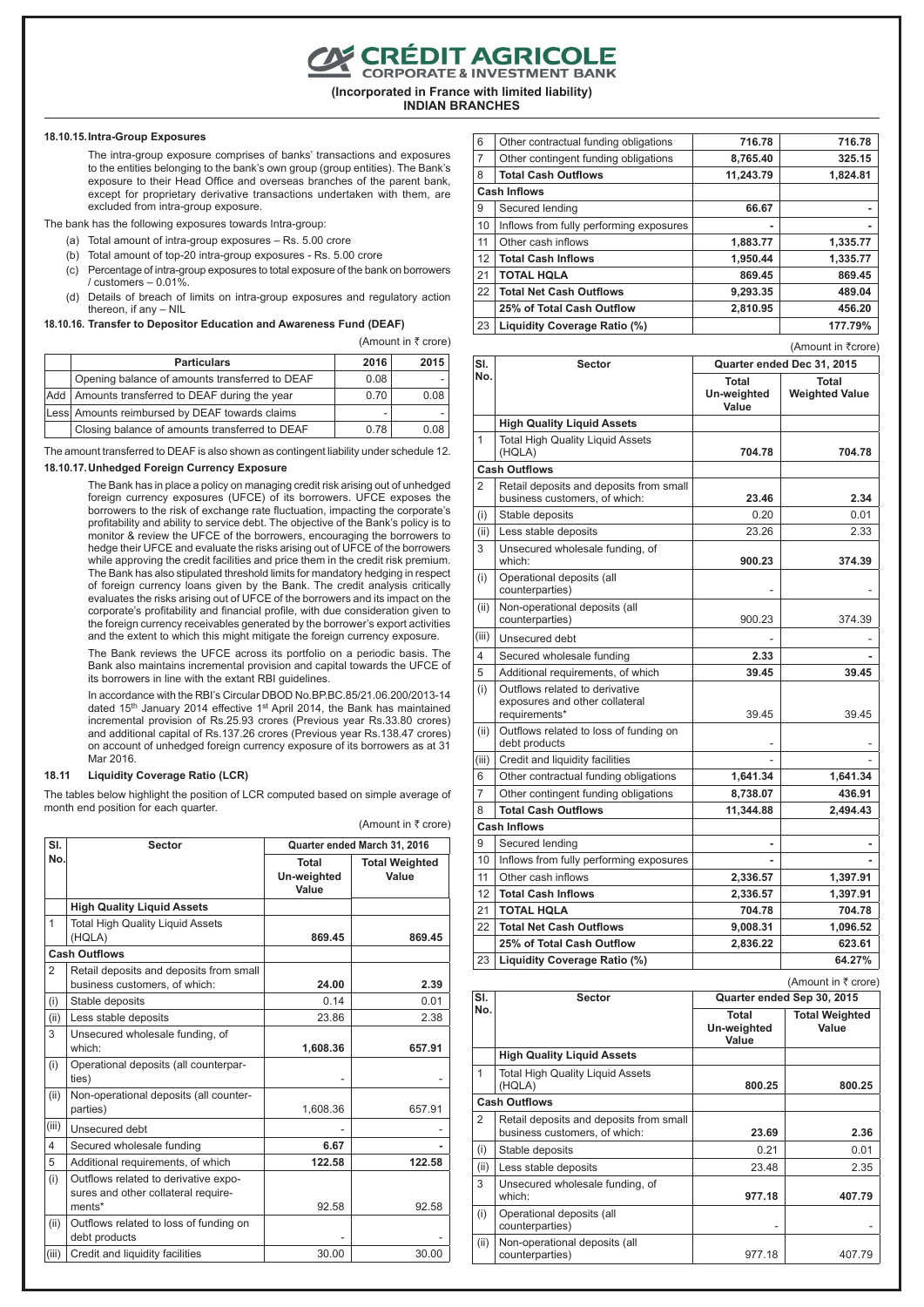**CRÉDIT AGRICOLE**<br>CORPORATE & INVESTMENT BANK

**(Incorporated in France with limited liability)**

**INDIAN BRANCHES**

#### **18.10.15.Intra-Group Exposures**

The intra-group exposure comprises of banks' transactions and exposures to the entities belonging to the bank's own group (group entities). The Bank's exposure to their Head Office and overseas branches of the parent bank, except for proprietary derivative transactions undertaken with them, are excluded from intra-group exposure.

The bank has the following exposures towards Intra-group:

- (a) Total amount of intra-group exposures Rs. 5.00 crore
- (b) Total amount of top-20 intra-group exposures Rs. 5.00 crore
- (c) Percentage of intra-group exposures to total exposure of the bank on borrowers / customers – 0.01%.
- (d) Details of breach of limits on intra-group exposures and regulatory action thereon, if any – NIL

**18.10.16. Transfer to Depositor Education and Awareness Fund (DEAF)**

(Amount in  $\bar{\tau}$  crore)

| <b>Particulars</b>                                | 2016 | 2015 |
|---------------------------------------------------|------|------|
| Opening balance of amounts transferred to DEAF    | 0.08 |      |
| Add   Amounts transferred to DEAF during the year | 0.70 | 0.08 |
| Less Amounts reimbursed by DEAF towards claims    |      |      |
| Closing balance of amounts transferred to DEAF    | 0.78 | 0.08 |

The amount transferred to DEAF is also shown as contingent liability under schedule 12.

#### **18.10.17.Unhedged Foreign Currency Exposure**

The Bank has in place a policy on managing credit risk arising out of unhedged foreign currency exposures (UFCE) of its borrowers. UFCE exposes the borrowers to the risk of exchange rate fluctuation, impacting the corporate's profitability and ability to service debt. The objective of the Bank's policy is to monitor & review the UFCE of the borrowers, encouraging the borrowers to hedge their UFCE and evaluate the risks arising out of UFCE of the borrowers while approving the credit facilities and price them in the credit risk premium. The Bank has also stipulated threshold limits for mandatory hedging in respect of foreign currency loans given by the Bank. The credit analysis critically evaluates the risks arising out of UFCE of the borrowers and its impact on the corporate's profitability and financial profile, with due consideration given to the foreign currency receivables generated by the borrower's export activities and the extent to which this might mitigate the foreign currency exposure.

The Bank reviews the UFCE across its portfolio on a periodic basis. The Bank also maintains incremental provision and capital towards the UFCE of its borrowers in line with the extant RBI guidelines.

In accordance with the RBI's Circular DBOD No.BP.BC.85/21.06.200/2013-14 dated 15<sup>th</sup> January 2014 effective 1<sup>st</sup> April 2014, the Bank has maintained incremental provision of Rs.25.93 crores (Previous year Rs.33.80 crores) and additional capital of Rs.137.26 crores (Previous year Rs.138.47 crores) on account of unhedged foreign currency exposure of its borrowers as at 31 Mar 2016.

#### **18.11 Liquidity Coverage Ratio (LCR)**

The tables below highlight the position of LCR computed based on simple average of month end position for each quarter.

|                |                                                                                       |                               | (Amount in ₹ crore)            |
|----------------|---------------------------------------------------------------------------------------|-------------------------------|--------------------------------|
| SI.            | <b>Sector</b>                                                                         |                               | Quarter ended March 31, 2016   |
| No.            |                                                                                       | Total<br>Un-weighted<br>Value | <b>Total Weighted</b><br>Value |
|                | <b>High Quality Liquid Assets</b>                                                     |                               |                                |
| $\mathbf{1}$   | <b>Total High Quality Liguid Assets</b><br>(HQLA)                                     | 869.45                        | 869.45                         |
|                | <b>Cash Outflows</b>                                                                  |                               |                                |
| $\overline{2}$ | Retail deposits and deposits from small<br>business customers, of which:              | 24.00                         | 2.39                           |
| (i)            | Stable deposits                                                                       | 0.14                          | 0.01                           |
| (ii)           | Less stable deposits                                                                  | 23.86                         | 2.38                           |
| 3              | Unsecured wholesale funding, of<br>which <sup>.</sup>                                 | 1,608.36                      | 657.91                         |
| (i)            | Operational deposits (all counterpar-<br>ties)                                        |                               |                                |
| (ii)           | Non-operational deposits (all counter-<br>parties)                                    | 1,608.36                      | 657.91                         |
| (iii)          | Unsecured debt                                                                        |                               |                                |
| 4              | Secured wholesale funding                                                             | 6.67                          |                                |
| 5              | Additional requirements, of which                                                     | 122.58                        | 122.58                         |
| (i)            | Outflows related to derivative expo-<br>sures and other collateral require-<br>ments* | 92.58                         | 92.58                          |
| (ii)           | Outflows related to loss of funding on<br>debt products                               |                               |                                |
| (iii)          | Credit and liquidity facilities                                                       | 30.00                         | 30.00                          |

| 6              | Other contractual funding obligations   | 716.78    | 716.78   |
|----------------|-----------------------------------------|-----------|----------|
| $\overline{7}$ | Other contingent funding obligations    | 8,765.40  | 325.15   |
| 8              | <b>Total Cash Outflows</b>              | 11.243.79 | 1,824.81 |
|                | <b>Cash Inflows</b>                     |           |          |
| 9              | Secured lending                         | 66.67     |          |
| 10             | Inflows from fully performing exposures |           | ۰        |
| 11             | Other cash inflows                      | 1,883.77  | 1,335.77 |
| 12             | <b>Total Cash Inflows</b>               | 1,950.44  | 1,335.77 |
| 21             | <b>TOTAL HOLA</b>                       | 869.45    | 869.45   |
| 22             | <b>Total Net Cash Outflows</b>          | 9,293.35  | 489.04   |
|                | 25% of Total Cash Outflow               | 2,810.95  | 456.20   |
| 23             | Liquidity Coverage Ratio (%)            |           | 177.79%  |

(Amount in ₹crore)

| SI.            | <b>Sector</b>                                                                     |                               | Quarter ended Dec 31, 2015               |
|----------------|-----------------------------------------------------------------------------------|-------------------------------|------------------------------------------|
| No.            |                                                                                   | Total<br>Un-weighted<br>Value | Total<br><b>Weighted Value</b>           |
|                | <b>High Quality Liquid Assets</b>                                                 |                               |                                          |
| 1              | <b>Total High Quality Liquid Assets</b><br>(HQLA)                                 | 704.78                        | 704.78                                   |
|                | <b>Cash Outflows</b>                                                              |                               |                                          |
| 2              | Retail deposits and deposits from small<br>business customers, of which:          | 23.46                         | 2.34                                     |
| (i)            | Stable deposits                                                                   | 0.20                          | 0.01                                     |
| (ii)           | Less stable deposits                                                              | 23.26                         | 2.33                                     |
| 3              | Unsecured wholesale funding, of<br>which:                                         | 900.23                        | 374.39                                   |
| (i)            | Operational deposits (all<br>counterparties)                                      |                               |                                          |
| (ii)           | Non-operational deposits (all<br>counterparties)                                  | 900.23                        | 374.39                                   |
| (iii)          | Unsecured debt                                                                    |                               |                                          |
| 4              | Secured wholesale funding                                                         | 2.33                          |                                          |
| 5              | Additional requirements, of which                                                 | 39.45                         | 39.45                                    |
| (i)            | Outflows related to derivative<br>exposures and other collateral<br>requirements* | 39.45                         | 39.45                                    |
| (ii)           | Outflows related to loss of funding on<br>debt products                           |                               |                                          |
| (iii)          | Credit and liquidity facilities                                                   |                               |                                          |
| 6              | Other contractual funding obligations                                             | 1,641.34                      | 1,641.34                                 |
| $\overline{7}$ | Other contingent funding obligations                                              | 8,738.07                      | 436.91                                   |
| 8              | <b>Total Cash Outflows</b>                                                        | 11,344.88                     | 2,494.43                                 |
|                | <b>Cash Inflows</b>                                                               |                               |                                          |
| 9              | Secured lending                                                                   |                               |                                          |
| 10             | Inflows from fully performing exposures                                           |                               |                                          |
| 11             | Other cash inflows                                                                | 2,336.57                      | 1,397.91                                 |
| 12             | <b>Total Cash Inflows</b>                                                         | 2.336.57                      | 1,397.91                                 |
| 21             | <b>TOTAL HOLA</b>                                                                 | 704.78                        | 704.78                                   |
| 22             | <b>Total Net Cash Outflows</b>                                                    | 9,008.31                      | 1,096.52                                 |
|                | 25% of Total Cash Outflow                                                         | 2,836.22                      | 623.61                                   |
| 23             | Liquidity Coverage Ratio (%)                                                      |                               | 64.27%                                   |
|                |                                                                                   |                               | $(\Delta$ mount in $\overline{z}$ crore) |

| SI.          | <b>Sector</b>                                                            |                                      | Quarter ended Sep 30, 2015     |
|--------------|--------------------------------------------------------------------------|--------------------------------------|--------------------------------|
| No.          |                                                                          | <b>Total</b><br>Un-weighted<br>Value | <b>Total Weighted</b><br>Value |
|              | <b>High Quality Liguid Assets</b>                                        |                                      |                                |
| $\mathbf{1}$ | <b>Total High Quality Liguid Assets</b><br>(HQLA)                        | 800.25                               | 800.25                         |
|              | <b>Cash Outflows</b>                                                     |                                      |                                |
| 2            | Retail deposits and deposits from small<br>business customers, of which: | 23.69                                | 2.36                           |
| (i)          | Stable deposits                                                          | 0.21                                 | 0.01                           |
| (ii)         | Less stable deposits                                                     | 23.48                                | 2.35                           |
| 3            | Unsecured wholesale funding, of<br>which:                                | 977.18                               | 407.79                         |
| (i)          | Operational deposits (all<br>counterparties)                             | ۰                                    |                                |
| (ii)         | Non-operational deposits (all<br>counterparties)                         | 977.18                               | 407.79                         |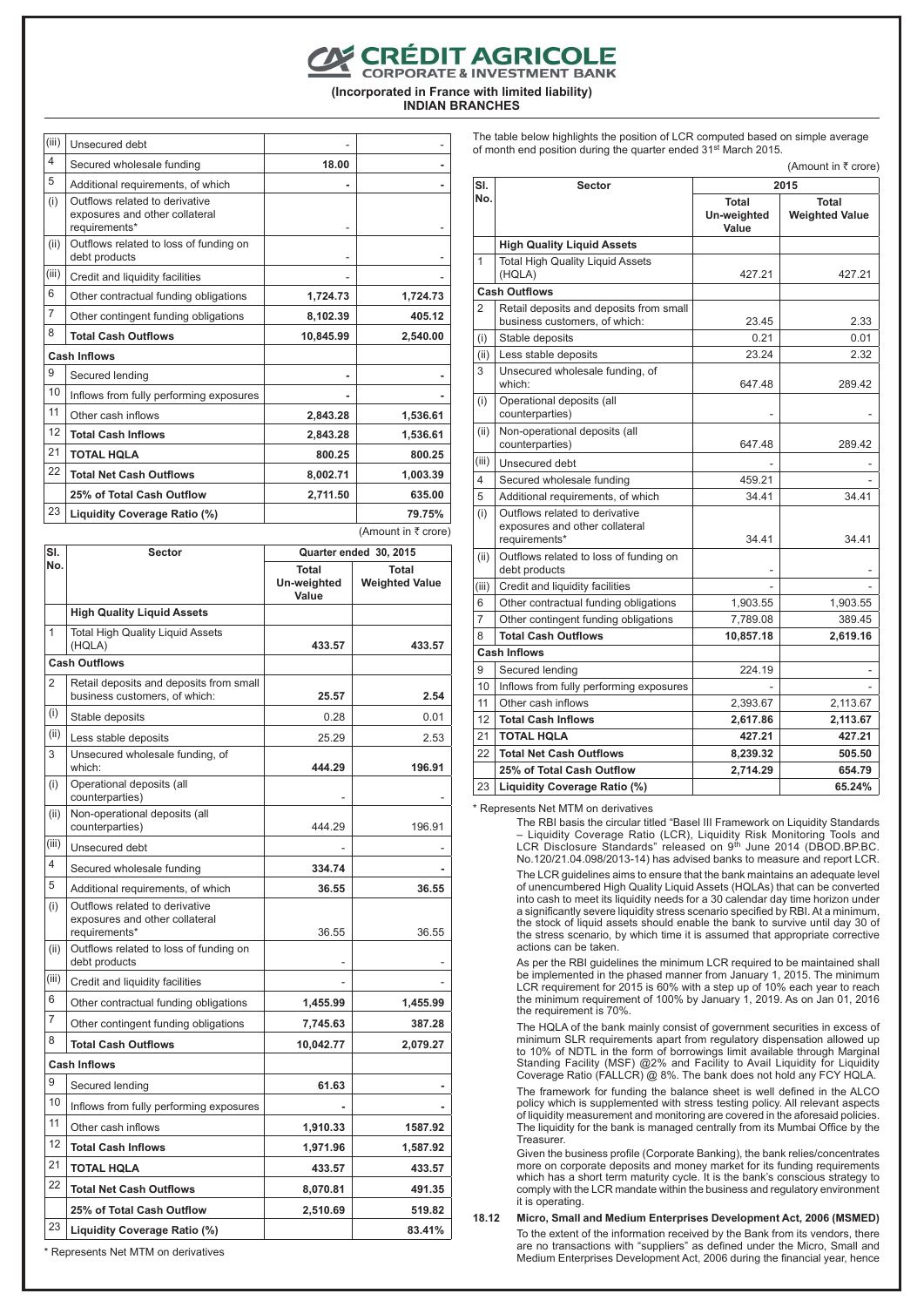## E CRÉDIT AGRICOLE<br>CORPORATE & INVESTMENT BANK

**(Incorporated in France with limited liability) INDIAN BRANCHES**

 $(iii)$  Unsecured debt  $-$ 4 Secured wholesale funding **18.00 -** 5 Additional requirements, of which (i) Outflows related to derivative exposures and other collateral requirements<sup>\*</sup> (ii) Outflows related to loss of funding on debt products  $(iii)$  Credit and liquidity facilities 6 Other contractual funding obligations **1,724.73 1,724.73** 7 Other contingent funding obligations **8,102.39** 405.12 8 **Total Cash Outflows 10,845.99 2,540.00 Cash Inflows** 9 Secured lending **- -** 10 | Inflows from fully performing exposures 11 Other cash inflows **2,843.28 1,536.61** 12 **Total Cash Inflows 2,843.28 1,536.61** 21 **TOTAL HQLA 800.25 800.25** 22 **Total Net Cash Outflows 8,002.71 1,003.39 25% of Total Cash Outflow 2,711.50 635.00** 23 **Liquidity Coverage Ratio (%) 79.75%** (Amount in  $\bar{\tau}$  crore)

| SI.                     | Sector                                                                            | Quarter ended 30, 2015               |                                |  |
|-------------------------|-----------------------------------------------------------------------------------|--------------------------------------|--------------------------------|--|
| No.                     |                                                                                   | <b>Total</b><br>Un-weighted<br>Value | Total<br><b>Weighted Value</b> |  |
|                         | <b>High Quality Liquid Assets</b>                                                 |                                      |                                |  |
| 1                       | <b>Total High Quality Liquid Assets</b><br>(HQLA)                                 | 433.57                               | 433.57                         |  |
|                         | <b>Cash Outflows</b>                                                              |                                      |                                |  |
| $\overline{2}$          | Retail deposits and deposits from small<br>business customers, of which:          | 25.57                                | 2.54                           |  |
| (i)                     | Stable deposits                                                                   | 0.28                                 | 0.01                           |  |
| (ii)                    | Less stable deposits                                                              | 25.29                                | 2.53                           |  |
| 3                       | Unsecured wholesale funding, of<br>which:                                         | 444.29                               | 196.91                         |  |
| (i)                     | Operational deposits (all<br>counterparties)                                      |                                      |                                |  |
| (ii)                    | Non-operational deposits (all<br>counterparties)                                  | 444.29                               | 196.91                         |  |
| (iii)                   | Unsecured debt                                                                    |                                      |                                |  |
| $\overline{\mathbf{4}}$ | Secured wholesale funding                                                         | 334.74                               |                                |  |
| 5                       | Additional requirements, of which                                                 | 36.55                                | 36.55                          |  |
| (i)                     | Outflows related to derivative<br>exposures and other collateral<br>requirements* | 36.55                                | 36.55                          |  |
| (ii)                    | Outflows related to loss of funding on<br>debt products                           |                                      |                                |  |
| (iii)                   | Credit and liquidity facilities                                                   |                                      |                                |  |
| 6                       | Other contractual funding obligations                                             | 1,455.99                             | 1,455.99                       |  |
| $\overline{7}$          | Other contingent funding obligations                                              | 7,745.63                             | 387.28                         |  |
| 8                       | <b>Total Cash Outflows</b>                                                        | 10,042.77                            | 2,079.27                       |  |
|                         | <b>Cash Inflows</b>                                                               |                                      |                                |  |
| 9                       | Secured lending                                                                   | 61.63                                |                                |  |
| 10                      | Inflows from fully performing exposures                                           |                                      |                                |  |
| 11                      | Other cash inflows                                                                | 1,910.33                             | 1587.92                        |  |
| 12                      | <b>Total Cash Inflows</b>                                                         | 1,971.96                             | 1,587.92                       |  |
| 21                      | <b>TOTAL HOLA</b>                                                                 | 433.57                               | 433.57                         |  |
| 22                      | <b>Total Net Cash Outflows</b>                                                    | 8,070.81                             | 491.35                         |  |
|                         | 25% of Total Cash Outflow                                                         | 2,510.69                             | 519.82                         |  |
| 23                      | Liquidity Coverage Ratio (%)                                                      |                                      | 83.41%                         |  |

\* Represents Net MTM on derivatives

The table below highlights the position of LCR computed based on simple average of month end position during the quarter ended 31st March 2015.

 $(Amount in *7* crone)$ 

| SI.            | <b>Sector</b>                                                                     | 2015                                 |                                |  |
|----------------|-----------------------------------------------------------------------------------|--------------------------------------|--------------------------------|--|
| No.            |                                                                                   | <b>Total</b><br>Un-weighted<br>Value | Total<br><b>Weighted Value</b> |  |
|                | <b>High Quality Liquid Assets</b>                                                 |                                      |                                |  |
| $\overline{1}$ | <b>Total High Quality Liguid Assets</b><br>(HQLA)                                 | 427.21                               | 427.21                         |  |
|                | <b>Cash Outflows</b>                                                              |                                      |                                |  |
| $\overline{2}$ | Retail deposits and deposits from small<br>business customers, of which:          | 23.45                                | 2.33                           |  |
| (i)            | Stable deposits                                                                   | 0.21                                 | 0.01                           |  |
| (ii)           | Less stable deposits                                                              | 23.24                                | 2.32                           |  |
| 3              | Unsecured wholesale funding, of<br>which:                                         | 647.48                               | 289.42                         |  |
| (i)            | Operational deposits (all<br>counterparties)                                      |                                      |                                |  |
| (ii)           | Non-operational deposits (all<br>counterparties)                                  | 647.48                               | 289.42                         |  |
| (iii)          | Unsecured debt                                                                    |                                      |                                |  |
| 4              | Secured wholesale funding                                                         | 459.21                               |                                |  |
| 5              | Additional requirements, of which                                                 | 34.41                                | 34.41                          |  |
| (i)            | Outflows related to derivative<br>exposures and other collateral<br>requirements* | 34.41                                | 34.41                          |  |
| (ii)           | Outflows related to loss of funding on<br>debt products                           |                                      |                                |  |
| (iii)          | Credit and liquidity facilities                                                   |                                      |                                |  |
| 6              | Other contractual funding obligations                                             | 1,903.55                             | 1,903.55                       |  |
| 7              | Other contingent funding obligations                                              | 7,789.08                             | 389.45                         |  |
| 8              | <b>Total Cash Outflows</b>                                                        | 10,857.18                            | 2,619.16                       |  |
|                | <b>Cash Inflows</b>                                                               |                                      |                                |  |
| 9              | Secured lending                                                                   | 224.19                               |                                |  |
| 10             | Inflows from fully performing exposures                                           |                                      |                                |  |
| 11             | Other cash inflows                                                                | 2,393.67                             | 2,113.67                       |  |
| 12             | <b>Total Cash Inflows</b>                                                         | 2,617.86                             | 2,113.67                       |  |
| 21             | <b>TOTAL HOLA</b>                                                                 | 427.21                               | 427.21                         |  |
| 22             | <b>Total Net Cash Outflows</b>                                                    | 8,239.32                             | 505.50                         |  |
|                | 25% of Total Cash Outflow                                                         | 2,714.29                             | 654.79                         |  |
| 23             | Liquidity Coverage Ratio (%)                                                      |                                      | 65.24%                         |  |

\* Represents Net MTM on derivatives

The RBI basis the circular titled "Basel III Framework on Liquidity Standards – Liquidity Coverage Ratio (LCR), Liquidity Risk Monitoring Tools and LCR Disclosure Standards" released on 9th June 2014 (DBOD.BP.BC. No.120/21.04.098/2013-14) has advised banks to measure and report LCR.

The LCR guidelines aims to ensure that the bank maintains an adequate level of unencumbered High Quality Liquid Assets (HQLAs) that can be converted into cash to meet its liquidity needs for a 30 calendar day time horizon under a significantly severe liquidity stress scenario specified by RBI. At a minimum, the stock of liquid assets should enable the bank to survive until day 30 of the stress scenario, by which time it is assumed that appropriate corrective actions can be taken.

As per the RBI guidelines the minimum LCR required to be maintained shall<br>be implemented in the phased manner from January 1, 2015. The minimum be implemented in the phased manner from January 1, 2015. The minimum LCR requirement for 2015 is 60% with a step up of 10% each year to reach the minimum requirement of 100% by January 1, 2019. As on Jan 01, 2016 the requirement is 70%.

The HQLA of the bank mainly consist of government securities in excess of minimum SLR requirements apart from regulatory dispensation allowed up to 10% of NDTL in the form of borrowings limit available through Marginal Standing Facility (MSF) @2% and Facility to Avail Liquidity for Liquidity Coverage Ratio (FALLCR) @ 8%. The bank does not hold any FCY HQLA.

The framework for funding the balance sheet is well defined in the ALCO policy which is supplemented with stress testing policy. All relevant aspects of liquidity measurement and monitoring are covered in the aforesaid policies. The liquidity for the bank is managed centrally from its Mumbai Office by the **Treasurer.** 

Given the business profile (Corporate Banking), the bank relies/concentrates more on corporate deposits and money market for its funding requirements<br>which has a short term maturity cycle. It is the bank's conscious strategy to<br>comply with the LCR mandate within the business and regulatory environm it is operating.

**18.12 Micro, Small and Medium Enterprises Development Act, 2006 (MSMED)** To the extent of the information received by the Bank from its vendors, there are no transactions with "suppliers" as defined under the Micro, Small and Medium Enterprises Development Act, 2006 during the financial year, hence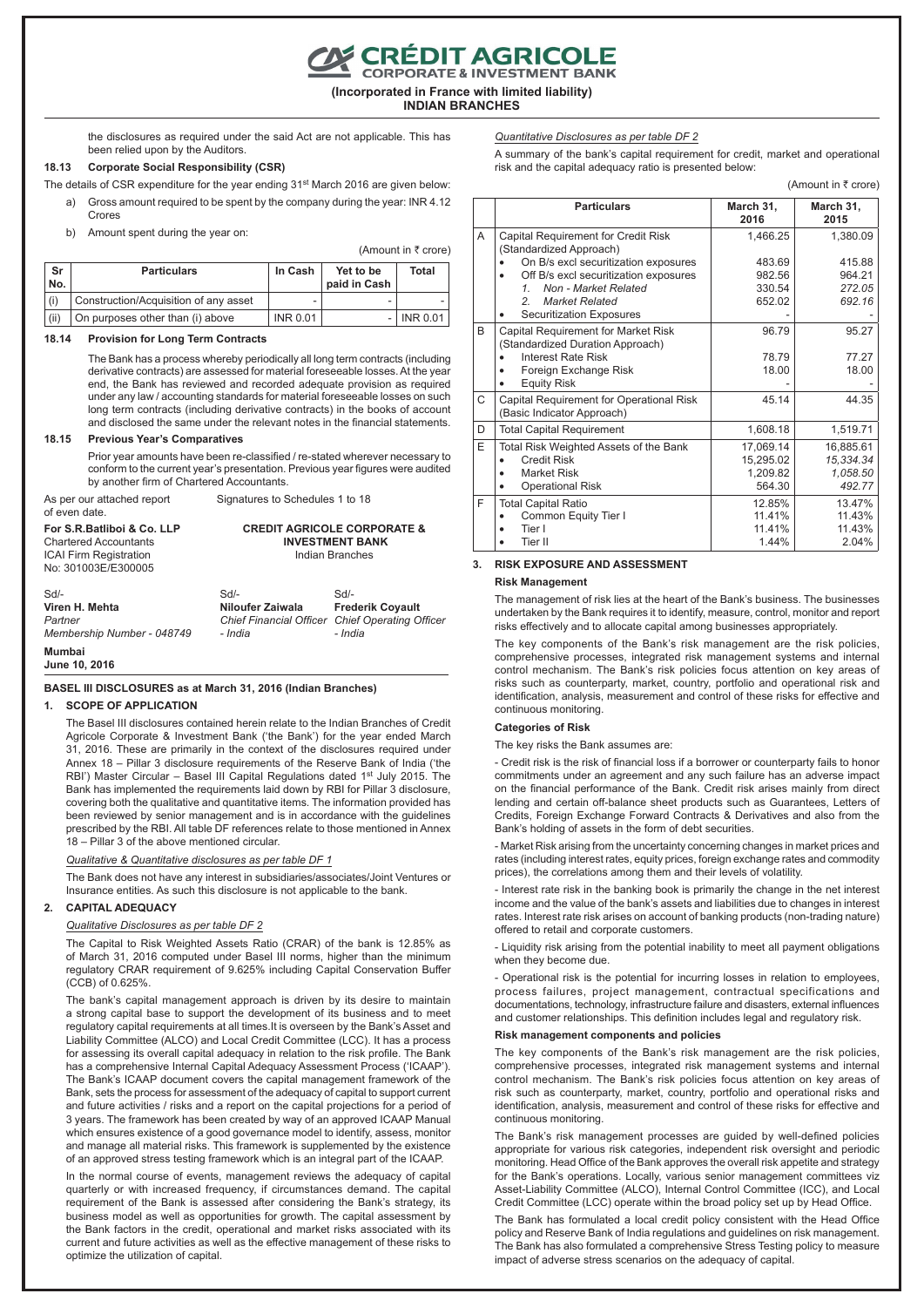**(Incorporated in France with limited liability) INDIAN BRANCHES**

E CRÉDIT AGRICOLE<br>CORPORATE & INVESTMENT BANK

the disclosures as required under the said Act are not applicable. This has been relied upon by the Auditors.

 $(Amount in ₹ error)$ 

## **18.13 Corporate Social Responsibility (CSR)**

- The details of CSR expenditure for the year ending 31<sup>st</sup> March 2016 are given below: Gross amount required to be spent by the company during the year: INR 4.12
	- Crores

b) Amount spent during the year on:

| Sr<br>No. | <b>Particulars</b>                    | In Cash         | Yet to be<br>paid in Cash | Total    |
|-----------|---------------------------------------|-----------------|---------------------------|----------|
| (i)       | Construction/Acquisition of any asset |                 |                           |          |
| (ii)      | On purposes other than (i) above      | <b>INR 0.01</b> |                           | INR 0.01 |

#### **18.14 Provision for Long Term Contracts**

The Bank has a process whereby periodically all long term contracts (including derivative contracts) are assessed for material foreseeable losses. At the year end, the Bank has reviewed and recorded adequate provision as required under any law / accounting standards for material foreseeable losses on such long term contracts (including derivative contracts) in the books of account and disclosed the same under the relevant notes in the financial statements.

#### **18.15 Previous Year's Comparatives**

Prior year amounts have been re-classified / re-stated wherever necessary to conform to the current year's presentation. Previous year figures were audited by another firm of Chartered Accountants.

As per our attached report Signatures to Schedules 1 to 18 of even date.

**For S.R.Batliboi & Co. LLP** Chartered Accountants ICAI Firm Registration No: 301003E/E300005 **CREDIT AGRICOLE CORPORATE & INVESTMENT BANK** Indian Branches Sd/- **Viren H. Mehta** *Partner Membership Number - 048749*  $CA/$ **Niloufer Zaiwala** *Chief Financial Officer - India* Sd/- **Frederik Coyault** *Chief Operating Officer - India*

**Mumbai**

**June 10, 2016**

## **BASEL III DISCLOSURES as at March 31, 2016 (Indian Branches)**

#### **1. SCOPE OF APPLICATION**

The Basel III disclosures contained herein relate to the Indian Branches of Credit Agricole Corporate & Investment Bank ('the Bank') for the year ended March 31, 2016. These are primarily in the context of the disclosures required under Annex 18 – Pillar 3 disclosure requirements of the Reserve Bank of India ('the RBI') Master Circular – Basel III Capital Regulations dated 1st July 2015. The Bank has implemented the requirements laid down by RBI for Pillar 3 disclosure, covering both the qualitative and quantitative items. The information provided has been reviewed by senior management and is in accordance with the guidelines prescribed by the RBI. All table DF references relate to those mentioned in Annex 18 – Pillar 3 of the above mentioned circular.

## *Qualitative & Quantitative disclosures as per table DF 1*

The Bank does not have any interest in subsidiaries/associates/Joint Ventures or Insurance entities. As such this disclosure is not applicable to the bank.

#### **2. CAPITAL ADEQUACY**

#### *Qualitative Disclosures as per table DF 2*

The Capital to Risk Weighted Assets Ratio (CRAR) of the bank is 12.85% as of March 31, 2016 computed under Basel III norms, higher than the minimum regulatory CRAR requirement of 9.625% including Capital Conservation Buffer (CCB) of 0.625%.

The bank's capital management approach is driven by its desire to maintain a strong capital base to support the development of its business and to meet regulatory capital requirements at all times.It is overseen by the Bank's Asset and Liability Committee (ALCO) and Local Credit Committee (LCC). It has a process for assessing its overall capital adequacy in relation to the risk profile. The Bank has a comprehensive Internal Capital Adequacy Assessment Process ('ICAAP'). The Bank's ICAAP document covers the capital management framework of the Bank, sets the process for assessment of the adequacy of capital to support current and future activities / risks and a report on the capital projections for a period of 3 years. The framework has been created by way of an approved ICAAP Manual which ensures existence of a good governance model to identify, assess, monitor and manage all material risks. This framework is supplemented by the existence of an approved stress testing framework which is an integral part of the ICAAP.

In the normal course of events, management reviews the adequacy of capital quarterly or with increased frequency, if circumstances demand. The capital requirement of the Bank is assessed after considering the Bank's strategy, its business model as well as opportunities for growth. The capital assessment by the Bank factors in the credit, operational and market risks associated with its current and future activities as well as the effective management of these risks to optimize the utilization of capital.

*Quantitative Disclosures as per table DF 2*

A summary of the bank's capital requirement for credit, market and operational risk and the capital adequacy ratio is presented below:

 $(Amount in *7* or *one*)$ 

|   | <b>Particulars</b>                                                                                            | March 31,<br>2016                            | March 31,<br>2015                            |
|---|---------------------------------------------------------------------------------------------------------------|----------------------------------------------|----------------------------------------------|
| A | Capital Requirement for Credit Risk<br>(Standardized Approach)                                                | 1,466.25                                     | 1,380.09                                     |
|   | On B/s excl securitization exposures                                                                          | 483.69                                       | 415.88                                       |
|   | Off B/s excl securitization exposures                                                                         | 982.56                                       | 964.21                                       |
|   | Non - Market Related<br>1                                                                                     | 330.54                                       | 272.05                                       |
|   | <b>Market Related</b><br>$\mathcal{P}$                                                                        | 652.02                                       | 692.16                                       |
|   | <b>Securitization Exposures</b>                                                                               |                                              |                                              |
| B | Capital Requirement for Market Risk<br>(Standardized Duration Approach)                                       | 96.79                                        | 95.27                                        |
|   | Interest Rate Risk                                                                                            | 78.79                                        | 77.27                                        |
|   | Foreign Exchange Risk<br><b>Equity Risk</b>                                                                   | 18.00                                        | 18.00                                        |
| C | Capital Requirement for Operational Risk<br>(Basic Indicator Approach)                                        | 45.14                                        | 44.35                                        |
| D | <b>Total Capital Requirement</b>                                                                              | 1,608.18                                     | 1,519.71                                     |
| E | Total Risk Weighted Assets of the Bank<br><b>Credit Risk</b><br><b>Market Risk</b><br><b>Operational Risk</b> | 17,069.14<br>15,295.02<br>1,209.82<br>564.30 | 16,885.61<br>15,334.34<br>1,058.50<br>492.77 |
| F | <b>Total Capital Ratio</b>                                                                                    | 12.85%                                       | 13.47%                                       |
|   | Common Equity Tier I                                                                                          | 11.41%                                       | 11.43%                                       |
|   | Tier I                                                                                                        | 11.41%                                       | 11.43%                                       |
|   | Tier II                                                                                                       | 1.44%                                        | 2.04%                                        |

#### **3. RISK EXPOSURE AND ASSESSMENT**

#### **Risk Management**

The management of risk lies at the heart of the Bank's business. The businesses undertaken by the Bank requires it to identify, measure, control, monitor and report risks effectively and to allocate capital among businesses appropriately.

The key components of the Bank's risk management are the risk policies, comprehensive processes, integrated risk management systems and internal control mechanism. The Bank's risk policies focus attention on key areas of risks such as counterparty, market, country, portfolio and operational risk and identification, analysis, measurement and control of these risks for effective and continuous monitoring.

#### **Categories of Risk**

The key risks the Bank assumes are:

- Credit risk is the risk of financial loss if a borrower or counterparty fails to honor commitments under an agreement and any such failure has an adverse impact on the financial performance of the Bank. Credit risk arises mainly from direct lending and certain off-balance sheet products such as Guarantees, Letters of Credits, Foreign Exchange Forward Contracts & Derivatives and also from the Bank's holding of assets in the form of debt securities.

- Market Risk arising from the uncertainty concerning changes in market prices and rates (including interest rates, equity prices, foreign exchange rates and commodity prices), the correlations among them and their levels of volatility.

- Interest rate risk in the banking book is primarily the change in the net interest income and the value of the bank's assets and liabilities due to changes in interest rates. Interest rate risk arises on account of banking products (non-trading nature) offered to retail and corporate customers.

- Liquidity risk arising from the potential inability to meet all payment obligations when they become due.

- Operational risk is the potential for incurring losses in relation to employees, process failures, project management, contractual specifications and documentations, technology, infrastructure failure and disasters, external influences and customer relationships. This definition includes legal and regulatory risk.

#### **Risk management components and policies**

The key components of the Bank's risk management are the risk policies, comprehensive processes, integrated risk management systems and internal control mechanism. The Bank's risk policies focus attention on key areas of risk such as counterparty, market, country, portfolio and operational risks and identification, analysis, measurement and control of these risks for effective and continuous monitoring.

The Bank's risk management processes are guided by well-defined policies appropriate for various risk categories, independent risk oversight and periodic monitoring. Head Office of the Bank approves the overall risk appetite and strategy for the Bank's operations. Locally, various senior management committees viz Asset-Liability Committee (ALCO), Internal Control Committee (ICC), and Local Credit Committee (LCC) operate within the broad policy set up by Head Office.

The Bank has formulated a local credit policy consistent with the Head Office policy and Reserve Bank of India regulations and guidelines on risk management. The Bank has also formulated a comprehensive Stress Testing policy to measure impact of adverse stress scenarios on the adequacy of capital.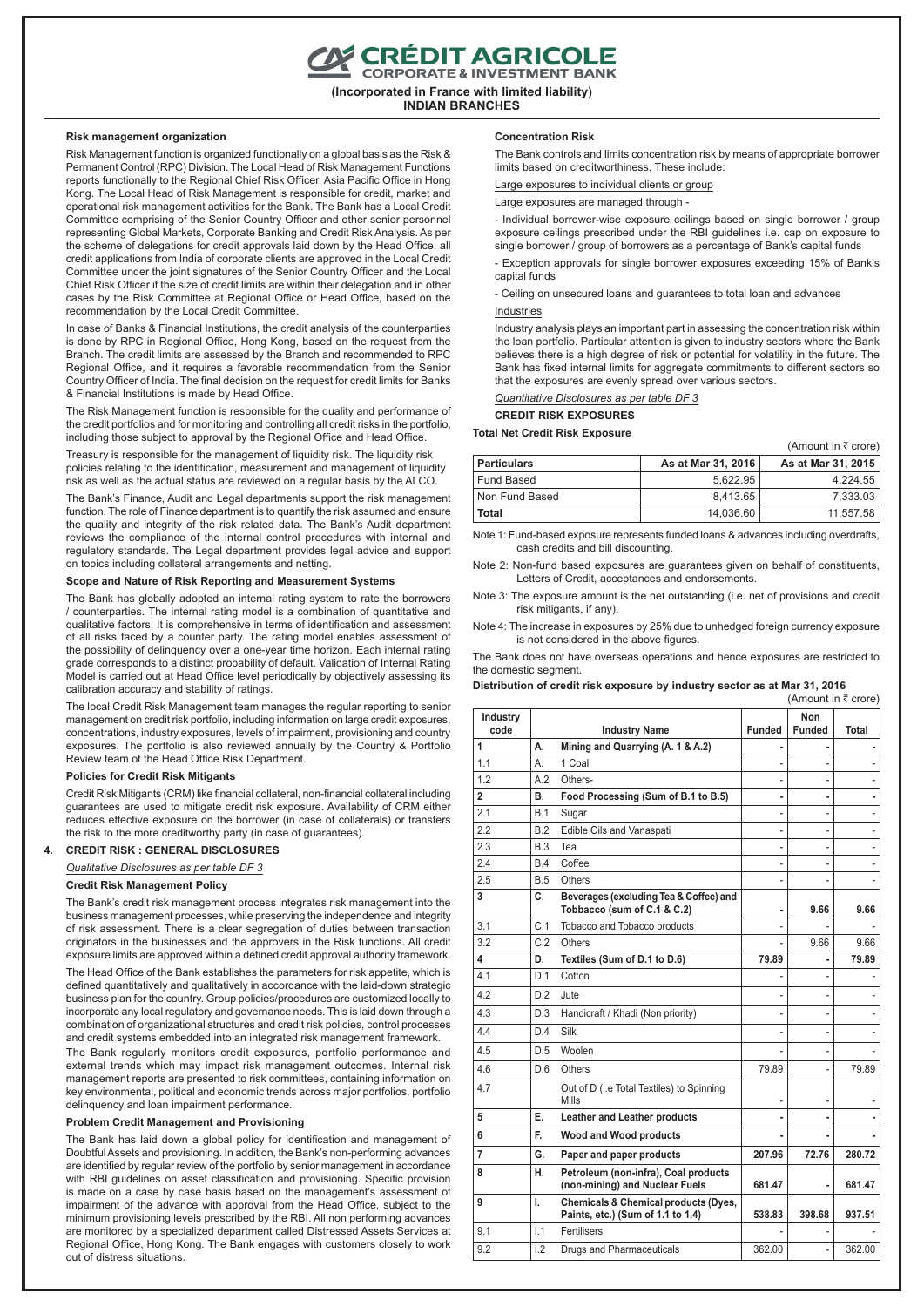CRÉDIT AGRICOLE

**(Incorporated in France with limited liability) INDIAN BRANCHES**

#### **Risk management organization**

Risk Management function is organized functionally on a global basis as the Risk & Permanent Control (RPC) Division. The Local Head of Risk Management Functions reports functionally to the Regional Chief Risk Officer, Asia Pacific Office in Hong Kong. The Local Head of Risk Management is responsible for credit, market and operational risk management activities for the Bank. The Bank has a Local Credit Committee comprising of the Senior Country Officer and other senior personnel representing Global Markets, Corporate Banking and Credit Risk Analysis. As per the scheme of delegations for credit approvals laid down by the Head Office, all credit applications from India of corporate clients are approved in the Local Credit Committee under the joint signatures of the Senior Country Officer and the Local Chief Risk Officer if the size of credit limits are within their delegation and in other cases by the Risk Committee at Regional Office or Head Office, based on the recommendation by the Local Credit Committee.

In case of Banks & Financial Institutions, the credit analysis of the counterparties is done by RPC in Regional Office, Hong Kong, based on the request from the Branch. The credit limits are assessed by the Branch and recommended to RPC Regional Office, and it requires a favorable recommendation from the Senior Country Officer of India. The final decision on the request for credit limits for Banks & Financial Institutions is made by Head Office.

The Risk Management function is responsible for the quality and performance of the credit portfolios and for monitoring and controlling all credit risks in the portfolio, including those subject to approval by the Regional Office and Head Office.

Treasury is responsible for the management of liquidity risk. The liquidity risk policies relating to the identification, measurement and management of liquidity risk as well as the actual status are reviewed on a regular basis by the ALCO.

The Bank's Finance, Audit and Legal departments support the risk management function. The role of Finance department is to quantify the risk assumed and ensure the quality and integrity of the risk related data. The Bank's Audit department reviews the compliance of the internal control procedures with internal and regulatory standards. The Legal department provides legal advice and support on topics including collateral arrangements and netting.

#### **Scope and Nature of Risk Reporting and Measurement Systems**

The Bank has globally adopted an internal rating system to rate the borrowers / counterparties. The internal rating model is a combination of quantitative and qualitative factors. It is comprehensive in terms of identification and assessment of all risks faced by a counter party. The rating model enables assessment of the possibility of delinquency over a one-year time horizon. Each internal rating grade corresponds to a distinct probability of default. Validation of Internal Rating Model is carried out at Head Office level periodically by objectively assessing its calibration accuracy and stability of ratings.

The local Credit Risk Management team manages the regular reporting to senior management on credit risk portfolio, including information on large credit exposures, concentrations, industry exposures, levels of impairment, provisioning and country exposures. The portfolio is also reviewed annually by the Country & Portfolio Review team of the Head Office Risk Department.

#### **Policies for Credit Risk Mitigants**

Credit Risk Mitigants (CRM) like financial collateral, non-financial collateral including guarantees are used to mitigate credit risk exposure. Availability of CRM either reduces effective exposure on the borrower (in case of collaterals) or transfers the risk to the more creditworthy party (in case of guarantees).

## **4. CREDIT RISK : GENERAL DISCLOSURES**

*Qualitative Disclosures as per table DF 3*

#### **Credit Risk Management Policy**

The Bank's credit risk management process integrates risk management into the business management processes, while preserving the independence and integrity of risk assessment. There is a clear segregation of duties between transaction originators in the businesses and the approvers in the Risk functions. All credit exposure limits are approved within a defined credit approval authority framework.

The Head Office of the Bank establishes the parameters for risk appetite, which is defined quantitatively and qualitatively in accordance with the laid-down strategic business plan for the country. Group policies/procedures are customized locally to incorporate any local regulatory and governance needs. This is laid down through a combination of organizational structures and credit risk policies, control processes and credit systems embedded into an integrated risk management framework.

The Bank regularly monitors credit exposures, portfolio performance and external trends which may impact risk management outcomes. Internal risk management reports are presented to risk committees, containing information on key environmental, political and economic trends across major portfolios, portfolio delinquency and loan impairment performance.

#### **Problem Credit Management and Provisioning**

The Bank has laid down a global policy for identification and management of Doubtful Assets and provisioning. In addition, the Bank's non-performing advances are identified by regular review of the portfolio by senior management in accordance with RBI guidelines on asset classification and provisioning. Specific provision is made on a case by case basis based on the management's assessment of impairment of the advance with approval from the Head Office, subject to the minimum provisioning levels prescribed by the RBI. All non performing advances are monitored by a specialized department called Distressed Assets Services at Regional Office, Hong Kong. The Bank engages with customers closely to work out of distress situations.

#### **Concentration Risk**

The Bank controls and limits concentration risk by means of appropriate borrower limits based on creditworthiness. These include:

Large exposures to individual clients or group

Large exposures are managed through -

- Individual borrower-wise exposure ceilings based on single borrower / group exposure ceilings prescribed under the RBI guidelines i.e. cap on exposure to single borrower / group of borrowers as a percentage of Bank's capital funds

- Exception approvals for single borrower exposures exceeding 15% of Bank's capital funds

- Ceiling on unsecured loans and guarantees to total loan and advances

## Industries

Industry analysis plays an important part in assessing the concentration risk within the loan portfolio. Particular attention is given to industry sectors where the Bank believes there is a high degree of risk or potential for volatility in the future. The Bank has fixed internal limits for aggregate commitments to different sectors so that the exposures are evenly spread over various sectors.

(Amount in  $\bar{\tau}$  crore)

*Quantitative Disclosures as per table DF 3*

**CREDIT RISK EXPOSURES**

#### **Total Net Credit Risk Exposure**

| <b>Particulars</b> | As at Mar 31, 2016 | As at Mar 31, 2015 |
|--------------------|--------------------|--------------------|
| Fund Based         | 5.622.95           | 4.224.55           |
| Non Fund Based     | 8.413.65           | 7.333.03           |
| Total              | 14.036.60          | 11.557.58          |

Note 1: Fund-based exposure represents funded loans & advances including overdrafts, cash credits and bill discounting.

Note 2: Non-fund based exposures are guarantees given on behalf of constituents, Letters of Credit, acceptances and endorsements.

Note 3: The exposure amount is the net outstanding (i.e. net of provisions and credit risk mitigants, if any).

Note 4: The increase in exposures by 25% due to unhedged foreign currency exposure is not considered in the above figures.

The Bank does not have overseas operations and hence exposures are restricted to the domestic segment.

**Distribution of credit risk exposure by industry sector as at Mar 31, 2016** (Amount in  $\bar{\tau}$  crore)

| Industry<br>code |            | <b>Industry Name</b>                                                      | <b>Funded</b> | <b>Non</b><br><b>Funded</b> | Total  |
|------------------|------------|---------------------------------------------------------------------------|---------------|-----------------------------|--------|
| 1                | А.         | Mining and Quarrying (A. 1 & A.2)                                         |               |                             |        |
| 1.1              | А.         | 1 Coal                                                                    |               |                             |        |
| 1.2              | A.2        | Others-                                                                   | ÷,            | $\overline{a}$              |        |
| $\overline{2}$   | В.         | Food Processing (Sum of B.1 to B.5)                                       | ٠             | ۰                           |        |
| 2.1              | <b>B.1</b> | Sugar                                                                     |               |                             |        |
| 2.2              | B.2        | Edible Oils and Vanaspati                                                 | ÷,            | -                           |        |
| 2.3              | B.3        | Tea                                                                       | ä,            |                             |        |
| 2.4              | B.4        | Coffee                                                                    | ٠             | $\overline{a}$              |        |
| 2.5              | B.5        | Others                                                                    | ÷.            |                             |        |
| 3                | C.         | Beverages (excluding Tea & Coffee) and<br>Tobbacco (sum of C.1 & C.2)     | ٠             | 9.66                        | 9.66   |
| 3.1              | C.1        | Tobacco and Tobacco products                                              |               |                             |        |
| 3.2              | C.2        | Others                                                                    |               | 9.66                        | 9.66   |
| 4                | D.         | Textiles (Sum of D.1 to D.6)                                              | 79.89         |                             | 79.89  |
| 4.1              | D.1        | Cotton                                                                    |               |                             |        |
| 4.2              | D.2        | Jute                                                                      |               |                             |        |
| 4.3              | D.3        | Handicraft / Khadi (Non priority)                                         |               |                             |        |
| 4.4              | D.4        | Silk                                                                      |               |                             |        |
| 4.5              | D.5        | Woolen                                                                    |               |                             |        |
| 4.6              | D.6        | Others                                                                    | 79.89         |                             | 79.89  |
| 4.7              |            | Out of D (i.e Total Textiles) to Spinning<br>Mills                        |               |                             |        |
| 5                | Е.         | Leather and Leather products                                              |               |                             |        |
| 6                | F.         | Wood and Wood products                                                    |               |                             |        |
| 7                | G.         | Paper and paper products                                                  | 207.96        | 72.76                       | 280.72 |
| 8                | н.         | Petroleum (non-infra), Coal products<br>(non-mining) and Nuclear Fuels    | 681.47        | ä,                          | 681.47 |
| 9                | I.         | Chemicals & Chemical products (Dyes,<br>Paints, etc.) (Sum of 1.1 to 1.4) | 538.83        | 398.68                      | 937.51 |
| 9.1              | 1.1        | Fertilisers                                                               |               |                             |        |
| 9.2              | 1.2        | Drugs and Pharmaceuticals                                                 | 362.00        |                             | 362.00 |
|                  |            |                                                                           |               |                             |        |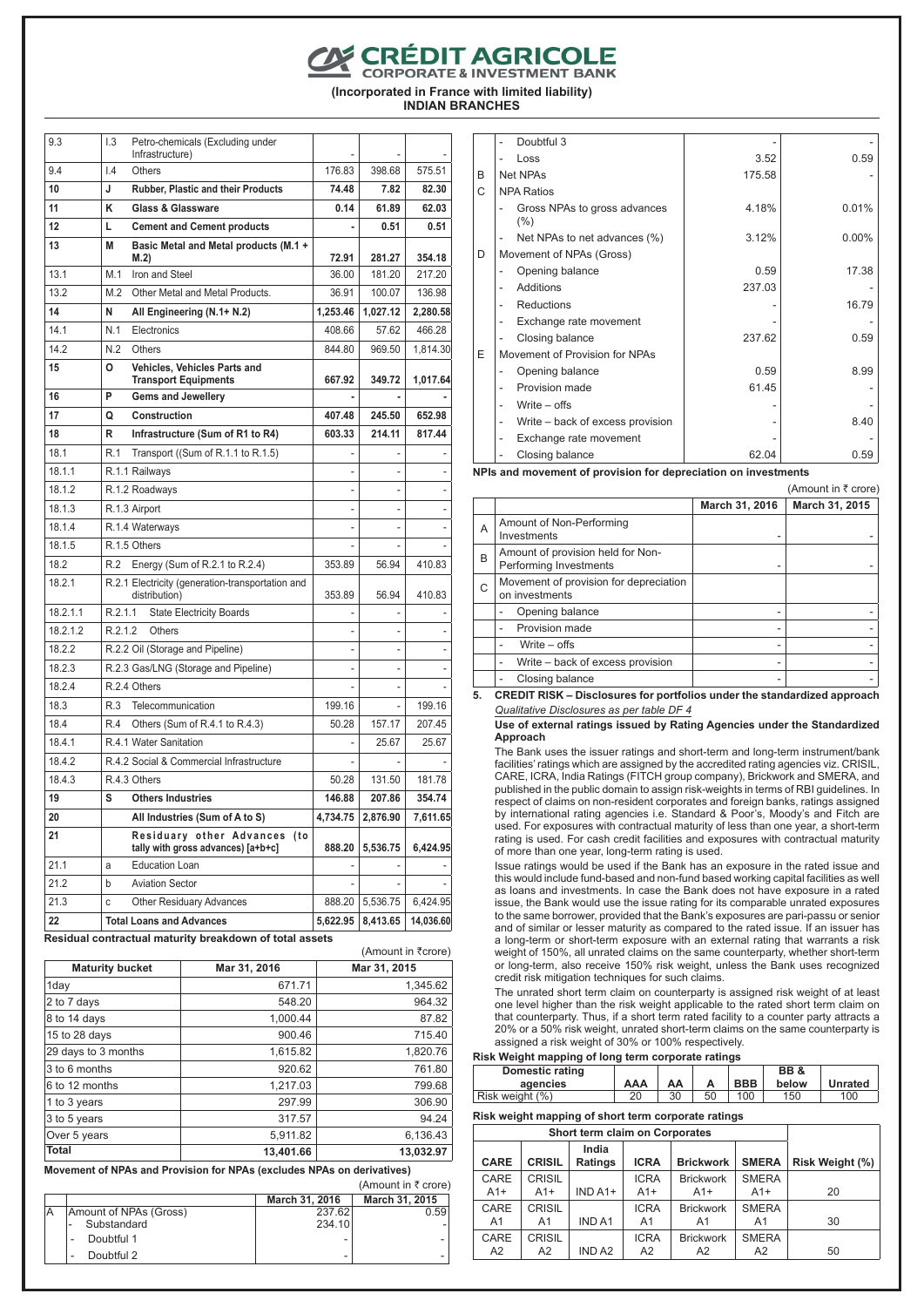**EXPEDIT AGRICOLE** 

**(Incorporated in France with limited liability) INDIAN BRANCHES**

| 9.3      | 1.3                     | Petro-chemicals (Excluding under<br>Infrastructure)                   |                |          |           |
|----------|-------------------------|-----------------------------------------------------------------------|----------------|----------|-----------|
| 9.4      | $\mathsf{I}.\mathsf{4}$ | <b>Others</b>                                                         | 176.83         | 398.68   | 575.51    |
| 10       | J                       | Rubber, Plastic and their Products                                    | 74.48          | 7.82     | 82.30     |
| 11       | κ                       | <b>Glass &amp; Glassware</b>                                          | 0.14           | 61.89    | 62.03     |
| 12       | L                       | <b>Cement and Cement products</b>                                     | ٠              | 0.51     | 0.51      |
| 13       | M                       | Basic Metal and Metal products (M.1 +<br>M.2)                         | 72.91          | 281.27   | 354.18    |
| 13.1     | M.1                     | Iron and Steel                                                        | 36.00          | 181.20   | 217.20    |
| 13.2     | M.2                     | Other Metal and Metal Products.                                       | 36.91          | 100.07   | 136.98    |
| 14       | N                       | All Engineering (N.1+ N.2)                                            | 1,253.46       | 1,027.12 | 2,280.58  |
| 14.1     | N.1                     | Electronics                                                           | 408.66         | 57.62    | 466.28    |
| 14.2     | N.2                     | <b>Others</b>                                                         | 844.80         | 969.50   | 1,814.30  |
| 15       | o                       | Vehicles, Vehicles Parts and<br><b>Transport Equipments</b>           | 667.92         | 349.72   | 1,017.64  |
| 16       | P                       | <b>Gems and Jewellery</b>                                             |                |          |           |
| 17       | Q                       | Construction                                                          | 407.48         | 245.50   | 652.98    |
| 18       | R                       | Infrastructure (Sum of R1 to R4)                                      | 603.33         | 214.11   | 817.44    |
| 18.1     | R.1                     | Transport ((Sum of R.1.1 to R.1.5)                                    | L,             |          |           |
| 18.1.1   |                         | R.1.1 Railways                                                        | L,             | ä,       |           |
| 18.1.2   |                         | R.1.2 Roadways                                                        | $\overline{a}$ |          |           |
| 18.1.3   |                         | R.1.3 Airport                                                         |                | ٠        |           |
| 18.1.4   |                         | R.1.4 Waterways                                                       |                |          |           |
| 18.1.5   |                         | R.1.5 Others                                                          |                |          |           |
| 18.2     | R.2                     | Energy (Sum of R.2.1 to R.2.4)                                        | 353.89         | 56.94    | 410.83    |
| 18.2.1   |                         | R.2.1 Electricity (generation-transportation and<br>distribution)     | 353.89         | 56.94    | 410.83    |
| 18.2.1.1 | R.2.1.1                 | <b>State Electricity Boards</b>                                       |                |          |           |
| 18.2.1.2 | R.2.1.2                 | <b>Others</b>                                                         | $\overline{a}$ | Ĭ.       |           |
| 18.2.2   |                         | R.2.2 Oil (Storage and Pipeline)                                      |                |          |           |
| 18.2.3   |                         | R.2.3 Gas/LNG (Storage and Pipeline)                                  |                |          |           |
| 18.2.4   |                         | R.2.4 Others                                                          |                |          |           |
| 18.3     | R.3                     | Telecommunication                                                     | 199.16         | ä,       | 199.16    |
| 18.4     | R.4                     | Others (Sum of R.4.1 to R.4.3)                                        | 50.28          | 157.17   | 207.45    |
| 18.4.1   |                         | R.4.1 Water Sanitation                                                | ٠              | 25.67    | 25.67     |
| 18.4.2   |                         | R.4.2 Social & Commercial Infrastructure                              |                |          |           |
| 18.4.3   |                         | R.4.3 Others                                                          | 50.28          | 131.50   | 181.78    |
| 19       | S                       | <b>Others Industries</b>                                              | 146.88         | 207.86   | 354.74    |
| 20       |                         | All Industries (Sum of A to S)                                        | 4,734.75       | 2,876.90 | 7,611.65  |
| 21       |                         | Residuary other Advances<br>(to<br>tally with gross advances) [a+b+c] | 888.20         | 5,536.75 | 6,424.95  |
| 21.1     | a                       | <b>Education Loan</b>                                                 |                |          |           |
| 21.2     | b                       | <b>Aviation Sector</b>                                                |                |          |           |
| 21.3     | C                       | <b>Other Residuary Advances</b>                                       | 888.20         | 5,536.75 | 6,424.95  |
| 22       |                         | <b>Total Loans and Advances</b>                                       | 5,622.95       | 8,413.65 | 14,036.60 |

**Residual contractual maturity breakdown of total assets**

| <b>Maturity bucket</b> | Mar 31, 2016 | Mar 31, 2015 |
|------------------------|--------------|--------------|
| 1day                   | 671.71       | 1,345.62     |
| 2 to 7 days            | 548.20       | 964.32       |
| 8 to 14 days           | 1,000.44     | 87.82        |
| 15 to 28 days          | 900.46       | 715.40       |
| 29 days to 3 months    | 1,615.82     | 1,820.76     |
| 3 to 6 months          | 920.62       | 761.80       |
| 6 to 12 months         | 1,217.03     | 799.68       |
| 1 to 3 years           | 297.99       | 306.90       |
| 3 to 5 years           | 317.57       | 94.24        |
| Over 5 years           | 5,911.82     | 6,136.43     |
| <b>Total</b>           | 13,401.66    | 13,032.97    |

 $(Am$ ount in  $\overline{z}$ crore)

**Movement of NPAs and Provision for NPAs (excludes NPAs on derivatives)**

#### (Amount in  $\bar{\tau}$  crore) **March 31, 2016 March 31, 2015**<br>237.62 **0.59** Amount of NPAs (Gross)<br>237.62<br>- Substandard 234.10 Substandard - Doubtful 1 - - Doubtful 2

|   | Doubtful 3                                         |        |          |
|---|----------------------------------------------------|--------|----------|
|   | Loss                                               | 3.52   | 0.59     |
| B | <b>Net NPAs</b>                                    | 175.58 |          |
| С | <b>NPA Ratios</b>                                  |        |          |
|   | Gross NPAs to gross advances<br>$(\% )$            | 4.18%  | 0.01%    |
|   | Net NPAs to net advances (%)                       | 3.12%  | $0.00\%$ |
| D | Movement of NPAs (Gross)                           |        |          |
|   | Opening balance                                    | 0.59   | 17.38    |
|   | Additions<br>$\overline{a}$                        | 237.03 |          |
|   | <b>Reductions</b>                                  |        | 16.79    |
|   | Exchange rate movement                             |        |          |
|   | Closing balance                                    | 237.62 | 0.59     |
| E | Movement of Provision for NPAs                     |        |          |
|   | Opening balance                                    | 0.59   | 8.99     |
|   | Provision made                                     | 61.45  |          |
|   | Write $-$ offs                                     |        |          |
|   | Write – back of excess provision<br>$\overline{a}$ |        | 8.40     |
|   | Exchange rate movement<br>۰                        |        |          |
|   | Closing balance                                    | 62.04  | 0.59     |

**NPIs and movement of provision for depreciation on investments**

|   |                                                             |                | (Amount in ₹ crore) |
|---|-------------------------------------------------------------|----------------|---------------------|
|   |                                                             | March 31, 2016 | March 31, 2015      |
| A | Amount of Non-Performing<br>Investments                     |                |                     |
| B | Amount of provision held for Non-<br>Performing Investments |                |                     |
| С | Movement of provision for depreciation<br>on investments    |                |                     |
|   | Opening balance                                             |                |                     |
|   | Provision made                                              |                |                     |
|   | Write $-$ offs                                              |                |                     |
|   | Write - back of excess provision                            |                |                     |
|   | Closing balance                                             | -              |                     |

**5. CREDIT RISK – Disclosures for portfolios under the standardized approach** *Qualitative Disclosures as per table DF 4*

**Use of external ratings issued by Rating Agencies under the Standardized Approach**

The Bank uses the issuer ratings and short-term and long-term instrument/bank facilities' ratings which are assigned by the accredited rating agencies viz. CRISIL, CARE, ICRA, India Ratings (FITCH group company), Brickwork and SMERA, and published in the public domain to assign risk-weights in terms of RBI guidelines. In respect of claims on non-resident corporates and foreign banks, ratings assigned by international rating agencies i.e. Standard & Poor's, Moody's and Fitch are used. For exposures with contractual maturity of less than one year, a short-term rating is used. For cash credit facilities and exposures with contractual maturity of more than one year, long-term rating is used.

Issue ratings would be used if the Bank has an exposure in the rated issue and this would include fund-based and non-fund based working capital facilities as well as loans and investments. In case the Bank does not have exposure in a rated issue, the Bank would use the issue rating for its comparable unrated exposures to the same borrower, provided that the Bank's exposures are pari-passu or senior and of similar or lesser maturity as compared to the rated issue. If an issuer has a long-term or short-term exposure with an external rating that warrants a risk weight of 150%, all unrated claims on the same counterparty, whether short-term or long-term, also receive 150% risk weight, unless the Bank uses recognized credit risk mitigation techniques for such claims.

The unrated short term claim on counterparty is assigned risk weight of at least one level higher than the risk weight applicable to the rated short term claim on that counterparty. Thus, if a short term rated facility to a counter party attracts a 20% or a 50% risk weight, unrated short-term claims on the same counterparty is assigned a risk weight of 30% or 100% respectively.

## **Risk Weight mapping of long term corporate ratings**

| Domestic rating |     |    |    |            | BB &  |                |
|-----------------|-----|----|----|------------|-------|----------------|
| agencies        | AAA | AA |    | <b>BBB</b> | below | <b>Unrated</b> |
| Risk weight (%) | ററ  | 30 | 50 | 100        | 150   | 100            |

## **Risk weight mapping of short term corporate ratings**

|                |                | India    |                |                  |                |                 |
|----------------|----------------|----------|----------------|------------------|----------------|-----------------|
| <b>CARE</b>    | <b>CRISIL</b>  | Ratings  | <b>ICRA</b>    | <b>Brickwork</b> | <b>SMERA</b>   | Risk Weight (%) |
| CARE           | <b>CRISIL</b>  |          | <b>ICRA</b>    | <b>Brickwork</b> | <b>SMERA</b>   |                 |
| $A1+$          | $A1+$          | $INDA1+$ | $A1+$          | $A1+$            | $A1+$          | 20              |
| CARE           | <b>CRISIL</b>  |          | <b>ICRA</b>    | <b>Brickwork</b> | <b>SMERA</b>   |                 |
| A <sub>1</sub> | A <sub>1</sub> | IND A1   | A <sub>1</sub> | A1               | A <sub>1</sub> | 30              |
| CARE           | <b>CRISIL</b>  |          | <b>ICRA</b>    | <b>Brickwork</b> | <b>SMERA</b>   |                 |
| A <sub>2</sub> | A2             | IND A2   | A2             | A2               | A2             | 50              |
|                |                |          |                |                  |                |                 |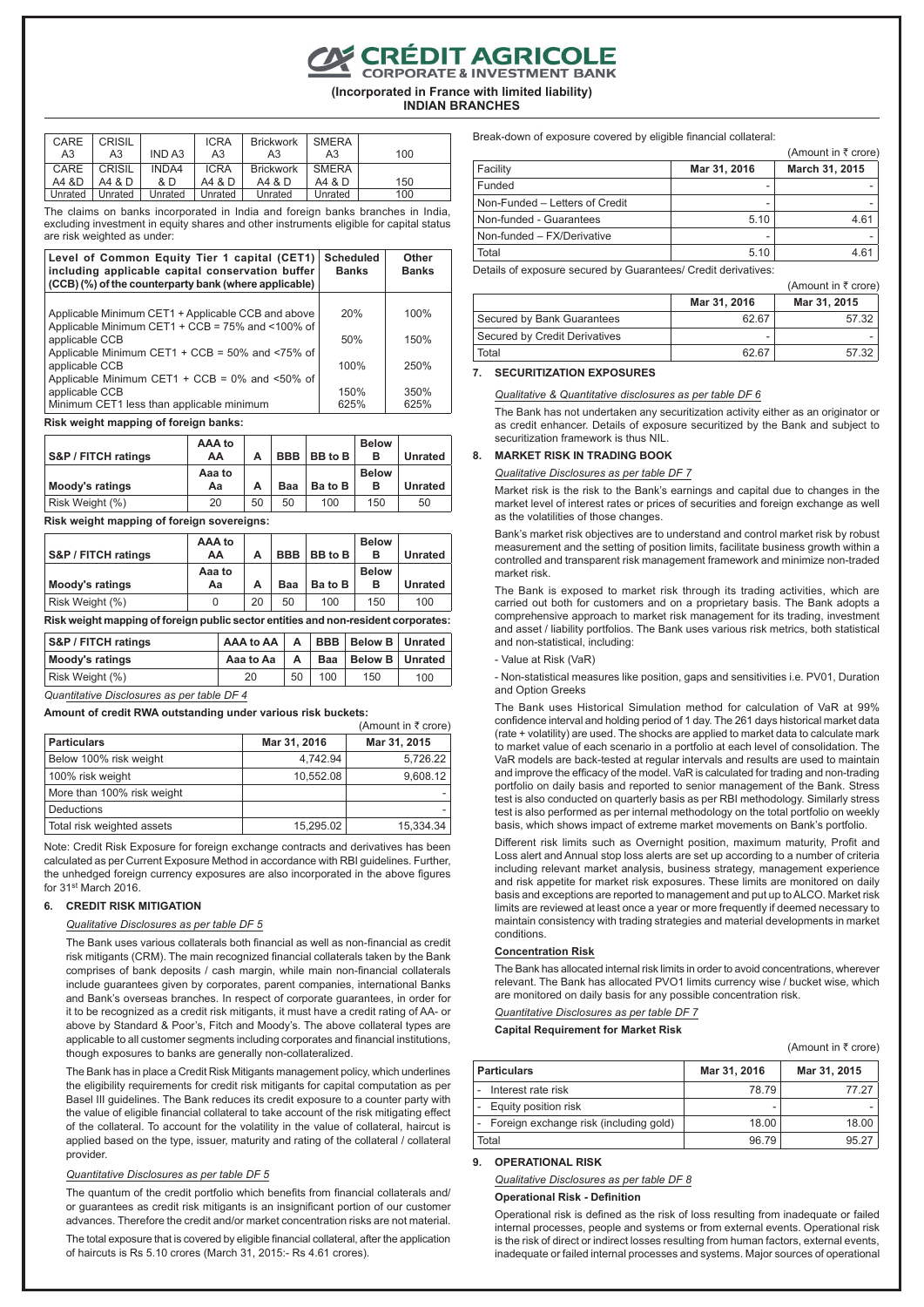CRÉDIT AGRICOLE

**(Incorporated in France with limited liability)**

**INDIAN BRANCHES**

| CARE    | CRISIL  |         | <b>ICRA</b> | <b>Brickwork</b> | <b>SMERA</b> |     |
|---------|---------|---------|-------------|------------------|--------------|-----|
| A3      | A3      | IND A3  | A3          | A3               | A3           | 100 |
| CARE    | CRISIL  | INDA4   | <b>ICRA</b> | <b>Brickwork</b> | <b>SMERA</b> |     |
| A4 &D   | A4 & D  | & D     | A4 & D      | A4 & D           | A4 & D       | 150 |
| Unrated | Unrated | Unrated | Unrated     | Unrated          | Unrated      | 100 |

The claims on banks incorporated in India and foreign banks branches in India, excluding investment in equity shares and other instruments eligible for capital status are risk weighted as under:

| Level of Common Equity Tier 1 capital (CET1)<br>including applicable capital conservation buffer<br>(CCB) (%) of the counterparty bank (where applicable) | <b>Scheduled</b><br><b>Banks</b> | Other<br><b>Banks</b> |
|-----------------------------------------------------------------------------------------------------------------------------------------------------------|----------------------------------|-----------------------|
| Applicable Minimum CET1 + Applicable CCB and above<br>Applicable Minimum CET1 + CCB = 75% and <100% of                                                    | 20%                              | 100%                  |
| applicable CCB                                                                                                                                            | 50%                              | 150%                  |
| Applicable Minimum CET1 + CCB = $50\%$ and <75% of<br>applicable CCB<br>Applicable Minimum CET1 + CCB = $0\%$ and <50% of                                 | 100%                             | 250%                  |
| applicable CCB<br>Minimum CET1 less than applicable minimum                                                                                               | 150%<br>625%                     | 350%<br>625%          |

#### **Risk weight mapping of foreign banks:**

| S&P / FITCH ratings | AAA to<br>АΑ | А  | <b>BBB</b> | BB to B | <b>Below</b><br>в | <b>Unrated</b> |
|---------------------|--------------|----|------------|---------|-------------------|----------------|
| Moody's ratings     | Aaa to<br>Αа | А  | Baa        | Ba to B | <b>Below</b><br>в | <b>Unrated</b> |
| Risk Weight (%)     | 20           | 50 | 50         | 100     | 150               | 50             |

**Risk weight mapping of foreign sovereigns:**

|                     | AAA to |    |            |         | <b>Below</b> |                |
|---------------------|--------|----|------------|---------|--------------|----------------|
| S&P / FITCH ratings | AA     | А  | <b>BBB</b> | BB to B | в            | <b>Unrated</b> |
|                     | Aaa to |    |            |         | <b>Below</b> |                |
| Moody's ratings     | Аа     | А  | Baa        | Ba to B | в            | <b>Unrated</b> |
| Risk Weight (%)     | 0      | 20 | 50         | 100     | 150          | 100            |

**Risk weight mapping of foreign public sector entities and non-resident corporates:**

| <b>S&amp;P / FITCH ratings</b> | AAA to AA | $\overline{A}$ |     | <b>BBB   Below B   Unrated</b> |     |
|--------------------------------|-----------|----------------|-----|--------------------------------|-----|
| Moody's ratings                | Aaa to Aa | A              | Baa | Below B   Unrated              |     |
| Risk Weight (%)                | 20        | 50             | 100 | 150                            | 100 |

*Quantitative Disclosures as per table DF 4*

#### **Amount of credit RWA outstanding under various risk buckets:**

|                            |              | (Amount in ₹ crore) |
|----------------------------|--------------|---------------------|
| <b>Particulars</b>         | Mar 31, 2016 | Mar 31, 2015        |
| Below 100% risk weight     | 4,742.94     | 5,726.22            |
| 100% risk weight           | 10,552.08    | 9,608.12            |
| More than 100% risk weight |              |                     |
| Deductions                 |              |                     |
| Total risk weighted assets | 15,295.02    | 15.334.34           |

Note: Credit Risk Exposure for foreign exchange contracts and derivatives has been calculated as per Current Exposure Method in accordance with RBI guidelines. Further, the unhedged foreign currency exposures are also incorporated in the above figures for 31st March 2016.

## **6. CREDIT RISK MITIGATION**

#### *Qualitative Disclosures as per table DF 5*

The Bank uses various collaterals both financial as well as non-financial as credit risk mitigants (CRM). The main recognized financial collaterals taken by the Bank comprises of bank deposits / cash margin, while main non-financial collaterals include guarantees given by corporates, parent companies, international Banks and Bank's overseas branches. In respect of corporate guarantees, in order for it to be recognized as a credit risk mitigants, it must have a credit rating of AA- or above by Standard & Poor's, Fitch and Moody's. The above collateral types are applicable to all customer segments including corporates and financial institutions, though exposures to banks are generally non-collateralized.

The Bank has in place a Credit Risk Mitigants management policy, which underlines the eligibility requirements for credit risk mitigants for capital computation as per Basel III guidelines. The Bank reduces its credit exposure to a counter party with the value of eligible financial collateral to take account of the risk mitigating effect of the collateral. To account for the volatility in the value of collateral, haircut is applied based on the type, issuer, maturity and rating of the collateral / collateral provider.

#### *Quantitative Disclosures as per table DF 5*

The quantum of the credit portfolio which benefits from financial collaterals and/ or guarantees as credit risk mitigants is an insignificant portion of our customer advances. Therefore the credit and/or market concentration risks are not material.

The total exposure that is covered by eligible financial collateral, after the application of haircuts is Rs 5.10 crores (March 31, 2015:- Rs 4.61 crores).

Break-down of exposure covered by eligible financial collateral:

|                                |              | (Amount in $\bar{\tau}$ crore) |
|--------------------------------|--------------|--------------------------------|
| Facility                       | Mar 31, 2016 | March 31, 2015                 |
| Funded                         |              |                                |
| Non-Funded - Letters of Credit |              |                                |
| Non-funded - Guarantees        | 5.10         | 4.61                           |
| Non-funded - FX/Derivative     |              |                                |
| Total                          | 5.10         | 4.61                           |
|                                |              |                                |

Details of exposure secured by Guarantees/ Credit derivatives:

|                               |              | (Amount in $\bar{z}$ crore) |
|-------------------------------|--------------|-----------------------------|
|                               | Mar 31, 2016 | Mar 31, 2015                |
| Secured by Bank Guarantees    | 62.67        | 57.32                       |
| Secured by Credit Derivatives | ۰            |                             |
| Total                         | 62.67        | 57.32                       |

#### **7. SECURITIZATION EXPOSURES**

#### *Qualitative & Quantitative disclosures as per table DF 6*

The Bank has not undertaken any securitization activity either as an originator or as credit enhancer. Details of exposure securitized by the Bank and subject to securitization framework is thus NIL.

#### **8. MARKET RISK IN TRADING BOOK**

#### *Qualitative Disclosures as per table DF 7*

Market risk is the risk to the Bank's earnings and capital due to changes in the market level of interest rates or prices of securities and foreign exchange as well as the volatilities of those changes.

Bank's market risk objectives are to understand and control market risk by robust measurement and the setting of position limits, facilitate business growth within a controlled and transparent risk management framework and minimize non-traded market risk.

The Bank is exposed to market risk through its trading activities, which are carried out both for customers and on a proprietary basis. The Bank adopts a comprehensive approach to market risk management for its trading, investment and asset / liability portfolios. The Bank uses various risk metrics, both statistical and non-statistical, including:

#### - Value at Risk (VaR)

- Non-statistical measures like position, gaps and sensitivities i.e. PV01, Duration and Option Greeks

The Bank uses Historical Simulation method for calculation of VaR at 99% confidence interval and holding period of 1 day. The 261 days historical market data (rate + volatility) are used. The shocks are applied to market data to calculate mark to market value of each scenario in a portfolio at each level of consolidation. The VaR models are back-tested at regular intervals and results are used to maintain and improve the efficacy of the model. VaR is calculated for trading and non-trading portfolio on daily basis and reported to senior management of the Bank. Stress test is also conducted on quarterly basis as per RBI methodology. Similarly stress test is also performed as per internal methodology on the total portfolio on weekly basis, which shows impact of extreme market movements on Bank's portfolio.

Different risk limits such as Overnight position, maximum maturity, Profit and Loss alert and Annual stop loss alerts are set up according to a number of criteria including relevant market analysis, business strategy, management experience and risk appetite for market risk exposures. These limits are monitored on daily basis and exceptions are reported to management and put up to ALCO. Market risk limits are reviewed at least once a year or more frequently if deemed necessary to maintain consistency with trading strategies and material developments in market conditions.

#### **Concentration Risk**

The Bank has allocated internal risk limits in order to avoid concentrations, wherever relevant. The Bank has allocated PVO1 limits currency wise / bucket wise, which are monitored on daily basis for any possible concentration risk.

## *Quantitative Disclosures as per table DF 7*

**Capital Requirement for Market Risk**

(Amount in  $\bar{\tau}$  crore)

| <b>Particulars</b>                       | Mar 31, 2016 | Mar 31, 2015 |
|------------------------------------------|--------------|--------------|
| Interest rate risk                       | 78.79        | 77 27        |
| - Equity position risk                   |              |              |
| - Foreign exchange risk (including gold) | 18.00        | 18.00        |
| Total                                    | 96.79        | 95.27        |

#### **9. OPERATIONAL RISK**

*Qualitative Disclosures as per table DF 8*

### **Operational Risk - Definition**

Operational risk is defined as the risk of loss resulting from inadequate or failed internal processes, people and systems or from external events. Operational risk is the risk of direct or indirect losses resulting from human factors, external events, inadequate or failed internal processes and systems. Major sources of operational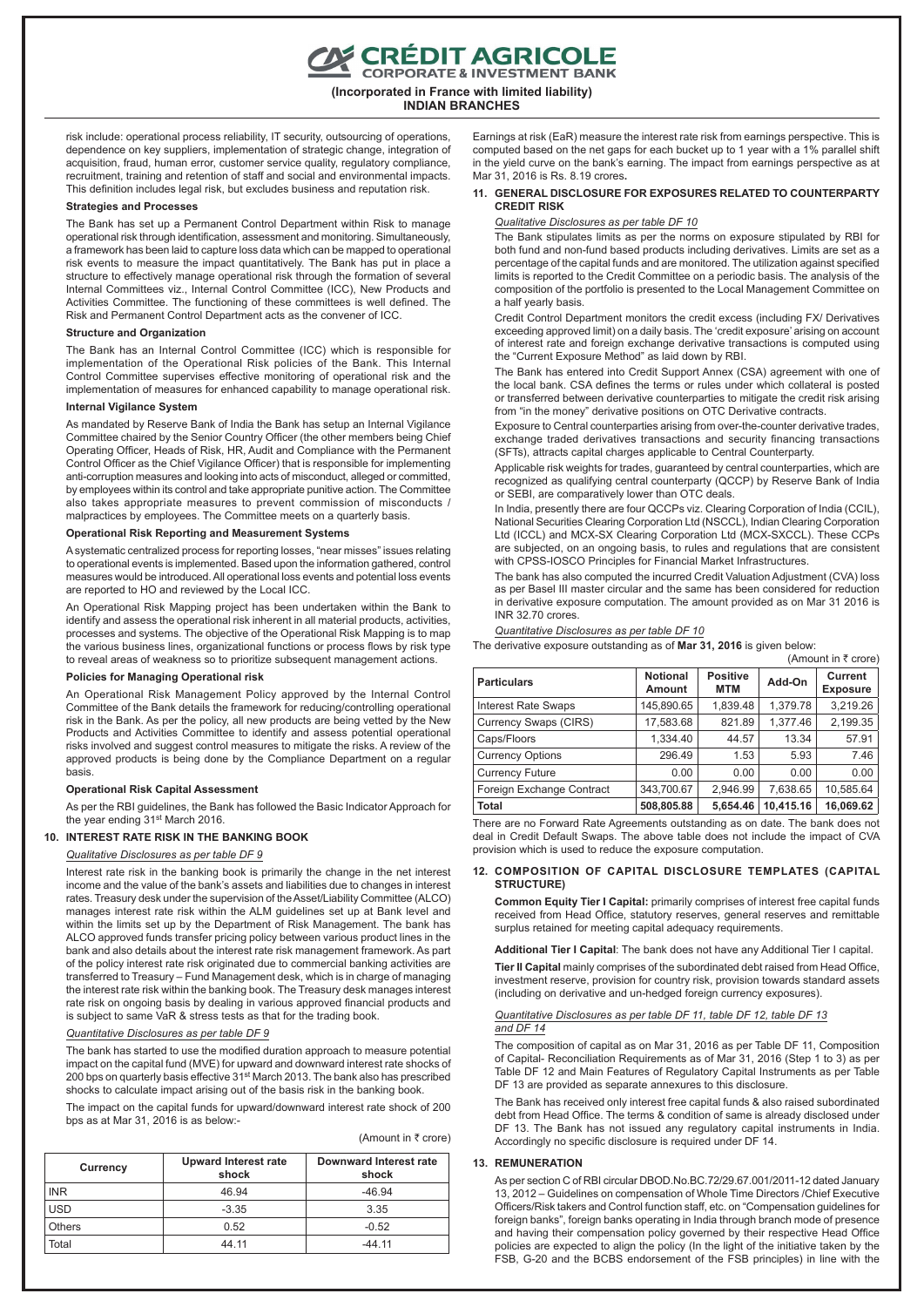E CRÉDIT AGRICOLE<br>CORPORATE & INVESTMENT BANK

**(Incorporated in France with limited liability) INDIAN BRANCHES**

risk include: operational process reliability, IT security, outsourcing of operations, dependence on key suppliers, implementation of strategic change, integration of acquisition, fraud, human error, customer service quality, regulatory compliance, recruitment, training and retention of staff and social and environmental impacts. This definition includes legal risk, but excludes business and reputation risk.

#### **Strategies and Processes**

The Bank has set up a Permanent Control Department within Risk to manage operational risk through identification, assessment and monitoring. Simultaneously, a framework has been laid to capture loss data which can be mapped to operational risk events to measure the impact quantitatively. The Bank has put in place a structure to effectively manage operational risk through the formation of several Internal Committees viz., Internal Control Committee (ICC), New Products and Activities Committee. The functioning of these committees is well defined. The Risk and Permanent Control Department acts as the convener of ICC.

#### **Structure and Organization**

The Bank has an Internal Control Committee (ICC) which is responsible for implementation of the Operational Risk policies of the Bank. This Internal Control Committee supervises effective monitoring of operational risk and the implementation of measures for enhanced capability to manage operational risk.

## **Internal Vigilance System**

As mandated by Reserve Bank of India the Bank has setup an Internal Vigilance Committee chaired by the Senior Country Officer (the other members being Chief Operating Officer, Heads of Risk, HR, Audit and Compliance with the Permanent Control Officer as the Chief Vigilance Officer) that is responsible for implementing anti-corruption measures and looking into acts of misconduct, alleged or committed, by employees within its control and take appropriate punitive action. The Committee also takes appropriate measures to prevent commission of misconducts / malpractices by employees. The Committee meets on a quarterly basis.

## **Operational Risk Reporting and Measurement Systems**

A systematic centralized process for reporting losses, "near misses" issues relating to operational events is implemented. Based upon the information gathered, control measures would be introduced. All operational loss events and potential loss events are reported to HO and reviewed by the Local ICC.

An Operational Risk Mapping project has been undertaken within the Bank to identify and assess the operational risk inherent in all material products, activities, processes and systems. The objective of the Operational Risk Mapping is to map the various business lines, organizational functions or process flows by risk type to reveal areas of weakness so to prioritize subsequent management actions.

#### **Policies for Managing Operational risk**

An Operational Risk Management Policy approved by the Internal Control Committee of the Bank details the framework for reducing/controlling operational risk in the Bank. As per the policy, all new products are being vetted by the New Products and Activities Committee to identify and assess potential operational risks involved and suggest control measures to mitigate the risks. A review of the approved products is being done by the Compliance Department on a regular basis.

#### **Operational Risk Capital Assessment**

As per the RBI guidelines, the Bank has followed the Basic Indicator Approach for the year ending 31st March 2016.

#### **10. INTEREST RATE RISK IN THE BANKING BOOK**

## *Qualitative Disclosures as per table DF 9*

Interest rate risk in the banking book is primarily the change in the net interest income and the value of the bank's assets and liabilities due to changes in interest rates. Treasury desk under the supervision of the Asset/Liability Committee (ALCO) manages interest rate risk within the ALM guidelines set up at Bank level and within the limits set up by the Department of Risk Management. The bank has ALCO approved funds transfer pricing policy between various product lines in the bank and also details about the interest rate risk management framework. As part of the policy interest rate risk originated due to commercial banking activities are transferred to Treasury – Fund Management desk, which is in charge of managing the interest rate risk within the banking book. The Treasury desk manages interest rate risk on ongoing basis by dealing in various approved financial products and is subject to same VaR & stress tests as that for the trading book.

#### *Quantitative Disclosures as per table DF 9*

The bank has started to use the modified duration approach to measure potential impact on the capital fund (MVE) for upward and downward interest rate shocks of 200 bps on quarterly basis effective 31st March 2013. The bank also has prescribed shocks to calculate impact arising out of the basis risk in the banking book.

The impact on the capital funds for upward/downward interest rate shock of 200 bps as at Mar 31, 2016 is as below:-

| (Amount in ₹ crore) |  |  |  |  |
|---------------------|--|--|--|--|
|---------------------|--|--|--|--|

| Currency   | <b>Upward Interest rate</b><br>shock | Downward Interest rate<br>shock |
|------------|--------------------------------------|---------------------------------|
| <b>INR</b> | 46.94                                | $-46.94$                        |
| <b>USD</b> | $-3.35$                              | 3.35                            |
| Others     | 0.52                                 | $-0.52$                         |
| Total      | 44.11                                | $-44.11$                        |

Earnings at risk (EaR) measure the interest rate risk from earnings perspective. This is computed based on the net gaps for each bucket up to 1 year with a 1% parallel shift in the yield curve on the bank's earning. The impact from earnings perspective as at Mar 31, 2016 is Rs. 8.19 crores**.**

### **11. GENERAL DISCLOSURE FOR EXPOSURES RELATED TO COUNTERPARTY CREDIT RISK**

### *Qualitative Disclosures as per table DF 10*

The Bank stipulates limits as per the norms on exposure stipulated by RBI for both fund and non-fund based products including derivatives. Limits are set as a percentage of the capital funds and are monitored. The utilization against specified limits is reported to the Credit Committee on a periodic basis. The analysis of the composition of the portfolio is presented to the Local Management Committee on a half yearly basis.

Credit Control Department monitors the credit excess (including FX/ Derivatives exceeding approved limit) on a daily basis. The 'credit exposure' arising on account of interest rate and foreign exchange derivative transactions is computed using the "Current Exposure Method" as laid down by RBI.

The Bank has entered into Credit Support Annex (CSA) agreement with one of the local bank. CSA defines the terms or rules under which collateral is posted or transferred between derivative counterparties to mitigate the credit risk arising from "in the money" derivative positions on OTC Derivative contracts.

Exposure to Central counterparties arising from over-the-counter derivative trades, exchange traded derivatives transactions and security financing transactions (SFTs), attracts capital charges applicable to Central Counterparty.

Applicable risk weights for trades, guaranteed by central counterparties, which are recognized as qualifying central counterparty (QCCP) by Reserve Bank of India or SEBI, are comparatively lower than OTC deals.

In India, presently there are four QCCPs viz. Clearing Corporation of India (CCIL), National Securities Clearing Corporation Ltd (NSCCL), Indian Clearing Corporation Ltd (ICCL) and MCX-SX Clearing Corporation Ltd (MCX-SXCCL). These CCPs are subjected, on an ongoing basis, to rules and regulations that are consistent with CPSS-IOSCO Principles for Financial Market Infrastructures.

The bank has also computed the incurred Credit Valuation Adjustment (CVA) loss as per Basel III master circular and the same has been considered for reduction in derivative exposure computation. The amount provided as on Mar 31 2016 is INR 32.70 crores.

#### *Quantitative Disclosures as per table DF 10*

The derivative exposure outstanding as of **Mar 31, 2016** is given below:

|                            |                                  |                               |           | (Amount in ₹ crore)        |
|----------------------------|----------------------------------|-------------------------------|-----------|----------------------------|
| <b>Particulars</b>         | <b>Notional</b><br><b>Amount</b> | <b>Positive</b><br><b>MTM</b> | Add-On    | Current<br><b>Exposure</b> |
| <b>Interest Rate Swaps</b> | 145,890.65                       | 1,839.48                      | 1,379.78  | 3,219.26                   |
| Currency Swaps (CIRS)      | 17.583.68                        | 821.89                        | 1,377.46  | 2,199.35                   |
| Caps/Floors                | 1.334.40                         | 44.57                         | 13.34     | 57.91                      |
| <b>Currency Options</b>    | 296.49                           | 1.53                          | 5.93      | 7.46                       |
| <b>Currency Future</b>     | 0.00                             | 0.00                          | 0.00      | 0.00                       |
| Foreign Exchange Contract  | 343,700.67                       | 2.946.99                      | 7.638.65  | 10,585.64                  |
| <b>Total</b>               | 508,805.88                       | 5.654.46                      | 10,415.16 | 16.069.62                  |

There are no Forward Rate Agreements outstanding as on date. The bank does not deal in Credit Default Swaps. The above table does not include the impact of CVA provision which is used to reduce the exposure computation.

#### **12. COMPOSITION OF CAPITAL DISCLOSURE TEMPLATES (CAPITAL STRUCTURE)**

**Common Equity Tier I Capital:** primarily comprises of interest free capital funds received from Head Office, statutory reserves, general reserves and remittable surplus retained for meeting capital adequacy requirements.

**Additional Tier I Capital**: The bank does not have any Additional Tier I capital. **Tier II Capital** mainly comprises of the subordinated debt raised from Head Office, investment reserve, provision for country risk, provision towards standard assets (including on derivative and un-hedged foreign currency exposures).

#### *Quantitative Disclosures as per table DF 11, table DF 12, table DF 13 and DF 14*

The composition of capital as on Mar 31, 2016 as per Table DF 11, Composition of Capital- Reconciliation Requirements as of Mar 31, 2016 (Step 1 to 3) as per Table DF 12 and Main Features of Regulatory Capital Instruments as per Table DF 13 are provided as separate annexures to this disclosure.

The Bank has received only interest free capital funds & also raised subordinated debt from Head Office. The terms & condition of same is already disclosed under DF 13. The Bank has not issued any regulatory capital instruments in India. Accordingly no specific disclosure is required under DF 14.

#### **13. REMUNERATION**

As per section C of RBI circular DBOD.No.BC.72/29.67.001/2011-12 dated January 13, 2012 – Guidelines on compensation of Whole Time Directors /Chief Executive Officers/Risk takers and Control function staff, etc. on "Compensation guidelines for foreign banks", foreign banks operating in India through branch mode of presence and having their compensation policy governed by their respective Head Office policies are expected to align the policy (In the light of the initiative taken by the FSB, G-20 and the BCBS endorsement of the FSB principles) in line with the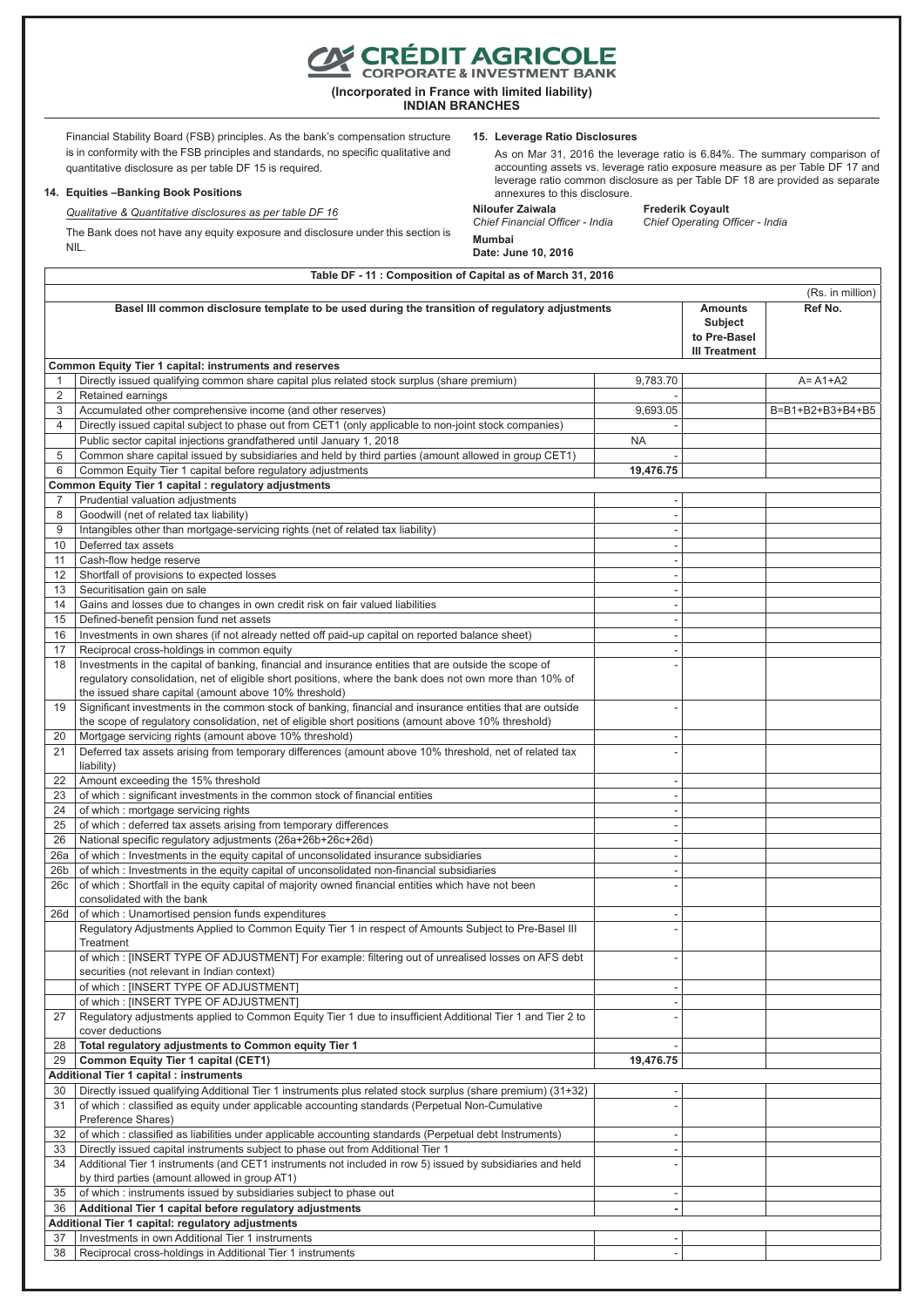Financial Stability Board (FSB) principles. As the bank's compensation structure is in conformity with the FSB principles and standards, no specific qualitative and

#### **14. Equities –Banking Book Positions**

*Qualitative & Quantitative disclosures as per table DF 16*

38 Reciprocal cross-holdings in Additional Tier 1 instruments

The Bank does not have any equity exposure and disclosure under this section is NIL.

**15. Leverage Ratio Disclosures**

As on Mar 31, 2016 the leverage ratio is 6.84%. The summary comparison of accounting assets vs. leverage ratio exposure measure as per Table DF 17 and leverage ratio common disclosure as per Table DF 18 are provided as separate annexures to this disclosure.

**Mumbai Date: June 10, 2016**

**Niloufer Zaiwala** Frederik Coyault<br>Chief Financial Officer - India Chief Operating Oi *Chief Financial Officer - India Chief Operating Officer - India*

**Table DF - 11 : Composition of Capital as of March 31, 2016** (Rs. in million) **Basel III common disclosure template to be used during the transition of regulatory adjustments <b>Amounts** Amounts **Subject to Pre-Basel III Treatment Ref No. Common Equity Tier 1 capital: instruments and reserves** 1 Directly issued qualifying common share capital plus related stock surplus (share premium) 9,783.70 9 A= A1+A2 2 Retained earnings 3 Accumulated other comprehensive income (and other reserves) 9,693.05 B=B1+B2+B3+B4+B5 4 Directly issued capital subject to phase out from CET1 (only applicable to non-joint stock companies) Public sector capital injections grandfathered until January 1, 2018 NA 5 Common share capital issued by subsidiaries and held by third parties (amount allowed in group CET1) 6 Common Equity Tier 1 capital before regulatory adjustments **19,476.75 Common Equity Tier 1 capital : regulatory adjustments**<br> **7** Prudential valuation adjustments Prudential valuation adjustments 8 Goodwill (net of related tax liability) 9 | Intangibles other than mortgage-servicing rights (net of related tax liability) 10 Deferred tax assets 11 Cash-flow hedge reserve 12 Shortfall of provisions to expected losses 13 Securitisation gain on sale 14 Gains and losses due to changes in own credit risk on fair valued liabilities 15 Defined-benefit pension fund net assets 16 | Investments in own shares (if not already netted off paid-up capital on reported balance sheet) 17 Reciprocal cross-holdings in common equity 18 Investments in the capital of banking, financial and insurance entities that are outside the scope of regulatory consolidation, net of eligible short positions, where the bank does not own more than 10% of the issued share capital (amount above 10% threshold) - 19 Significant investments in the common stock of banking, financial and insurance entities that are outside the scope of regulatory consolidation, net of eligible short positions (amount above 10% threshold) - 20 Mortgage servicing rights (amount above 10% threshold) 21 Deferred tax assets arising from temporary differences (amount above 10% threshold, net of related tax liability) - 22 Amount exceeding the 15% threshold 23  $\vert$  of which : significant investments in the common stock of financial entities  $24$  of which : mortgage servicing rights  $25$  of which : deferred tax assets arising from temporary differences 26 National specific regulatory adjustments (26a+26b+26c+26d) - 26a of which : Investments in the equity capital of unconsolidated insurance subsidiaries  $26b$  of which : Investments in the equity capital of unconsolidated non-financial subsidiaries 26c of which : Shortfall in the equity capital of majority owned financial entities which have not been consolidated with the bank - 26d of which : Unamortised pension funds expenditures Regulatory Adjustments Applied to Common Equity Tier 1 in respect of Amounts Subject to Pre-Basel III **Treatment**  of which : [INSERT TYPE OF ADJUSTMENT] For example: filtering out of unrealised losses on AFS debt securities (not relevant in Indian context) of which : [INSERT TYPE OF ADJUSTMENT] of which : [INSERT TYPE OF ADJUSTMENT] 27 Regulatory adjustments applied to Common Equity Tier 1 due to insufficient Additional Tier 1 and Tier 2 to cover deductions - 28 **Total regulatory adjustments to Common equity Tier 1** 19,476.75 29 **Common Equity Tier 1 capital (CET1) 19,476.75 Additional Tier 1 capital : instruments** 30 | Directly issued qualifying Additional Tier 1 instruments plus related stock surplus (share premium) (31+32) 31 of which : classified as equity under applicable accounting standards (Perpetual Non-Cumulative Preference Shares) - 32 of which : classified as liabilities under applicable accounting standards (Perpetual debt Instruments) - 33 Directly issued capital instruments subject to phase out from Additional Tier 1 34 Additional Tier 1 instruments (and CET1 instruments not included in row 5) issued by subsidiaries and held by third parties (amount allowed in group AT1) -  $35$  of which : instruments issued by subsidiaries subject to phase out 36 **Additional Tier 1 capital before regulatory adjustments - Additional Tier 1 capital: regulatory adjustments** 37 Investments in own Additional Tier 1 instruments



**(Incorporated in France with limited liability)**

**INDIAN BRANCHES**

# quantitative disclosure as per table DF 15 is required.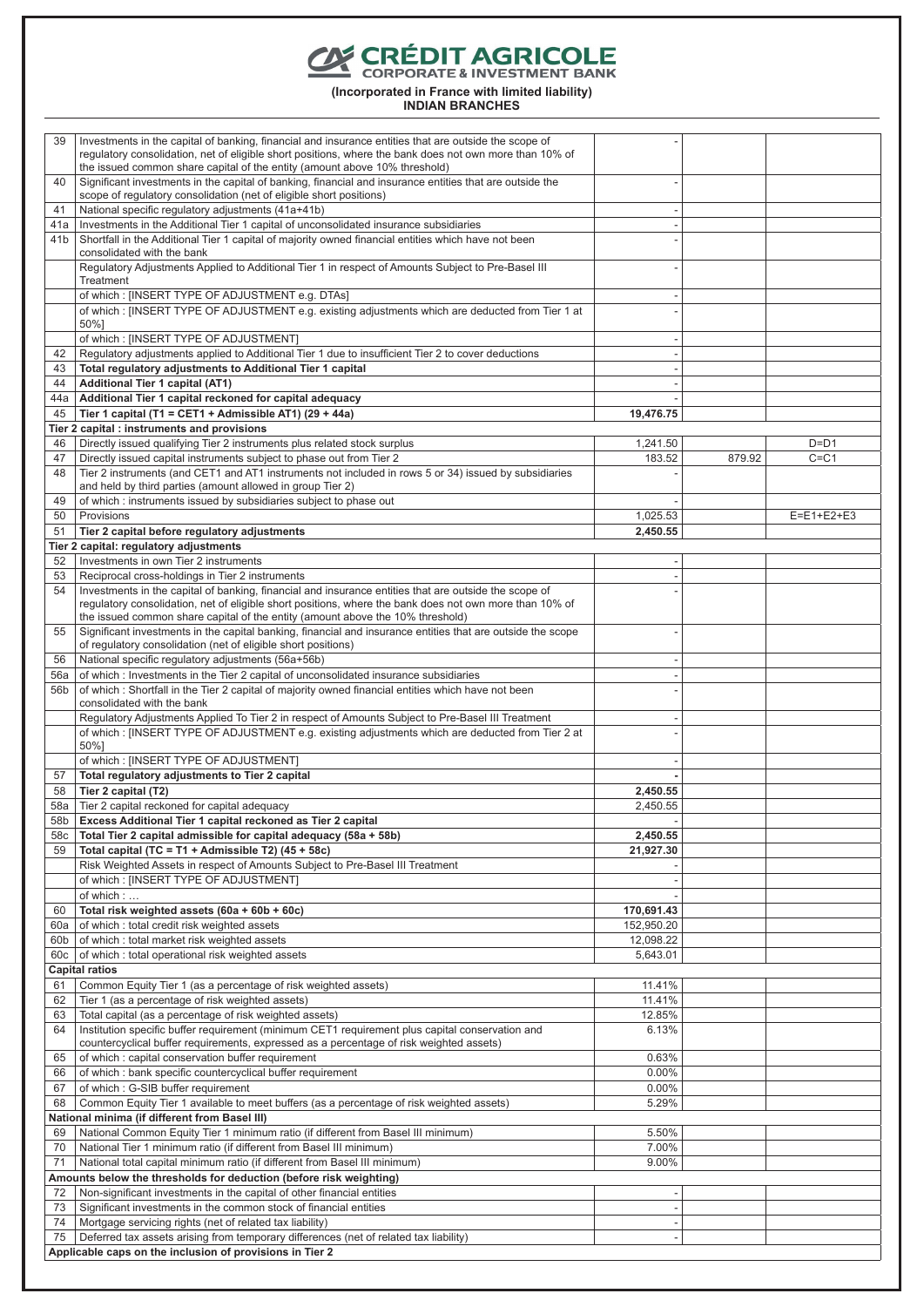**CORÉDIT AGRICOLE** 

**(Incorporated in France with limited liability)**

| 39         | Investments in the capital of banking, financial and insurance entities that are outside the scope of<br>requlatory consolidation, net of eligible short positions, where the bank does not own more than 10% of<br>the issued common share capital of the entity (amount above 10% threshold) |                                                      |        |                    |
|------------|------------------------------------------------------------------------------------------------------------------------------------------------------------------------------------------------------------------------------------------------------------------------------------------------|------------------------------------------------------|--------|--------------------|
| 40         | Significant investments in the capital of banking, financial and insurance entities that are outside the<br>scope of regulatory consolidation (net of eligible short positions)                                                                                                                |                                                      |        |                    |
| 41         | National specific requlatory adjustments (41a+41b)                                                                                                                                                                                                                                             | $\overline{\phantom{a}}$                             |        |                    |
| 41a        | Investments in the Additional Tier 1 capital of unconsolidated insurance subsidiaries                                                                                                                                                                                                          | $\overline{\phantom{a}}$                             |        |                    |
| 41b        | Shortfall in the Additional Tier 1 capital of majority owned financial entities which have not been<br>consolidated with the bank                                                                                                                                                              |                                                      |        |                    |
|            | Regulatory Adjustments Applied to Additional Tier 1 in respect of Amounts Subject to Pre-Basel III<br>Treatment                                                                                                                                                                                |                                                      |        |                    |
|            | of which: [INSERT TYPE OF ADJUSTMENT e.g. DTAs]                                                                                                                                                                                                                                                | $\overline{\phantom{a}}$                             |        |                    |
|            | of which: [INSERT TYPE OF ADJUSTMENT e.g. existing adjustments which are deducted from Tier 1 at                                                                                                                                                                                               |                                                      |        |                    |
|            | 50%]                                                                                                                                                                                                                                                                                           |                                                      |        |                    |
| 42         | of which: [INSERT TYPE OF ADJUSTMENT]<br>Regulatory adjustments applied to Additional Tier 1 due to insufficient Tier 2 to cover deductions                                                                                                                                                    | $\overline{\phantom{a}}$<br>$\overline{\phantom{a}}$ |        |                    |
| 43         | Total regulatory adjustments to Additional Tier 1 capital                                                                                                                                                                                                                                      |                                                      |        |                    |
| 44         | Additional Tier 1 capital (AT1)                                                                                                                                                                                                                                                                |                                                      |        |                    |
| 44a        | Additional Tier 1 capital reckoned for capital adequacy                                                                                                                                                                                                                                        |                                                      |        |                    |
| 45         | Tier 1 capital (T1 = CET1 + Admissible AT1) (29 + 44a)                                                                                                                                                                                                                                         | 19,476.75                                            |        |                    |
|            | Tier 2 capital : instruments and provisions                                                                                                                                                                                                                                                    |                                                      |        |                    |
| 46<br>47   | Directly issued qualifying Tier 2 instruments plus related stock surplus<br>Directly issued capital instruments subject to phase out from Tier 2                                                                                                                                               | 1,241.50<br>183.52                                   | 879.92 | $D=D1$<br>$C = C1$ |
| 48         | Tier 2 instruments (and CET1 and AT1 instruments not included in rows 5 or 34) issued by subsidiaries                                                                                                                                                                                          |                                                      |        |                    |
|            | and held by third parties (amount allowed in group Tier 2)                                                                                                                                                                                                                                     |                                                      |        |                    |
| 49         | of which: instruments issued by subsidiaries subject to phase out                                                                                                                                                                                                                              |                                                      |        |                    |
| 50         | Provisions                                                                                                                                                                                                                                                                                     | 1,025.53                                             |        | $E=E1+E2+E3$       |
| 51         | Tier 2 capital before regulatory adjustments                                                                                                                                                                                                                                                   | 2,450.55                                             |        |                    |
|            | Tier 2 capital: regulatory adjustments                                                                                                                                                                                                                                                         |                                                      |        |                    |
| 52<br>53   | Investments in own Tier 2 instruments<br>Reciprocal cross-holdings in Tier 2 instruments                                                                                                                                                                                                       |                                                      |        |                    |
| 54         | Investments in the capital of banking, financial and insurance entities that are outside the scope of                                                                                                                                                                                          |                                                      |        |                    |
|            | regulatory consolidation, net of eligible short positions, where the bank does not own more than 10% of<br>the issued common share capital of the entity (amount above the 10% threshold)                                                                                                      |                                                      |        |                    |
| 55         | Significant investments in the capital banking, financial and insurance entities that are outside the scope<br>of regulatory consolidation (net of eligible short positions)                                                                                                                   |                                                      |        |                    |
| 56         | National specific regulatory adjustments (56a+56b)                                                                                                                                                                                                                                             | ٠                                                    |        |                    |
| 56a        | of which: Investments in the Tier 2 capital of unconsolidated insurance subsidiaries                                                                                                                                                                                                           | $\overline{\phantom{a}}$                             |        |                    |
| 56b        | of which: Shortfall in the Tier 2 capital of majority owned financial entities which have not been<br>consolidated with the bank                                                                                                                                                               |                                                      |        |                    |
|            | Regulatory Adjustments Applied To Tier 2 in respect of Amounts Subject to Pre-Basel III Treatment                                                                                                                                                                                              | $\overline{\phantom{a}}$                             |        |                    |
|            | of which: [INSERT TYPE OF ADJUSTMENT e.g. existing adjustments which are deducted from Tier 2 at<br>50%]                                                                                                                                                                                       |                                                      |        |                    |
|            | of which: [INSERT TYPE OF ADJUSTMENT]                                                                                                                                                                                                                                                          | $\overline{\phantom{a}}$                             |        |                    |
| 57         | Total regulatory adjustments to Tier 2 capital                                                                                                                                                                                                                                                 |                                                      |        |                    |
| 58         | Tier 2 capital (T2)                                                                                                                                                                                                                                                                            | 2.450.55                                             |        |                    |
| 58a        | Tier 2 capital reckoned for capital adequacy                                                                                                                                                                                                                                                   | 2,450.55                                             |        |                    |
| 58b        | Excess Additional Tier 1 capital reckoned as Tier 2 capital                                                                                                                                                                                                                                    |                                                      |        |                    |
| 58c<br>59  | Total Tier 2 capital admissible for capital adequacy (58a + 58b)<br>Total capital (TC = T1 + Admissible T2) $(45 + 58c)$                                                                                                                                                                       | 2,450.55<br>21,927.30                                |        |                    |
|            | Risk Weighted Assets in respect of Amounts Subject to Pre-Basel III Treatment                                                                                                                                                                                                                  |                                                      |        |                    |
|            | of which: [INSERT TYPE OF ADJUSTMENT]                                                                                                                                                                                                                                                          |                                                      |        |                    |
|            | of which:                                                                                                                                                                                                                                                                                      |                                                      |        |                    |
| 60         | Total risk weighted assets (60a + 60b + 60c)                                                                                                                                                                                                                                                   | 170,691.43                                           |        |                    |
| 60a        | of which: total credit risk weighted assets                                                                                                                                                                                                                                                    | 152,950.20                                           |        |                    |
| 60b<br>60c | of which: total market risk weighted assets<br>of which: total operational risk weighted assets                                                                                                                                                                                                | 12,098.22<br>5,643.01                                |        |                    |
|            | <b>Capital ratios</b>                                                                                                                                                                                                                                                                          |                                                      |        |                    |
| 61         | Common Equity Tier 1 (as a percentage of risk weighted assets)                                                                                                                                                                                                                                 | 11.41%                                               |        |                    |
| 62         | Tier 1 (as a percentage of risk weighted assets)                                                                                                                                                                                                                                               | 11.41%                                               |        |                    |
| 63         | Total capital (as a percentage of risk weighted assets)                                                                                                                                                                                                                                        | 12.85%                                               |        |                    |
| 64         | Institution specific buffer requirement (minimum CET1 requirement plus capital conservation and                                                                                                                                                                                                | 6.13%                                                |        |                    |
| 65         | countercyclical buffer requirements, expressed as a percentage of risk weighted assets)<br>of which: capital conservation buffer requirement                                                                                                                                                   | 0.63%                                                |        |                    |
| 66         | of which: bank specific countercyclical buffer requirement                                                                                                                                                                                                                                     | $0.00\%$                                             |        |                    |
| 67         | of which: G-SIB buffer requirement                                                                                                                                                                                                                                                             | 0.00%                                                |        |                    |
| 68         | Common Equity Tier 1 available to meet buffers (as a percentage of risk weighted assets)                                                                                                                                                                                                       | 5.29%                                                |        |                    |
|            | National minima (if different from Basel III)                                                                                                                                                                                                                                                  |                                                      |        |                    |
| 69         | National Common Equity Tier 1 minimum ratio (if different from Basel III minimum)                                                                                                                                                                                                              | 5.50%                                                |        |                    |
| 70         | National Tier 1 minimum ratio (if different from Basel III minimum)                                                                                                                                                                                                                            | 7.00%                                                |        |                    |
| 71         | National total capital minimum ratio (if different from Basel III minimum)<br>Amounts below the thresholds for deduction (before risk weighting)                                                                                                                                               | 9.00%                                                |        |                    |
| 72         | Non-significant investments in the capital of other financial entities                                                                                                                                                                                                                         |                                                      |        |                    |
| 73         | Significant investments in the common stock of financial entities                                                                                                                                                                                                                              | $\overline{\phantom{a}}$                             |        |                    |
| 74         | Mortgage servicing rights (net of related tax liability)                                                                                                                                                                                                                                       |                                                      |        |                    |
| 75         | Deferred tax assets arising from temporary differences (net of related tax liability)                                                                                                                                                                                                          | $\overline{\phantom{a}}$                             |        |                    |
|            | Applicable caps on the inclusion of provisions in Tier 2                                                                                                                                                                                                                                       |                                                      |        |                    |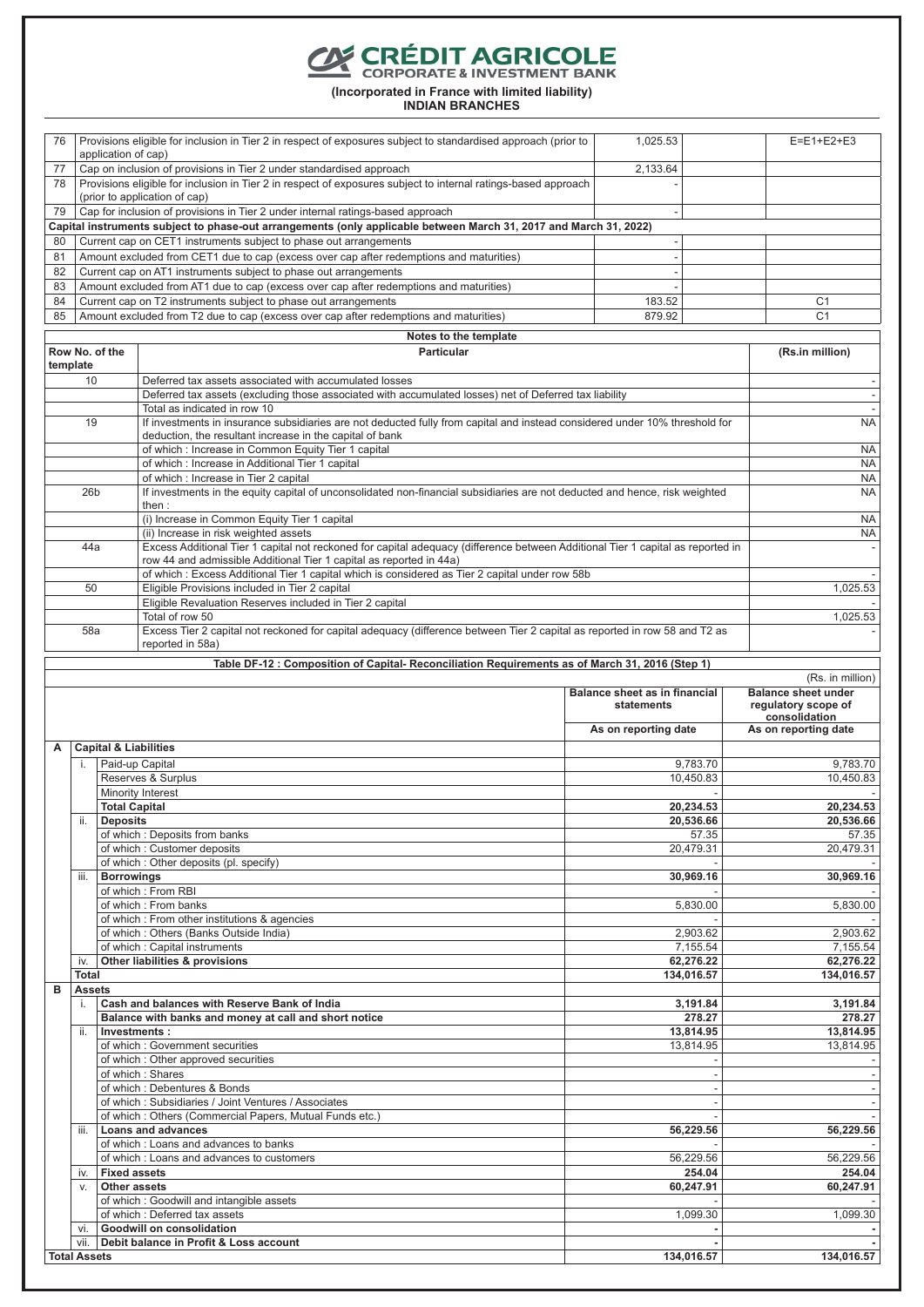**CORÉDIT AGRICOLE** 

**(Incorporated in France with limited liability)**

| 76       |                               | Provisions eligible for inclusion in Tier 2 in respect of exposures subject to standardised approach (prior to                                                        | 1,025.53                                             |           | $E = E1 + E2 + E3$                   |
|----------|-------------------------------|-----------------------------------------------------------------------------------------------------------------------------------------------------------------------|------------------------------------------------------|-----------|--------------------------------------|
|          | application of cap)           |                                                                                                                                                                       |                                                      |           |                                      |
| 77       |                               | Cap on inclusion of provisions in Tier 2 under standardised approach                                                                                                  | 2,133.64                                             |           |                                      |
| 78       |                               | Provisions eligible for inclusion in Tier 2 in respect of exposures subject to internal ratings-based approach                                                        |                                                      |           |                                      |
|          | (prior to application of cap) |                                                                                                                                                                       |                                                      |           |                                      |
| 79       |                               | Cap for inclusion of provisions in Tier 2 under internal ratings-based approach                                                                                       | $\overline{a}$                                       |           |                                      |
|          |                               | Capital instruments subject to phase-out arrangements (only applicable between March 31, 2017 and March 31, 2022)                                                     |                                                      |           |                                      |
| 80       |                               | Current cap on CET1 instruments subject to phase out arrangements                                                                                                     | $\overline{\phantom{a}}$                             |           |                                      |
| 81       |                               | Amount excluded from CET1 due to cap (excess over cap after redemptions and maturities)                                                                               | ÷,                                                   |           |                                      |
| 82<br>83 |                               | Current cap on AT1 instruments subject to phase out arrangements                                                                                                      | $\overline{\phantom{a}}$<br>$\overline{\phantom{a}}$ |           |                                      |
| 84       |                               | Amount excluded from AT1 due to cap (excess over cap after redemptions and maturities)<br>Current cap on T2 instruments subject to phase out arrangements             | 183.52                                               |           | C <sub>1</sub>                       |
| 85       |                               | Amount excluded from T2 due to cap (excess over cap after redemptions and maturities)                                                                                 | 879.92                                               |           | C <sub>1</sub>                       |
|          |                               |                                                                                                                                                                       |                                                      |           |                                      |
|          |                               | Notes to the template                                                                                                                                                 |                                                      |           |                                      |
|          | Row No. of the<br>template    | Particular                                                                                                                                                            |                                                      |           | (Rs.in million)                      |
|          | 10                            | Deferred tax assets associated with accumulated losses                                                                                                                |                                                      |           |                                      |
|          |                               | Deferred tax assets (excluding those associated with accumulated losses) net of Deferred tax liability                                                                |                                                      |           |                                      |
|          |                               | Total as indicated in row 10                                                                                                                                          |                                                      |           |                                      |
|          | 19                            | If investments in insurance subsidiaries are not deducted fully from capital and instead considered under 10% threshold for                                           |                                                      |           | <b>NA</b>                            |
|          |                               | deduction, the resultant increase in the capital of bank                                                                                                              |                                                      |           |                                      |
|          |                               | of which: Increase in Common Equity Tier 1 capital                                                                                                                    |                                                      |           | <b>NA</b>                            |
|          |                               | of which: Increase in Additional Tier 1 capital<br>of which : Increase in Tier 2 capital                                                                              |                                                      |           | <b>NA</b><br>NA                      |
|          | 26 <sub>b</sub>               | If investments in the equity capital of unconsolidated non-financial subsidiaries are not deducted and hence, risk weighted                                           |                                                      |           | <b>NA</b>                            |
|          |                               | then:                                                                                                                                                                 |                                                      |           |                                      |
|          |                               | (i) Increase in Common Equity Tier 1 capital                                                                                                                          |                                                      |           | <b>NA</b>                            |
|          |                               | (ii) Increase in risk weighted assets                                                                                                                                 |                                                      |           | <b>NA</b>                            |
|          | 44a                           | Excess Additional Tier 1 capital not reckoned for capital adequacy (difference between Additional Tier 1 capital as reported in                                       |                                                      |           |                                      |
|          |                               | row 44 and admissible Additional Tier 1 capital as reported in 44a)<br>of which: Excess Additional Tier 1 capital which is considered as Tier 2 capital under row 58b |                                                      |           |                                      |
|          | 50                            | Eligible Provisions included in Tier 2 capital                                                                                                                        |                                                      |           | 1,025.53                             |
|          |                               | Eligible Revaluation Reserves included in Tier 2 capital                                                                                                              |                                                      |           |                                      |
|          |                               | Total of row 50                                                                                                                                                       |                                                      |           | 1,025.53                             |
|          | 58a                           | Excess Tier 2 capital not reckoned for capital adequacy (difference between Tier 2 capital as reported in row 58 and T2 as                                            |                                                      |           |                                      |
|          |                               | reported in 58a)                                                                                                                                                      |                                                      |           |                                      |
|          |                               | Table DF-12 : Composition of Capital- Reconciliation Requirements as of March 31, 2016 (Step 1)                                                                       |                                                      |           |                                      |
|          |                               |                                                                                                                                                                       |                                                      |           | (Rs. in million)                     |
|          |                               |                                                                                                                                                                       | Balance sheet as in financial                        |           | <b>Balance sheet under</b>           |
|          |                               |                                                                                                                                                                       |                                                      |           |                                      |
|          |                               |                                                                                                                                                                       | statements                                           |           | regulatory scope of<br>consolidation |
|          |                               |                                                                                                                                                                       | As on reporting date                                 |           | As on reporting date                 |
| A        |                               | <b>Capital &amp; Liabilities</b>                                                                                                                                      |                                                      |           |                                      |
|          | i.                            | Paid-up Capital                                                                                                                                                       |                                                      | 9,783.70  | 9,783.70                             |
|          |                               | Reserves & Surplus                                                                                                                                                    |                                                      | 10,450.83 | 10,450.83                            |
|          |                               | Minority Interest                                                                                                                                                     |                                                      |           |                                      |
|          |                               | <b>Total Capital</b>                                                                                                                                                  |                                                      | 20,234.53 | 20,234.53                            |
|          |                               | <b>Deposits</b>                                                                                                                                                       |                                                      | 20,536.66 | 20,536.66                            |
|          |                               | of which : Deposits from banks                                                                                                                                        |                                                      | 57.35     | 57.35                                |
|          |                               | of which: Customer deposits                                                                                                                                           |                                                      | 20,479.31 | 20,479.31                            |
|          | iii.                          | of which: Other deposits (pl. specify)                                                                                                                                |                                                      | 30,969.16 | 30,969.16                            |
|          |                               | <b>Borrowings</b><br>of which: From RBI                                                                                                                               |                                                      |           |                                      |
|          |                               | of which: From banks                                                                                                                                                  |                                                      | 5,830.00  | 5,830.00                             |
|          |                               | of which: From other institutions & agencies                                                                                                                          |                                                      |           |                                      |
|          |                               | of which: Others (Banks Outside India)                                                                                                                                |                                                      | 2,903.62  | 2,903.62                             |
|          |                               | of which: Capital instruments                                                                                                                                         |                                                      | 7,155.54  | 7,155.54                             |
|          | İV.                           | Other liabilities & provisions                                                                                                                                        |                                                      | 62,276.22 | 62,276.22                            |
| в        | Total<br><b>Assets</b>        |                                                                                                                                                                       | 134,016.57                                           |           | 134,016.57                           |
|          | i.                            | Cash and balances with Reserve Bank of India                                                                                                                          |                                                      | 3,191.84  | 3,191.84                             |
|          |                               | Balance with banks and money at call and short notice                                                                                                                 |                                                      | 278.27    | 278.27                               |
|          | ii.                           | Investments:                                                                                                                                                          |                                                      | 13,814.95 | 13,814.95                            |
|          |                               | of which: Government securities                                                                                                                                       |                                                      | 13,814.95 | 13,814.95                            |
|          |                               | of which: Other approved securities                                                                                                                                   |                                                      |           |                                      |
|          |                               | of which: Shares<br>of which: Debentures & Bonds                                                                                                                      |                                                      |           |                                      |
|          |                               | of which: Subsidiaries / Joint Ventures / Associates                                                                                                                  |                                                      |           |                                      |
|          |                               | of which: Others (Commercial Papers, Mutual Funds etc.)                                                                                                               |                                                      |           |                                      |
|          | iii.                          | <b>Loans and advances</b>                                                                                                                                             |                                                      | 56,229.56 | 56,229.56                            |
|          |                               | of which: Loans and advances to banks                                                                                                                                 |                                                      |           |                                      |
|          |                               | of which: Loans and advances to customers                                                                                                                             |                                                      | 56,229.56 | 56,229.56                            |
|          | İV.                           | <b>Fixed assets</b>                                                                                                                                                   |                                                      | 254.04    | 254.04                               |
|          | V.                            | Other assets                                                                                                                                                          |                                                      | 60,247.91 | 60,247.91                            |
|          |                               | of which: Goodwill and intangible assets<br>of which: Deferred tax assets                                                                                             |                                                      |           | 1,099.30                             |
|          | vi.                           | Goodwill on consolidation                                                                                                                                             |                                                      | 1,099.30  |                                      |
|          |                               | vii.   Debit balance in Profit & Loss account                                                                                                                         |                                                      |           |                                      |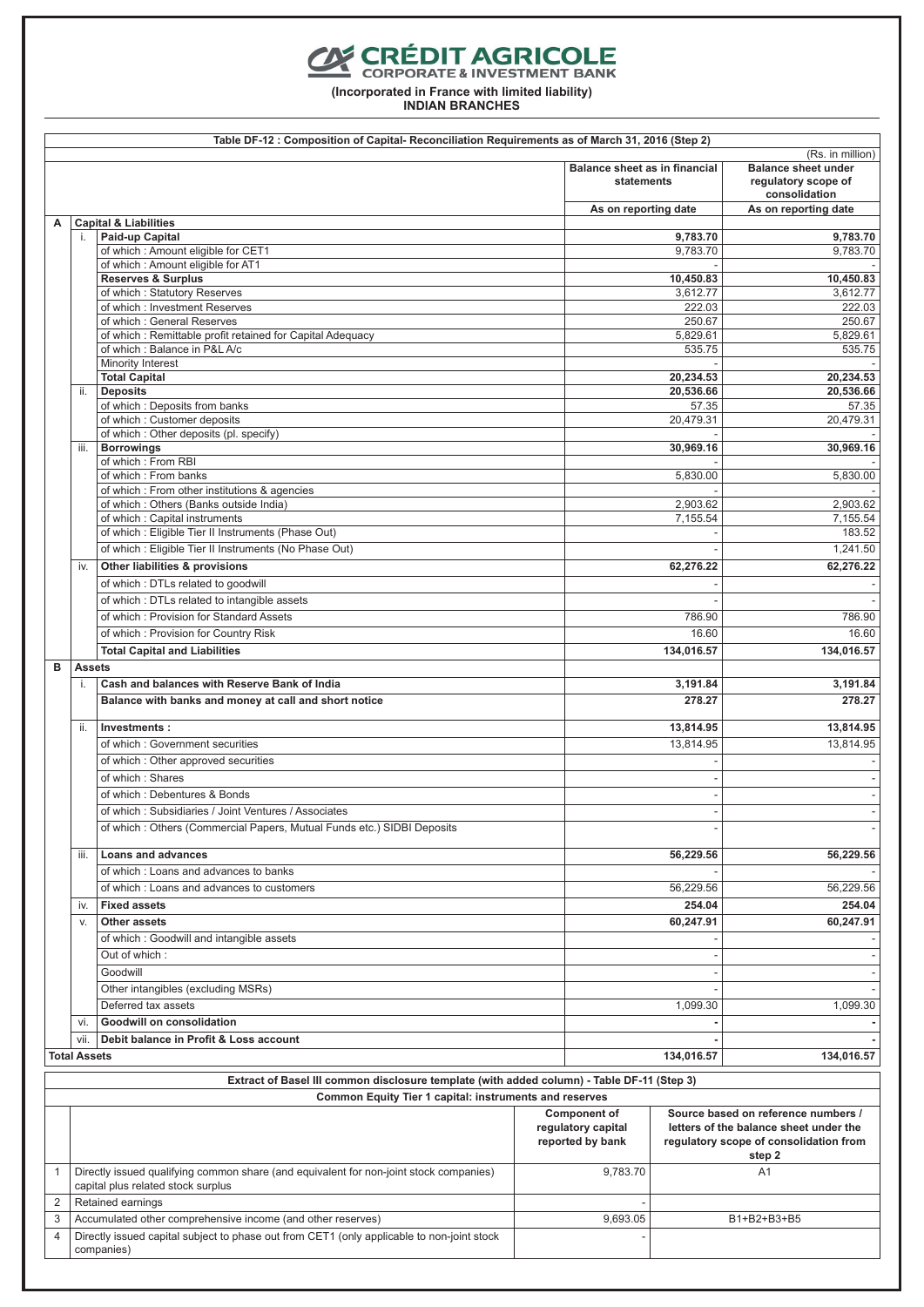# **CONFORT AGRICOLE**

**(Incorporated in France with limited liability)**

|   | Table DF-12: Composition of Capital- Reconciliation Requirements as of March 31, 2016 (Step 2) |                                                                                                                              |  |                                                               |                    |                                                                                                                                   |
|---|------------------------------------------------------------------------------------------------|------------------------------------------------------------------------------------------------------------------------------|--|---------------------------------------------------------------|--------------------|-----------------------------------------------------------------------------------------------------------------------------------|
|   |                                                                                                |                                                                                                                              |  | Balance sheet as in financial<br>statements                   |                    | (Rs. in million)<br><b>Balance sheet under</b><br>regulatory scope of<br>consolidation                                            |
|   |                                                                                                |                                                                                                                              |  | As on reporting date                                          |                    | As on reporting date                                                                                                              |
| А | i.                                                                                             | <b>Capital &amp; Liabilities</b><br>Paid-up Capital                                                                          |  |                                                               | 9,783.70           | 9,783.70                                                                                                                          |
|   |                                                                                                | of which: Amount eligible for CET1                                                                                           |  |                                                               | 9,783.70           | 9,783.70                                                                                                                          |
|   |                                                                                                | of which: Amount eligible for AT1                                                                                            |  |                                                               |                    |                                                                                                                                   |
|   |                                                                                                | <b>Reserves &amp; Surplus</b>                                                                                                |  |                                                               | 10,450.83          | 10,450.83                                                                                                                         |
|   |                                                                                                | of which: Statutory Reserves                                                                                                 |  |                                                               | 3,612.77           | 3,612.77                                                                                                                          |
|   |                                                                                                | of which: Investment Reserves                                                                                                |  |                                                               | 222.03             | 222.03                                                                                                                            |
|   |                                                                                                | of which: General Reserves                                                                                                   |  |                                                               | 250.67             | 250.67                                                                                                                            |
|   |                                                                                                | of which: Remittable profit retained for Capital Adequacy<br>of which: Balance in P&L A/c                                    |  |                                                               | 5,829.61<br>535.75 | 5,829.61<br>535.75                                                                                                                |
|   |                                                                                                | Minority Interest                                                                                                            |  |                                                               |                    |                                                                                                                                   |
|   |                                                                                                | <b>Total Capital</b>                                                                                                         |  |                                                               | 20,234.53          | 20,234.53                                                                                                                         |
|   | ii.                                                                                            | <b>Deposits</b>                                                                                                              |  |                                                               | 20,536.66          | 20,536.66                                                                                                                         |
|   |                                                                                                | of which: Deposits from banks                                                                                                |  |                                                               | 57.35              | 57.35                                                                                                                             |
|   |                                                                                                | of which: Customer deposits                                                                                                  |  |                                                               | 20,479.31          | 20,479.31                                                                                                                         |
|   |                                                                                                | of which: Other deposits (pl. specify)                                                                                       |  |                                                               |                    |                                                                                                                                   |
|   | iii.                                                                                           | <b>Borrowings</b>                                                                                                            |  |                                                               | 30,969.16          | 30,969.16                                                                                                                         |
|   |                                                                                                | of which: From RBI                                                                                                           |  |                                                               |                    |                                                                                                                                   |
|   |                                                                                                | of which: From banks                                                                                                         |  |                                                               | 5,830.00           | 5,830.00                                                                                                                          |
|   |                                                                                                | of which: From other institutions & agencies<br>of which: Others (Banks outside India)                                       |  |                                                               | 2,903.62           | 2,903.62                                                                                                                          |
|   |                                                                                                | of which: Capital instruments                                                                                                |  |                                                               | 7.155.54           | 7,155.54                                                                                                                          |
|   |                                                                                                | of which: Eligible Tier II Instruments (Phase Out)                                                                           |  |                                                               |                    | 183.52                                                                                                                            |
|   |                                                                                                | of which: Eligible Tier II Instruments (No Phase Out)                                                                        |  |                                                               |                    | 1,241.50                                                                                                                          |
|   |                                                                                                |                                                                                                                              |  |                                                               |                    |                                                                                                                                   |
|   | iv.                                                                                            | Other liabilities & provisions                                                                                               |  |                                                               | 62,276.22          | 62,276.22                                                                                                                         |
|   |                                                                                                | of which: DTLs related to goodwill                                                                                           |  |                                                               |                    |                                                                                                                                   |
|   |                                                                                                | of which: DTLs related to intangible assets                                                                                  |  |                                                               |                    |                                                                                                                                   |
|   |                                                                                                | of which: Provision for Standard Assets                                                                                      |  |                                                               | 786.90             | 786.90                                                                                                                            |
|   |                                                                                                | of which: Provision for Country Risk                                                                                         |  |                                                               | 16.60              | 16.60                                                                                                                             |
|   |                                                                                                | <b>Total Capital and Liabilities</b>                                                                                         |  |                                                               | 134,016.57         | 134,016.57                                                                                                                        |
| B | <b>Assets</b>                                                                                  |                                                                                                                              |  |                                                               |                    |                                                                                                                                   |
|   | i.                                                                                             | Cash and balances with Reserve Bank of India                                                                                 |  |                                                               | 3,191.84           | 3,191.84                                                                                                                          |
|   |                                                                                                | Balance with banks and money at call and short notice                                                                        |  |                                                               | 278.27             | 278.27                                                                                                                            |
|   |                                                                                                |                                                                                                                              |  |                                                               |                    |                                                                                                                                   |
|   | ii.                                                                                            | Investments:                                                                                                                 |  |                                                               | 13,814.95          | 13,814.95                                                                                                                         |
|   |                                                                                                | of which: Government securities                                                                                              |  |                                                               | 13,814.95          | 13,814.95                                                                                                                         |
|   |                                                                                                | of which: Other approved securities                                                                                          |  |                                                               |                    |                                                                                                                                   |
|   |                                                                                                | of which: Shares                                                                                                             |  |                                                               |                    |                                                                                                                                   |
|   |                                                                                                | of which: Debentures & Bonds                                                                                                 |  |                                                               |                    |                                                                                                                                   |
|   |                                                                                                | of which: Subsidiaries / Joint Ventures / Associates                                                                         |  |                                                               |                    |                                                                                                                                   |
|   |                                                                                                | of which: Others (Commercial Papers, Mutual Funds etc.) SIDBI Deposits                                                       |  |                                                               |                    |                                                                                                                                   |
|   |                                                                                                |                                                                                                                              |  |                                                               |                    |                                                                                                                                   |
|   | iii.                                                                                           | <b>Loans and advances</b>                                                                                                    |  |                                                               | 56,229.56          | 56,229.56                                                                                                                         |
|   |                                                                                                | of which: Loans and advances to banks                                                                                        |  |                                                               |                    |                                                                                                                                   |
|   |                                                                                                | of which: Loans and advances to customers                                                                                    |  |                                                               | 56,229.56          | 56,229.56                                                                                                                         |
|   | İV.                                                                                            | <b>Fixed assets</b>                                                                                                          |  |                                                               | 254.04             | 254.04                                                                                                                            |
|   | V.                                                                                             | <b>Other assets</b>                                                                                                          |  |                                                               | 60,247.91          | 60,247.91                                                                                                                         |
|   |                                                                                                | of which: Goodwill and intangible assets                                                                                     |  |                                                               |                    |                                                                                                                                   |
|   |                                                                                                | Out of which:                                                                                                                |  |                                                               |                    |                                                                                                                                   |
|   |                                                                                                | Goodwill                                                                                                                     |  |                                                               |                    |                                                                                                                                   |
|   |                                                                                                |                                                                                                                              |  |                                                               |                    |                                                                                                                                   |
|   |                                                                                                | Other intangibles (excluding MSRs)                                                                                           |  |                                                               |                    |                                                                                                                                   |
|   |                                                                                                | Deferred tax assets                                                                                                          |  |                                                               | 1,099.30           | 1,099.30                                                                                                                          |
|   | vi.                                                                                            | Goodwill on consolidation                                                                                                    |  |                                                               |                    |                                                                                                                                   |
|   | vii.                                                                                           | Debit balance in Profit & Loss account                                                                                       |  |                                                               |                    |                                                                                                                                   |
|   | <b>Total Assets</b>                                                                            |                                                                                                                              |  |                                                               | 134,016.57         | 134,016.57                                                                                                                        |
|   |                                                                                                | Extract of Basel III common disclosure template (with added column) - Table DF-11 (Step 3)                                   |  |                                                               |                    |                                                                                                                                   |
|   |                                                                                                | Common Equity Tier 1 capital: instruments and reserves                                                                       |  |                                                               |                    |                                                                                                                                   |
|   |                                                                                                |                                                                                                                              |  | <b>Component of</b><br>regulatory capital<br>reported by bank |                    | Source based on reference numbers /<br>letters of the balance sheet under the<br>regulatory scope of consolidation from<br>step 2 |
| 1 |                                                                                                | Directly issued qualifying common share (and equivalent for non-joint stock companies)<br>capital plus related stock surplus |  | 9,783.70                                                      |                    | A <sub>1</sub>                                                                                                                    |
| 2 |                                                                                                | Retained earnings                                                                                                            |  |                                                               |                    |                                                                                                                                   |
| 3 |                                                                                                | Accumulated other comprehensive income (and other reserves)                                                                  |  | 9,693.05                                                      |                    | B1+B2+B3+B5                                                                                                                       |
| 4 |                                                                                                | Directly issued capital subject to phase out from CET1 (only applicable to non-joint stock<br>companies)                     |  |                                                               |                    |                                                                                                                                   |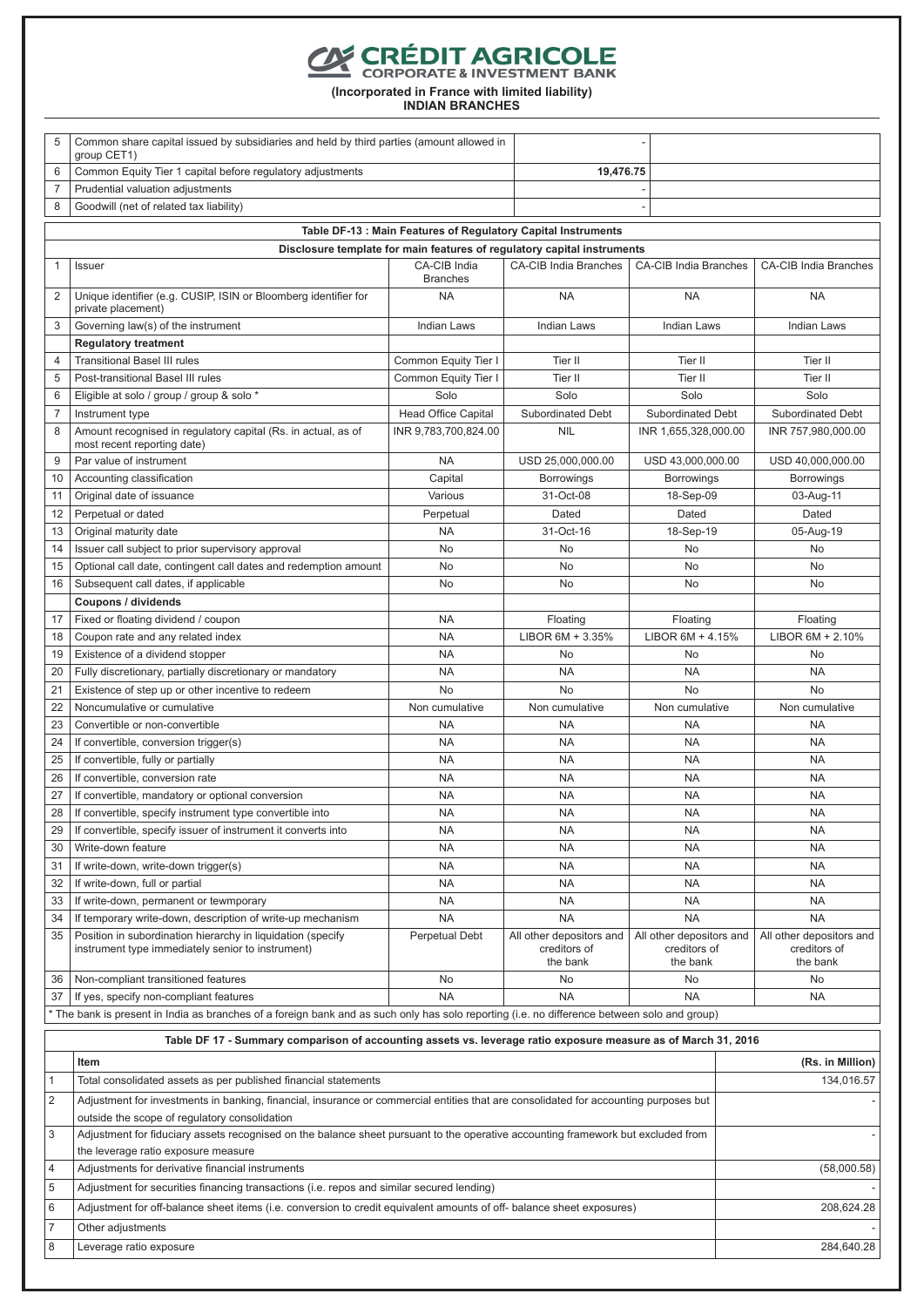# **CONFORT AGRICOLE**

**(Incorporated in France with limited liability)**

| Common share capital issued by subsidiaries and held by third parties (amount allowed in<br>5 |                                                                                                                                                                         |                              |                                                                         |                                          |                                          |
|-----------------------------------------------------------------------------------------------|-------------------------------------------------------------------------------------------------------------------------------------------------------------------------|------------------------------|-------------------------------------------------------------------------|------------------------------------------|------------------------------------------|
|                                                                                               | group CET1)                                                                                                                                                             |                              |                                                                         |                                          |                                          |
| 6                                                                                             | Common Equity Tier 1 capital before regulatory adjustments                                                                                                              |                              | 19,476.75                                                               |                                          |                                          |
| 7                                                                                             | Prudential valuation adjustments                                                                                                                                        |                              |                                                                         |                                          |                                          |
| 8                                                                                             | Goodwill (net of related tax liability)                                                                                                                                 |                              |                                                                         |                                          |                                          |
|                                                                                               |                                                                                                                                                                         |                              | Table DF-13 : Main Features of Regulatory Capital Instruments           |                                          |                                          |
|                                                                                               |                                                                                                                                                                         |                              | Disclosure template for main features of regulatory capital instruments |                                          |                                          |
| $\mathbf{1}$                                                                                  | Issuer                                                                                                                                                                  | <b>CA-CIB India Branches</b> | <b>CA-CIB India Branches</b>                                            |                                          |                                          |
| 2                                                                                             | Unique identifier (e.g. CUSIP, ISIN or Bloomberg identifier for<br>private placement)                                                                                   | <b>NA</b>                    | <b>NA</b>                                                               | <b>NA</b>                                | <b>NA</b>                                |
| 3                                                                                             | Governing law(s) of the instrument                                                                                                                                      | <b>Indian Laws</b>           | <b>Indian Laws</b>                                                      | <b>Indian Laws</b>                       | <b>Indian Laws</b>                       |
|                                                                                               | <b>Regulatory treatment</b>                                                                                                                                             |                              |                                                                         |                                          |                                          |
| 4                                                                                             | <b>Transitional Basel III rules</b>                                                                                                                                     | Common Equity Tier I         | Tier II                                                                 | Tier II                                  | Tier II                                  |
| 5                                                                                             | Post-transitional Basel III rules                                                                                                                                       | Common Equity Tier I         | Tier II                                                                 | Tier II                                  | Tier II                                  |
| 6                                                                                             | Eligible at solo / group / group & solo *                                                                                                                               | Solo                         | Solo                                                                    | Solo                                     | Solo                                     |
| $\overline{7}$                                                                                | Instrument type                                                                                                                                                         | Head Office Capital          | Subordinated Debt                                                       | Subordinated Debt                        | Subordinated Debt                        |
| 8                                                                                             | Amount recognised in regulatory capital (Rs. in actual, as of<br>most recent reporting date)                                                                            | INR 9.783.700.824.00         | <b>NIL</b>                                                              | INR 1,655,328,000.00                     | INR 757,980,000.00                       |
| 9                                                                                             | Par value of instrument                                                                                                                                                 | <b>NA</b>                    | USD 25,000,000.00                                                       | USD 43,000,000.00                        | USD 40,000,000.00                        |
| 10                                                                                            | Accounting classification                                                                                                                                               | Capital                      | <b>Borrowings</b>                                                       | <b>Borrowings</b>                        | <b>Borrowings</b>                        |
| 11                                                                                            | Original date of issuance                                                                                                                                               | Various                      | 31-Oct-08                                                               | 18-Sep-09                                | 03-Aug-11                                |
| 12                                                                                            | Perpetual or dated                                                                                                                                                      | Perpetual                    | Dated                                                                   | Dated                                    | Dated                                    |
| 13                                                                                            | Original maturity date                                                                                                                                                  | <b>NA</b>                    | 31-Oct-16                                                               | 18-Sep-19                                | 05-Aug-19                                |
| 14                                                                                            | Issuer call subject to prior supervisory approval                                                                                                                       | <b>No</b>                    | No                                                                      | <b>No</b>                                | <b>No</b>                                |
| 15                                                                                            | Optional call date, contingent call dates and redemption amount                                                                                                         | No                           | No                                                                      | No                                       | No                                       |
| 16                                                                                            | Subsequent call dates, if applicable                                                                                                                                    | <b>No</b>                    | No                                                                      | <b>No</b>                                | <b>No</b>                                |
|                                                                                               | Coupons / dividends                                                                                                                                                     |                              |                                                                         |                                          |                                          |
| 17                                                                                            | Fixed or floating dividend / coupon                                                                                                                                     | <b>NA</b>                    | Floating                                                                | Floating                                 | Floating                                 |
| 18                                                                                            | Coupon rate and any related index                                                                                                                                       | <b>NA</b>                    | LIBOR 6M + 3.35%                                                        | LIBOR 6M + 4.15%                         | LIBOR 6M + 2.10%                         |
| 19                                                                                            | Existence of a dividend stopper                                                                                                                                         | <b>NA</b>                    | No                                                                      | No                                       | No                                       |
| 20                                                                                            | Fully discretionary, partially discretionary or mandatory                                                                                                               | <b>NA</b>                    | <b>NA</b>                                                               | <b>NA</b>                                | <b>NA</b>                                |
| 21                                                                                            | Existence of step up or other incentive to redeem                                                                                                                       | <b>No</b>                    | No                                                                      | <b>No</b>                                | No                                       |
| 22                                                                                            | Noncumulative or cumulative                                                                                                                                             | Non cumulative               | Non cumulative                                                          | Non cumulative                           | Non cumulative                           |
| 23                                                                                            | Convertible or non-convertible                                                                                                                                          | <b>NA</b>                    | <b>NA</b>                                                               | <b>NA</b>                                | <b>NA</b>                                |
| 24                                                                                            | If convertible, conversion trigger(s)                                                                                                                                   | <b>NA</b>                    | <b>NA</b>                                                               | <b>NA</b>                                | <b>NA</b>                                |
| 25<br>26                                                                                      | If convertible, fully or partially                                                                                                                                      | <b>NA</b><br><b>NA</b>       | <b>NA</b><br><b>NA</b>                                                  | <b>NA</b><br><b>NA</b>                   | <b>NA</b><br><b>NA</b>                   |
|                                                                                               | If convertible, conversion rate                                                                                                                                         | <b>NA</b>                    | <b>NA</b>                                                               | <b>NA</b>                                | <b>NA</b>                                |
| 27<br>28                                                                                      | If convertible, mandatory or optional conversion<br>If convertible, specify instrument type convertible into                                                            | <b>NA</b>                    | <b>NA</b>                                                               | <b>NA</b>                                | <b>NA</b>                                |
| 29                                                                                            | If convertible, specify issuer of instrument it converts into                                                                                                           | <b>NA</b>                    | <b>NA</b>                                                               | <b>NA</b>                                | <b>NA</b>                                |
| 30                                                                                            | Write-down feature                                                                                                                                                      | <b>NA</b>                    | <b>NA</b>                                                               | <b>NA</b>                                | <b>NA</b>                                |
| 31                                                                                            | If write-down, write-down trigger(s)                                                                                                                                    | <b>NA</b>                    | <b>NA</b>                                                               | <b>NA</b>                                | <b>NA</b>                                |
| 32                                                                                            | If write-down, full or partial                                                                                                                                          | <b>NA</b>                    | <b>NA</b>                                                               | <b>NA</b>                                | <b>NA</b>                                |
| 33                                                                                            | If write-down, permanent or tewmporary                                                                                                                                  | <b>NA</b>                    | <b>NA</b>                                                               | <b>NA</b>                                | <b>NA</b>                                |
| 34                                                                                            | If temporary write-down, description of write-up mechanism                                                                                                              | <b>NA</b>                    | <b>NA</b>                                                               | <b>NA</b>                                | <b>NA</b>                                |
| 35                                                                                            | Position in subordination hierarchy in liquidation (specify<br>instrument type immediately senior to instrument)                                                        | <b>Perpetual Debt</b>        | All other depositors and<br>creditors of                                | All other depositors and<br>creditors of | All other depositors and<br>creditors of |
|                                                                                               |                                                                                                                                                                         |                              | the bank                                                                | the bank                                 | the bank                                 |
| 36                                                                                            | Non-compliant transitioned features                                                                                                                                     | No                           | No                                                                      | No                                       | No                                       |
| 37                                                                                            | If yes, specify non-compliant features                                                                                                                                  | <b>NA</b>                    | <b>NA</b>                                                               | <b>NA</b>                                | <b>NA</b>                                |
|                                                                                               | * The bank is present in India as branches of a foreign bank and as such only has solo reporting (i.e. no difference between solo and group)                            |                              |                                                                         |                                          |                                          |
|                                                                                               | Table DF 17 - Summary comparison of accounting assets vs. leverage ratio exposure measure as of March 31, 2016<br>Item                                                  |                              |                                                                         |                                          | (Rs. in Million)                         |
| 1                                                                                             | Total consolidated assets as per published financial statements                                                                                                         |                              |                                                                         |                                          | 134,016.57                               |
|                                                                                               |                                                                                                                                                                         |                              |                                                                         |                                          |                                          |
| $\overline{2}$                                                                                | Adjustment for investments in banking, financial, insurance or commercial entities that are consolidated for accounting purposes but                                    |                              |                                                                         |                                          |                                          |
| 3                                                                                             | outside the scope of regulatory consolidation                                                                                                                           |                              |                                                                         |                                          |                                          |
|                                                                                               | Adjustment for fiduciary assets recognised on the balance sheet pursuant to the operative accounting framework but excluded from<br>the leverage ratio exposure measure |                              |                                                                         |                                          |                                          |
| 4                                                                                             | Adjustments for derivative financial instruments                                                                                                                        |                              |                                                                         |                                          | (58,000.58)                              |
| 5                                                                                             | Adjustment for securities financing transactions (i.e. repos and similar secured lending)                                                                               |                              |                                                                         |                                          |                                          |
|                                                                                               |                                                                                                                                                                         |                              |                                                                         |                                          |                                          |
| 6                                                                                             | Adjustment for off-balance sheet items (i.e. conversion to credit equivalent amounts of off- balance sheet exposures)                                                   |                              |                                                                         |                                          | 208,624.28                               |
| $\overline{7}$                                                                                | Other adjustments                                                                                                                                                       |                              |                                                                         |                                          |                                          |
| 8                                                                                             | Leverage ratio exposure                                                                                                                                                 |                              |                                                                         |                                          | 284,640.28                               |